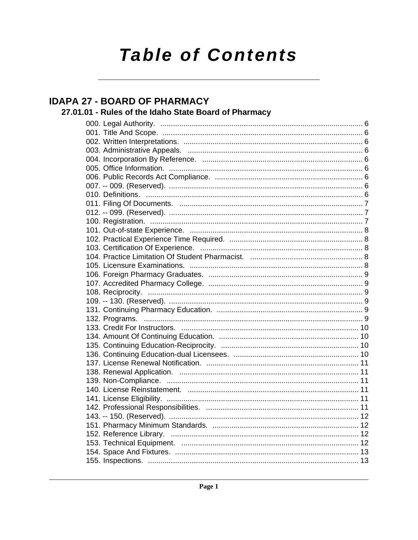# **Table of Contents**

# **IDAPA 27 - BOARD OF PHARMACY**

# 27.01.01 - Rules of the Idaho State Board of Pharmacy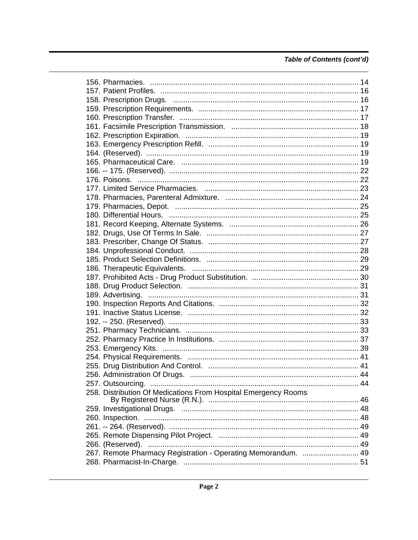| 258. Distribution Of Medications From Hospital Emergency Rooms |  |
|----------------------------------------------------------------|--|
|                                                                |  |
|                                                                |  |
|                                                                |  |
|                                                                |  |
|                                                                |  |
|                                                                |  |
| 267. Remote Pharmacy Registration - Operating Memorandum.  49  |  |
|                                                                |  |
|                                                                |  |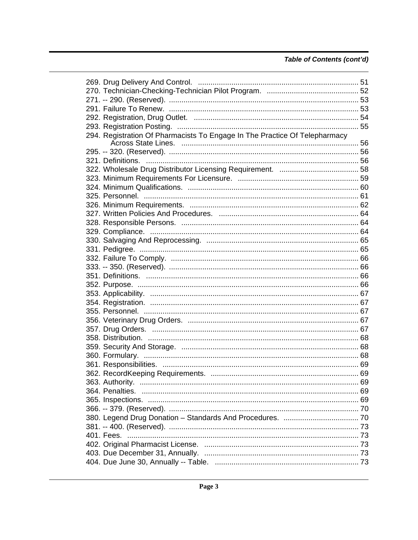| 294. Registration Of Pharmacists To Engage In The Practice Of Telepharmacy |  |
|----------------------------------------------------------------------------|--|
|                                                                            |  |
|                                                                            |  |
|                                                                            |  |
|                                                                            |  |
|                                                                            |  |
|                                                                            |  |
|                                                                            |  |
|                                                                            |  |
|                                                                            |  |
|                                                                            |  |
|                                                                            |  |
|                                                                            |  |
|                                                                            |  |
|                                                                            |  |
|                                                                            |  |
|                                                                            |  |
|                                                                            |  |
|                                                                            |  |
|                                                                            |  |
|                                                                            |  |
|                                                                            |  |
|                                                                            |  |
|                                                                            |  |
|                                                                            |  |
|                                                                            |  |
|                                                                            |  |
|                                                                            |  |
|                                                                            |  |
|                                                                            |  |
|                                                                            |  |
|                                                                            |  |
|                                                                            |  |
|                                                                            |  |
|                                                                            |  |
|                                                                            |  |
|                                                                            |  |
|                                                                            |  |
|                                                                            |  |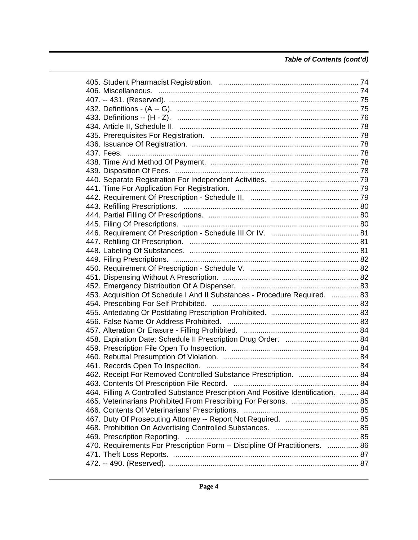| 453. Acquisition Of Schedule I And II Substances - Procedure Required.  83        |  |
|-----------------------------------------------------------------------------------|--|
|                                                                                   |  |
|                                                                                   |  |
|                                                                                   |  |
|                                                                                   |  |
|                                                                                   |  |
|                                                                                   |  |
|                                                                                   |  |
|                                                                                   |  |
| 462. Receipt For Removed Controlled Substance Prescription.  84                   |  |
|                                                                                   |  |
| 464. Filling A Controlled Substance Prescription And Positive Identification.  84 |  |
| 465. Veterinarians Prohibited From Prescribing For Persons.  85                   |  |
|                                                                                   |  |
|                                                                                   |  |
|                                                                                   |  |
|                                                                                   |  |
| 470. Requirements For Prescription Form -- Discipline Of Practitioners.  86       |  |
|                                                                                   |  |
|                                                                                   |  |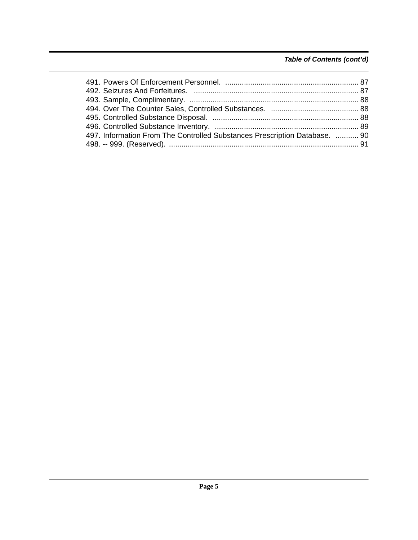| 497. Information From The Controlled Substances Prescription Database.  90 |  |  |
|----------------------------------------------------------------------------|--|--|
|----------------------------------------------------------------------------|--|--|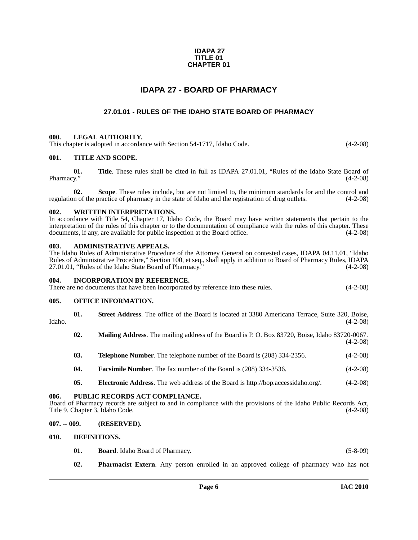### **IDAPA 27 TITLE 01 CHAPTER 01**

## **IDAPA 27 - BOARD OF PHARMACY**

### **27.01.01 - RULES OF THE IDAHO STATE BOARD OF PHARMACY**

### <span id="page-5-2"></span><span id="page-5-1"></span><span id="page-5-0"></span>**000. LEGAL AUTHORITY.**

This chapter is adopted in accordance with Section 54-1717, Idaho Code. (4-2-08)

### <span id="page-5-3"></span>**001. TITLE AND SCOPE.**

**01.** Title. These rules shall be cited in full as IDAPA 27.01.01, "Rules of the Idaho State Board of Pharmacy." (4-2-08) Pharmacy." (4-2-08)

**02.** Scope. These rules include, but are not limited to, the minimum standards for and the control and n of the practice of pharmacy in the state of Idaho and the registration of drug outlets. (4-2-08) regulation of the practice of pharmacy in the state of Idaho and the registration of drug outlets.

### <span id="page-5-4"></span>**WRITTEN INTERPRETATIONS.**

In accordance with Title 54, Chapter 17, Idaho Code, the Board may have written statements that pertain to the interpretation of the rules of this chapter or to the documentation of compliance with the rules of this chapter. These documents, if any, are available for public inspection at the Board office. (4-2-08)

### <span id="page-5-5"></span>**003. ADMINISTRATIVE APPEALS.**

The Idaho Rules of Administrative Procedure of the Attorney General on contested cases, IDAPA 04.11.01, "Idaho Rules of Administrative Procedure," Section 100, et seq., shall apply in addition to Board of Pharmacy Rules, IDAPA 27.01.01, "Rules of the Idaho State Board of Pharmacy." (4-2-08) 27.01.01, "Rules of the Idaho State Board of Pharmacy."

### <span id="page-5-6"></span>**004. INCORPORATION BY REFERENCE.**

There are no documents that have been incorporated by reference into these rules. (4-2-08)

### <span id="page-5-7"></span>**005. OFFICE INFORMATION.**

- **01. Street Address**. The office of the Board is located at 3380 Americana Terrace, Suite 320, Boise, Idaho. (4-2-08)
	- **02. Mailing Address**. The mailing address of the Board is P. O. Box 83720, Boise, Idaho 83720-0067. (4-2-08)
	- **03. Telephone Number**. The telephone number of the Board is (208) 334-2356. (4-2-08)
	- **04. Facsimile Number**. The fax number of the Board is (208) 334-3536. (4-2-08)
	- **05. Electronic Address**[. The web address of the Board is http://bop.accessidaho.org/. \(4-2-08\)](http://bop.accessidaho.org/)

### <span id="page-5-8"></span>**006. PUBLIC RECORDS ACT COMPLIANCE.**

Board of Pharmacy records are subject to and in compliance with the provisions of the Idaho Public Records Act, Title 9, Chapter 3, Idaho Code. (4-2-08)

### <span id="page-5-9"></span>**007. -- 009. (RESERVED).**

### <span id="page-5-10"></span>**010. DEFINITIONS.**

- **01. Board**. Idaho Board of Pharmacy. (5-8-09)
- **02. Pharmacist Extern**. Any person enrolled in an approved college of pharmacy who has not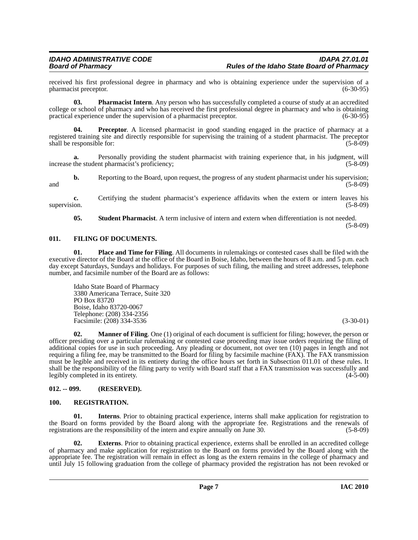received his first professional degree in pharmacy and who is obtaining experience under the supervision of a pharmacist preceptor. (6-30-95) pharmacist preceptor.

**03. Pharmacist Intern**. Any person who has successfully completed a course of study at an accredited college or school of pharmacy and who has received the first professional degree in pharmacy and who is obtaining practical experience under the supervision of a pharmacist preceptor. (6-30-95)

**Preceptor.** A licensed pharmacist in good standing engaged in the practice of pharmacy at a registered training site and directly responsible for supervising the training of a student pharmacist. The preceptor shall be responsible for: (5-8-09) (5-8)

**a.** Personally providing the student pharmacist with training experience that, in his judgment, will the student pharmacist's proficiency: (5-8-09) increase the student pharmacist's proficiency;

**b.** Reporting to the Board, upon request, the progress of any student pharmacist under his supervision; (5-8-09) and (5-8-09) (5-8-09)

**c.** Certifying the student pharmacist's experience affidavits when the extern or intern leaves his supervision. (5-8-09)

**05. Student Pharmacist**. A term inclusive of intern and extern when differentiation is not needed.

(5-8-09)

### <span id="page-6-0"></span>**011. FILING OF DOCUMENTS.**

**01. Place and Time for Filing**. All documents in rulemakings or contested cases shall be filed with the executive director of the Board at the office of the Board in Boise, Idaho, between the hours of 8 a.m. and 5 p.m. each day except Saturdays, Sundays and holidays. For purposes of such filing, the mailing and street addresses, telephone number, and facsimile number of the Board are as follows:

Idaho State Board of Pharmacy 3380 Americana Terrace, Suite 320 PO Box 83720 Boise, Idaho 83720-0067 Telephone: (208) 334-2356 Facsimile: (208) 334-3536 (3-30-01)

**02. Manner of Filing**. One (1) original of each document is sufficient for filing; however, the person or officer presiding over a particular rulemaking or contested case proceeding may issue orders requiring the filing of additional copies for use in such proceeding. Any pleading or document, not over ten (10) pages in length and not requiring a filing fee, may be transmitted to the Board for filing by facsimile machine (FAX). The FAX transmission must be legible and received in its entirety during the office hours set forth in Subsection 011.01 of these rules. It shall be the responsibility of the filing party to verify with Board staff that a FAX transmission was successfully and legibly completed in its entirety. (4-5-00)

### <span id="page-6-1"></span>**012. -- 099. (RESERVED).**

### <span id="page-6-2"></span>**100. REGISTRATION.**

**01. Interns**. Prior to obtaining practical experience, interns shall make application for registration to the Board on forms provided by the Board along with the appropriate fee. Registrations and the renewals of registrations are the responsibility of the intern and expire annually on June 30. (5-8-09)

**02. Externs**. Prior to obtaining practical experience, externs shall be enrolled in an accredited college of pharmacy and make application for registration to the Board on forms provided by the Board along with the appropriate fee. The registration will remain in effect as long as the extern remains in the college of pharmacy and until July 15 following graduation from the college of pharmacy provided the registration has not been revoked or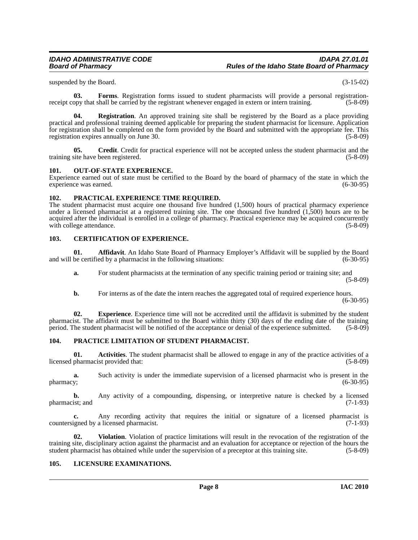suspended by the Board. (3-15-02)

**03. Forms**. Registration forms issued to student pharmacists will provide a personal registrationreceipt copy that shall be carried by the registrant whenever engaged in extern or intern training. (5-8-09)

**04.** Registration. An approved training site shall be registered by the Board as a place providing practical and professional training deemed applicable for preparing the student pharmacist for licensure. Application for registration shall be completed on the form provided by the Board and submitted with the appropriate fee. This registration expires annually on June 30. (5-8-09)

**05. Credit**. Credit for practical experience will not be accepted unless the student pharmacist and the training site have been registered. (5-8-09)

### <span id="page-7-0"></span>**101. OUT-OF-STATE EXPERIENCE.**

Experience earned out of state must be certified to the Board by the board of pharmacy of the state in which the experience was earned.

### <span id="page-7-1"></span>**102. PRACTICAL EXPERIENCE TIME REQUIRED.**

The student pharmacist must acquire one thousand five hundred (1,500) hours of practical pharmacy experience under a licensed pharmacist at a registered training site. The one thousand five hundred (1,500) hours are to be acquired after the individual is enrolled in a college of pharmacy. Practical experience may be acquired concurrently with college attendance. (5-8-09) with college attendance.

### <span id="page-7-2"></span>**103. CERTIFICATION OF EXPERIENCE.**

**01. Affidavit**. An Idaho State Board of Pharmacy Employer's Affidavit will be supplied by the Board and will be certified by a pharmacist in the following situations: (6-30-95)

**a.** For student pharmacists at the termination of any specific training period or training site; and (5-8-09)

**b.** For interns as of the date the intern reaches the aggregated total of required experience hours. (6-30-95)

**02. Experience**. Experience time will not be accredited until the affidavit is submitted by the student pharmacist. The affidavit must be submitted to the Board within thirty (30) days of the ending date of the training period. The student pharmacist will be notified of the acceptance or denial of the experience submitted. ( period. The student pharmacist will be notified of the acceptance or denial of the experience submitted.

### <span id="page-7-3"></span>**104. PRACTICE LIMITATION OF STUDENT PHARMACIST.**

**01. Activities**. The student pharmacist shall be allowed to engage in any of the practice activities of a licensed pharmacist provided that: (5-8-09)

**a.** Such activity is under the immediate supervision of a licensed pharmacist who is present in the y; (6-30-95) pharmacy; (6-30-95)

**b.** Any activity of a compounding, dispensing, or interpretive nature is checked by a licensed pharmacist; and (7-1-93)

**c.** Any recording activity that requires the initial or signature of a licensed pharmacist is countersigned by a licensed pharmacist. (7-1-93)

**02. Violation**. Violation of practice limitations will result in the revocation of the registration of the training site, disciplinary action against the pharmacist and an evaluation for acceptance or rejection of the hours the student pharmacist has obtained while under the supervision of a preceptor at this training site. (5student pharmacist has obtained while under the supervision of a preceptor at this training site.

### <span id="page-7-4"></span>**105. LICENSURE EXAMINATIONS.**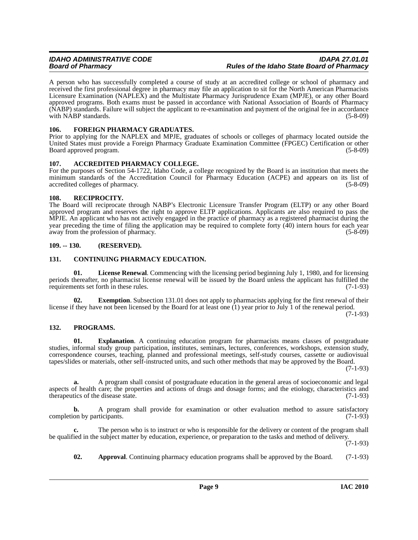A person who has successfully completed a course of study at an accredited college or school of pharmacy and received the first professional degree in pharmacy may file an application to sit for the North American Pharmacists Licensure Examination (NAPLEX) and the Multistate Pharmacy Jurisprudence Exam (MPJE), or any other Board approved programs. Both exams must be passed in accordance with National Association of Boards of Pharmacy (NABP) standards. Failure will subject the applicant to re-examination and payment of the original fee in accordance with NABP standards. (5-8-09)

### <span id="page-8-0"></span>**106. FOREIGN PHARMACY GRADUATES.**

Prior to applying for the NAPLEX and MPJE, graduates of schools or colleges of pharmacy located outside the United States must provide a Foreign Pharmacy Graduate Examination Committee (FPGEC) Certification or other Board approved program.

### <span id="page-8-1"></span>**107. ACCREDITED PHARMACY COLLEGE.**

For the purposes of Section 54-1722, Idaho Code, a college recognized by the Board is an institution that meets the minimum standards of the Accreditation Council for Pharmacy Education (ACPE) and appears on its list of accredited colleges of pharmacy. (5-8-09) accredited colleges of pharmacy.

### <span id="page-8-2"></span>**108. RECIPROCITY.**

The Board will reciprocate through NABP's Electronic Licensure Transfer Program (ELTP) or any other Board approved program and reserves the right to approve ELTP applications. Applicants are also required to pass the MPJE. An applicant who has not actively engaged in the practice of pharmacy as a registered pharmacist during the year preceding the time of filing the application may be required to complete forty (40) intern hours for each year away from the profession of pharmacy. away from the profession of pharmacy.

### <span id="page-8-3"></span>**109. -- 130. (RESERVED).**

### <span id="page-8-4"></span>**131. CONTINUING PHARMACY EDUCATION.**

**01. License Renewal**. Commencing with the licensing period beginning July 1, 1980, and for licensing periods thereafter, no pharmacist license renewal will be issued by the Board unless the applicant has fulfilled the requirements set forth in these rules. (7-1-93) requirements set forth in these rules.

**Exemption**. Subsection 131.01 does not apply to pharmacists applying for the first renewal of their license if they have not been licensed by the Board for at least one (1) year prior to July 1 of the renewal period.

(7-1-93)

### <span id="page-8-5"></span>**132. PROGRAMS.**

**01. Explanation**. A continuing education program for pharmacists means classes of postgraduate studies, informal study group participation, institutes, seminars, lectures, conferences, workshops, extension study, correspondence courses, teaching, planned and professional meetings, self-study courses, cassette or audiovisual tapes/slides or materials, other self-instructed units, and such other methods that may be approved by the Board. (7-1-93)

**a.** A program shall consist of postgraduate education in the general areas of socioeconomic and legal aspects of health care; the properties and actions of drugs and dosage forms; and the etiology, characteristics and therapeutics of the disease state. (7-1-93)

**b.** A program shall provide for examination or other evaluation method to assure satisfactory on by participants. (7-1-93) completion by participants.

The person who is to instruct or who is responsible for the delivery or content of the program shall be qualified in the subject matter by education, experience, or preparation to the tasks and method of delivery.

 $(7-1-93)$ 

**02.** Approval. Continuing pharmacy education programs shall be approved by the Board. (7-1-93)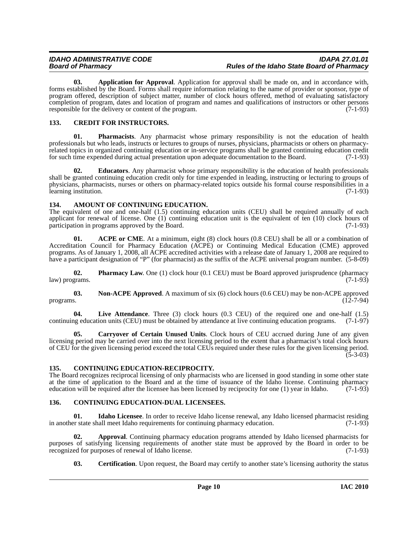**03. Application for Approval**. Application for approval shall be made on, and in accordance with, forms established by the Board. Forms shall require information relating to the name of provider or sponsor, type of program offered, description of subject matter, number of clock hours offered, method of evaluating satisfactory completion of program, dates and location of program and names and qualifications of instructors or other persons responsible for the delivery or content of the program. (7-1-93)

### <span id="page-9-0"></span>**133. CREDIT FOR INSTRUCTORS.**

**01. Pharmacists**. Any pharmacist whose primary responsibility is not the education of health professionals but who leads, instructs or lectures to groups of nurses, physicians, pharmacists or others on pharmacyrelated topics in organized continuing education or in-service programs shall be granted continuing education credit for such time expended during actual presentation upon adequate documentation to the Board. (7-1-93)

**02. Educators**. Any pharmacist whose primary responsibility is the education of health professionals shall be granted continuing education credit only for time expended in leading, instructing or lecturing to groups of physicians, pharmacists, nurses or others on pharmacy-related topics outside his formal course responsibilities in a<br>(7-1-93) learning institution.

### <span id="page-9-1"></span>**134. AMOUNT OF CONTINUING EDUCATION.**

The equivalent of one and one-half (1.5) continuing education units (CEU) shall be required annually of each applicant for renewal of license. One (1) continuing education unit is the equivalent of ten (10) clock hours of participation in programs approved by the Board.  $(7-1-93)$ participation in programs approved by the Board.

**01.** ACPE or CME. At a minimum, eight (8) clock hours (0.8 CEU) shall be all or a combination of Accreditation Council for Pharmacy Education (ACPE) or Continuing Medical Education (CME) approved programs. As of January 1, 2008, all ACPE accredited activities with a release date of January 1, 2008 are required to have a participant designation of "P" (for pharmacist) as the suffix of the ACPE universal program number. (5-8-09)

**02. Pharmacy Law.** One (1) clock hour (0.1 CEU) must be Board approved jurisprudence (pharmacy law) programs. (7-1-93)

**03.** Non-ACPE Approved. A maximum of six (6) clock hours (0.6 CEU) may be non-ACPE approved programs.  $(12-7-94)$ 

**04.** Live Attendance. Three (3) clock hours (0.3 CEU) of the required one and one-half (1.5) continuing education units (CEU) must be obtained by attendance at live continuing education programs. (7-1-97)

**05. Carryover of Certain Unused Units**. Clock hours of CEU accrued during June of any given licensing period may be carried over into the next licensing period to the extent that a pharmacist's total clock hours of CEU for the given licensing period exceed the total CEUs required under these rules for the given licensing period.  $(5-3-03)$ 

### <span id="page-9-2"></span>**135. CONTINUING EDUCATION-RECIPROCITY.**

The Board recognizes reciprocal licensing of only pharmacists who are licensed in good standing in some other state at the time of application to the Board and at the time of issuance of the Idaho license. Continuing pharmacy<br>education will be required after the licensee has been licensed by reciprocity for one (1) year in Idaho. (7-1-9 education will be required after the licensee has been licensed by reciprocity for one (1) year in Idaho.

### <span id="page-9-3"></span>**136. CONTINUING EDUCATION-DUAL LICENSEES.**

**01. Idaho Licensee**. In order to receive Idaho license renewal, any Idaho licensed pharmacist residing in another state shall meet Idaho requirements for continuing pharmacy education. (7-1-93)

**02. Approval**. Continuing pharmacy education programs attended by Idaho licensed pharmacists for purposes of satisfying licensing requirements of another state must be approved by the Board in order to be recognized for purposes of renewal of Idaho license. (7-1-93) recognized for purposes of renewal of Idaho license.

**03.** Certification. Upon request, the Board may certify to another state's licensing authority the status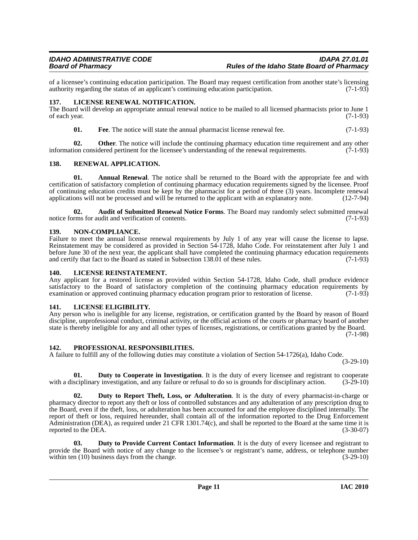of a licensee's continuing education participation. The Board may request certification from another state's licensing authority regarding the status of an applicant's continuing education participation. (7-1-93) authority regarding the status of an applicant's continuing education participation.

### <span id="page-10-0"></span>**137. LICENSE RENEWAL NOTIFICATION.**

The Board will develop an appropriate annual renewal notice to be mailed to all licensed pharmacists prior to June 1 of each year.  $(7-1-93)$ 

**01.** Free. The notice will state the annual pharmacist license renewal fee.  $(7-1-93)$ 

**02. Other**. The notice will include the continuing pharmacy education time requirement and any other ion considered pertinent for the licensee's understanding of the renewal requirements. (7-1-93) information considered pertinent for the licensee's understanding of the renewal requirements.

### <span id="page-10-1"></span>**138. RENEWAL APPLICATION.**

**01. Annual Renewal**. The notice shall be returned to the Board with the appropriate fee and with certification of satisfactory completion of continuing pharmacy education requirements signed by the licensee. Proof of continuing education credits must be kept by the pharmacist for a period of three (3) years. Incomplete renewal applications will not be processed and will be returned to the applicant with an explanatory note. (12-7-94)

**02. Audit of Submitted Renewal Notice Forms**. The Board may randomly select submitted renewal notice forms for audit and verification of contents. (7-1-93)

### <span id="page-10-2"></span>**139. NON-COMPLIANCE.**

Failure to meet the annual license renewal requirements by July 1 of any year will cause the license to lapse. Reinstatement may be considered as provided in Section 54-1728, Idaho Code. For reinstatement after July 1 and before June 30 of the next year, the applicant shall have completed the continuing pharmacy education requirements and certify that fact to the Board as stated in Subsection 138.01 of these rules. (7-1-93)

### <span id="page-10-3"></span>**140. LICENSE REINSTATEMENT.**

Any applicant for a restored license as provided within Section 54-1728, Idaho Code, shall produce evidence satisfactory to the Board of satisfactory completion of the continuing pharmacy education requirements by examination or approved continuing pharmacy education program prior to restoration of license. (7-1-93)

### <span id="page-10-4"></span>**141. LICENSE ELIGIBILITY.**

Any person who is ineligible for any license, registration, or certification granted by the Board by reason of Board discipline, unprofessional conduct, criminal activity, or the official actions of the courts or pharmacy board of another state is thereby ineligible for any and all other types of licenses, registrations, or certifications granted by the Board.

(7-1-98)

### <span id="page-10-5"></span>**142. PROFESSIONAL RESPONSIBILITIES.**

A failure to fulfill any of the following duties may constitute a violation of Section 54-1726(a), Idaho Code.

 $(3-29-10)$ 

**01. Duty to Cooperate in Investigation**. It is the duty of every licensee and registrant to cooperate sciplinary investigation, and any failure or refusal to do so is grounds for disciplinary action. (3-29-10) with a disciplinary investigation, and any failure or refusal to do so is grounds for disciplinary action.

**Duty to Report Theft, Loss, or Adulteration**. It is the duty of every pharmacist-in-charge or pharmacy director to report any theft or loss of controlled substances and any adulteration of any prescription drug to the Board, even if the theft, loss, or adulteration has been accounted for and the employee disciplined internally. The report of theft or loss, required hereunder, shall contain all of the information reported to the Drug Enforcement Administration (DEA), as required under 21 CFR 1301.74(c), and shall be reported to the Board at the same time it is reported to the DEA. (3-30-07)

**03. Duty to Provide Current Contact Information**. It is the duty of every licensee and registrant to provide the Board with notice of any change to the licensee's or registrant's name, address, or telephone number within ten (10) business days from the change. (3-29-10) within ten  $(10)$  business days from the change.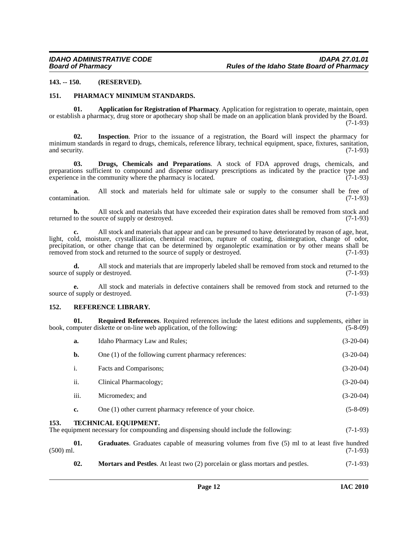### <span id="page-11-0"></span>**143. -- 150. (RESERVED).**

### <span id="page-11-1"></span>**151. PHARMACY MINIMUM STANDARDS.**

**01. Application for Registration of Pharmacy**. Application for registration to operate, maintain, open or establish a pharmacy, drug store or apothecary shop shall be made on an application blank provided by the Board. (7-1-93)

**02. Inspection**. Prior to the issuance of a registration, the Board will inspect the pharmacy for minimum standards in regard to drugs, chemicals, reference library, technical equipment, space, fixtures, sanitation, and security. (7-1-93) and security. (7-1-93)

**03. Drugs, Chemicals and Preparations**. A stock of FDA approved drugs, chemicals, and preparations sufficient to compound and dispense ordinary prescriptions as indicated by the practice type and experience in the community where the pharmacy is located. (7-1-93)

**a.** All stock and materials held for ultimate sale or supply to the consumer shall be free of (7-1-93) contamination.

**b.** All stock and materials that have exceeded their expiration dates shall be removed from stock and to the source of supply or destroyed. (7-1-93) returned to the source of supply or destroyed.

**c.** All stock and materials that appear and can be presumed to have deteriorated by reason of age, heat, light, cold, moisture, crystallization, chemical reaction, rupture of coating, disintegration, change of odor, precipitation, or other change that can be determined by organoleptic examination or by other means shall be removed from stock and returned to the source of supply or destroved. (7-1-93) removed from stock and returned to the source of supply or destroyed.

**d.** All stock and materials that are improperly labeled shall be removed from stock and returned to the f supply or destroyed. (7-1-93) source of supply or destroyed.

**e.** All stock and materials in defective containers shall be removed from stock and returned to the source of supply or destroyed. (7-1-93)

### <span id="page-11-2"></span>**152. REFERENCE LIBRARY.**

**01. Required References**. Required references include the latest editions and supplements, either in mouter diskette or on-line web application, of the following: (5-8-09) book, computer diskette or on-line web application, of the following:

|           | a.   | Idaho Pharmacy Law and Rules;                                                                                       | $(3-20-04)$ |
|-----------|------|---------------------------------------------------------------------------------------------------------------------|-------------|
|           | b.   | One (1) of the following current pharmacy references:                                                               | $(3-20-04)$ |
|           | i.   | Facts and Comparisons;                                                                                              | $(3-20-04)$ |
|           | ii.  | Clinical Pharmacology;                                                                                              | $(3-20-04)$ |
|           | iii. | Micromedex; and                                                                                                     | $(3-20-04)$ |
|           | c.   | One (1) other current pharmacy reference of your choice.                                                            | $(5-8-09)$  |
| 153.      |      | <b>TECHNICAL EQUIPMENT.</b><br>The equipment necessary for compounding and dispensing should include the following: | $(7-1-93)$  |
| (500) ml. | 01.  | Graduates. Graduates capable of measuring volumes from five (5) ml to at least five hundred                         | $(7-1-93)$  |

<span id="page-11-3"></span>**02. Mortars and Pestles**. At least two (2) porcelain or glass mortars and pestles. (7-1-93)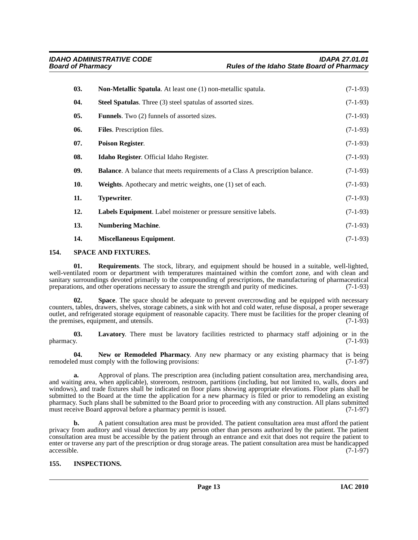| 03. | <b>Non-Metallic Spatula.</b> At least one (1) non-metallic spatula.                  | $(7-1-93)$ |
|-----|--------------------------------------------------------------------------------------|------------|
| 04. | <b>Steel Spatulas.</b> Three (3) steel spatulas of assorted sizes.                   | $(7-1-93)$ |
| 05. | <b>Funnels.</b> Two (2) funnels of assorted sizes.                                   | $(7-1-93)$ |
| 06. | Files. Prescription files.                                                           | $(7-1-93)$ |
| 07. | <b>Poison Register.</b>                                                              | $(7-1-93)$ |
| 08. | Idaho Register. Official Idaho Register.                                             | $(7-1-93)$ |
| 09. | <b>Balance.</b> A balance that meets requirements of a Class A prescription balance. | $(7-1-93)$ |
| 10. | <b>Weights.</b> Apothecary and metric weights, one (1) set of each.                  | $(7-1-93)$ |
| 11. | Typewriter.                                                                          | $(7-1-93)$ |
| 12. | Labels Equipment. Label moistener or pressure sensitive labels.                      | $(7-1-93)$ |
| 13. | <b>Numbering Machine.</b>                                                            | $(7-1-93)$ |
| 14. | <b>Miscellaneous Equipment.</b>                                                      | $(7-1-93)$ |

### <span id="page-12-0"></span>**154. SPACE AND FIXTURES.**

**01. Requirements**. The stock, library, and equipment should be housed in a suitable, well-lighted, well-ventilated room or department with temperatures maintained within the comfort zone, and with clean and sanitary surroundings devoted primarily to the compounding of prescriptions, the manufacturing of pharmaceutical preparations, and other operations necessary to assure the strength and purity of medicines. (7-1-93) preparations, and other operations necessary to assure the strength and purity of medicines.

**Space**. The space should be adequate to prevent overcrowding and be equipped with necessary counters, tables, drawers, shelves, storage cabinets, a sink with hot and cold water, refuse disposal, a proper sewerage outlet, and refrigerated storage equipment of reasonable capacity. There must be facilities for the proper cleaning of the premises, equipment, and utensils. (7-1-93)

**03. Lavatory**. There must be lavatory facilities restricted to pharmacy staff adjoining or in the  $pharmacy.$  (7-1-93)

**04. New or Remodeled Pharmacy**. Any new pharmacy or any existing pharmacy that is being remodeled must comply with the following provisions: (7-1-97)

**a.** Approval of plans. The prescription area (including patient consultation area, merchandising area, and waiting area, when applicable), storeroom, restroom, partitions (including, but not limited to, walls, doors and windows), and trade fixtures shall be indicated on floor plans showing appropriate elevations. Floor plans shall be submitted to the Board at the time the application for a new pharmacy is filed or prior to remodeling an existing pharmacy. Such plans shall be submitted to the Board prior to proceeding with any construction. All plans submitted must receive Board approval before a pharmacy permit is issued. (7-1-97)

**b.** A patient consultation area must be provided. The patient consultation area must afford the patient privacy from auditory and visual detection by any person other than persons authorized by the patient. The patient consultation area must be accessible by the patient through an entrance and exit that does not require the patient to enter or traverse any part of the prescription or drug storage areas. The patient consultation area must be handicapped accessible. (7-1-97) accessible. (7-1-97)

### <span id="page-12-1"></span>**155. INSPECTIONS.**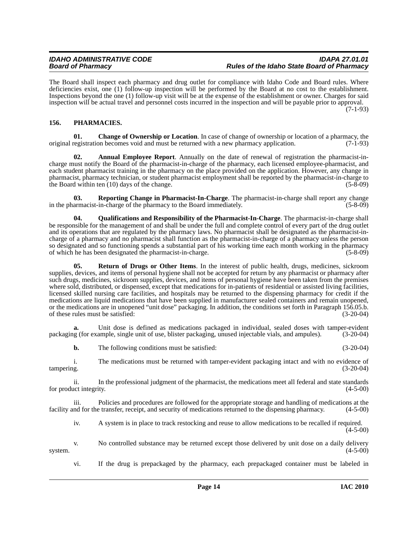The Board shall inspect each pharmacy and drug outlet for compliance with Idaho Code and Board rules. Where deficiencies exist, one (1) follow-up inspection will be performed by the Board at no cost to the establishment. Inspections beyond the one (1) follow-up visit will be at the expense of the establishment or owner. Charges for said inspection will be actual travel and personnel costs incurred in the inspection and will be payable prior to approval. (7-1-93)

### <span id="page-13-0"></span>**156. PHARMACIES.**

**01. Change of Ownership or Location**. In case of change of ownership or location of a pharmacy, the original registration becomes void and must be returned with a new pharmacy application. (7-1-93)

Annual Employee Report. Annually on the date of renewal of registration the pharmacist-incharge must notify the Board of the pharmacist-in-charge of the pharmacy, each licensed employee-pharmacist, and each student pharmacist training in the pharmacy on the place provided on the application. However, any change in pharmacist, pharmacy technician, or student pharmacist employment shall be reported by the pharmacist-in-charge to the Board within ten  $(10)$  days of the change.  $(5-8-09)$ 

**03. Reporting Change in Pharmacist-In-Charge**. The pharmacist-in-charge shall report any change in the pharmacist-in-charge of the pharmacy to the Board immediately. (5-8-09)

**04. Qualifications and Responsibility of the Pharmacist-In-Charge**. The pharmacist-in-charge shall be responsible for the management of and shall be under the full and complete control of every part of the drug outlet and its operations that are regulated by the pharmacy laws. No pharmacist shall be designated as the pharmacist-incharge of a pharmacy and no pharmacist shall function as the pharmacist-in-charge of a pharmacy unless the person so designated and so functioning spends a substantial part of his working time each month working in the pharmacy of which he has been designated the pharmacist-in-charge. (5-8-09)

**05. Return of Drugs or Other Items**. In the interest of public health, drugs, medicines, sickroom supplies, devices, and items of personal hygiene shall not be accepted for return by any pharmacist or pharmacy after such drugs, medicines, sickroom supplies, devices, and items of personal hygiene have been taken from the premises where sold, distributed, or dispensed, except that medications for in-patients of residential or assisted living facilities, licensed skilled nursing care facilities, and hospitals may be returned to the dispensing pharmacy for credit if the medications are liquid medications that have been supplied in manufacturer sealed containers and remain unopened, or the medications are in unopened "unit dose" packaging. In addition, the conditions set forth in Paragraph 156.05.b. of these rules must be satisfied: (3-20-04)

**a.** Unit dose is defined as medications packaged in individual, sealed doses with tamper-evident packaging (for example, single unit of use, blister packaging, unused injectable vials, and ampules). (3-20-04)

**b.** The following conditions must be satisfied: (3-20-04)

i. The medications must be returned with tamper-evident packaging intact and with no evidence of tampering. (3-20-04)

ii. In the professional judgment of the pharmacist, the medications meet all federal and state standards for product integrity.

iii. Policies and procedures are followed for the appropriate storage and handling of medications at the facility and for the transfer, receipt, and security of medications returned to the dispensing pharmacy. (4-5-00)

iv. A system is in place to track restocking and reuse to allow medications to be recalled if required. (4-5-00)

v. No controlled substance may be returned except those delivered by unit dose on a daily delivery system.  $(4-5-00)$ 

vi. If the drug is prepackaged by the pharmacy, each prepackaged container must be labeled in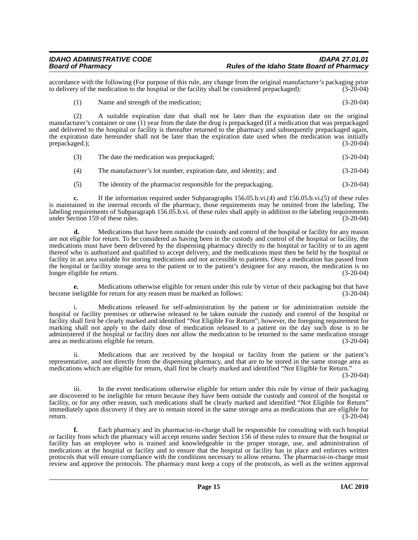accordance with the following (For purpose of this rule, any change from the original manufacturer's packaging prior<br>to delivery of the medication to the hospital or the facility shall be considered prepackaged): (3-20-04) to delivery of the medication to the hospital or the facility shall be considered prepackaged):

(1) Name and strength of the medication; (3-20-04)

(2) A suitable expiration date that shall not be later than the expiration date on the original manufacturer's container or one (1) year from the date the drug is prepackaged (If a medication that was prepackaged and delivered to the hospital or facility is thereafter returned to the pharmacy and subsequently prepackaged again, the expiration date hereunder shall not be later than the expiration date used when the medication was initially prepackaged.); (3-20-04)

- (3) The date the medication was prepackaged; (3-20-04)
- (4) The manufacturer's lot number, expiration date, and identity; and (3-20-04)
- (5) The identity of the pharmacist responsible for the prepackaging. (3-20-04)

**c.** If the information required under Subparagraphs 156.05.b.vi.(4) and 156.05.b.vi.(5) of these rules is maintained in the internal records of the pharmacy, those requirements may be omitted from the labeling. The labeling requirements of Subparagraph 156.05.b.vi. of these rules shall apply in addition to the labeling requirements under Section 159 of these rules. (3-20-04)

**d.** Medications that have been outside the custody and control of the hospital or facility for any reason are not eligible for return. To be considered as having been in the custody and control of the hospital or facility, the medications must have been delivered by the dispensing pharmacy directly to the hospital or facility or to an agent thereof who is authorized and qualified to accept delivery, and the medications must then be held by the hospital or facility in an area suitable for storing medications and not accessible to patients. Once a medication has passed from the hospital or facility storage area to the patient or to the patient's designee for any reason, the medication is no longer eligible for return. (3-20-04)

**e.** Medications otherwise eligible for return under this rule by virtue of their packaging but that have become ineligible for return for any reason must be marked as follows: (3-20-04)

i. Medications released for self-administration by the patient or for administration outside the hospital or facility premises or otherwise released to be taken outside the custody and control of the hospital or facility shall first be clearly marked and identified "Not Eligible For Return"; however, the foregoing requirement for marking shall not apply to the daily dose of medication released to a patient on the day such dose is to be administered if the hospital or facility does not allow the medication to be returned to the same medication storage area as medications eligible for return. (3-20-04)

ii. Medications that are received by the hospital or facility from the patient or the patient's representative, and not directly from the dispensing pharmacy, and that are to be stored in the same storage area as medications which are eligible for return, shall first be clearly marked and identified "Not Eligible for Return."

(3-20-04)

iii. In the event medications otherwise eligible for return under this rule by virtue of their packaging are discovered to be ineligible for return because they have been outside the custody and control of the hospital or facility, or for any other reason, such medications shall be clearly marked and identified "Not Eligible for Return" immediately upon discovery if they are to remain stored in the same storage area as medications that are eligible for return.  $(3-20-04)$ 

**f.** Each pharmacy and its pharmacist-in-charge shall be responsible for consulting with each hospital or facility from which the pharmacy will accept returns under Section 156 of these rules to ensure that the hospital or facility has an employee who is trained and knowledgeable in the proper storage, use, and administration of medications at the hospital or facility and to ensure that the hospital or facility has in place and enforces written protocols that will ensure compliance with the conditions necessary to allow returns. The pharmacist-in-charge must review and approve the protocols. The pharmacy must keep a copy of the protocols, as well as the written approval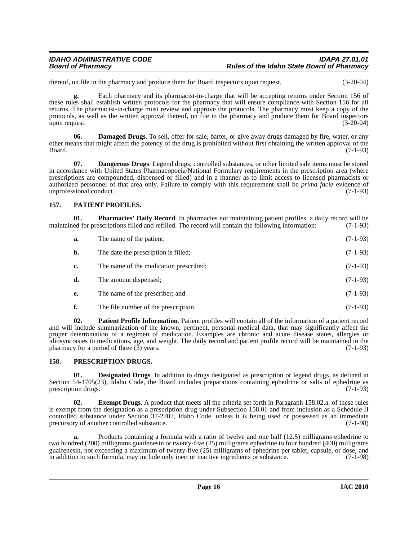thereof, on file in the pharmacy and produce them for Board inspectors upon request. (3-20-04)

**g.** Each pharmacy and its pharmacist-in-charge that will be accepting returns under Section 156 of these rules shall establish written protocols for the pharmacy that will ensure compliance with Section 156 for all returns. The pharmacist-in-charge must review and approve the protocols. The pharmacy must keep a copy of the protocols, as well as the written approval thereof, on file in the pharmacy and produce them for Board inspectors<br>(3-20-04) upon request.

**06. Damaged Drugs**. To sell, offer for sale, barter, or give away drugs damaged by fire, water, or any other means that might affect the potency of the drug is prohibited without first obtaining the written approval of the Board. (7-1-93)

**07. Dangerous Drugs**. Legend drugs, controlled substances, or other limited sale items must be stored in accordance with United States Pharmacopoeia/National Formulary requirements in the prescription area (where prescriptions are compounded, dispensed or filled) and in a manner as to limit access to licensed pharmacists or authorized personnel of that area only. Failure to comply with this requirement shall be *prima facie* evidence of unprofessional conduct.

### <span id="page-15-0"></span>**157. PATIENT PROFILES.**

**01. Pharmacies' Daily Record**. In pharmacies not maintaining patient profiles, a daily record will be ed for prescriptions filled and refilled. The record will contain the following information: (7-1-93) maintained for prescriptions filled and refilled. The record will contain the following information:

| a. | The name of the patient;               | $(7-1-93)$ |
|----|----------------------------------------|------------|
| b. | The date the prescription is filled;   | $(7-1-93)$ |
| c. | The name of the medication prescribed; | $(7-1-93)$ |
| d. | The amount dispensed;                  | $(7-1-93)$ |
| e. | The name of the prescriber; and        | $(7-1-93)$ |
|    |                                        |            |

**f.** The file number of the prescription. (7-1-93)

**02. Patient Profile Information**. Patient profiles will contain all of the information of a patient record and will include summarization of the known, pertinent, personal medical data, that may significantly affect the proper determination of a regimen of medication. Examples are chronic and acute disease states, allergies or idiosyncrasies to medications, age, and weight. The daily record and patient profile record will be maintained in the pharmacy for a period of three  $(3)$  years.

### <span id="page-15-1"></span>**158. PRESCRIPTION DRUGS.**

**01. Designated Drugs**. In addition to drugs designated as prescription or legend drugs, as defined in Section 54-1705(23), Idaho Code, the Board includes preparations containing ephedrine or salts of ephedrine as prescription drugs. (7-1-93) prescription drugs.

**02. Exempt Drugs**. A product that meets all the criteria set forth in Paragraph 158.02.a. of these rules is exempt from the designation as a prescription drug under Subsection 158.01 and from inclusion as a Schedule II controlled substance under Section 37-2707, Idaho Code, unless it is being used or possessed as an immediate precursory of another controlled substance. (7-1-98)

**a.** Products containing a formula with a ratio of twelve and one half (12.5) milligrams ephedrine to two hundred (200) milligrams guaifenesin or twenty-five (25) milligrams ephedrine to four hundred (400) milligrams guaifenesin, not exceeding a maximum of twenty-five (25) milligrams of ephedrine per tablet, capsule, or dose, and<br>in addition to such formula, may include only inert or inactive ingredients or substance. (7-1-98) in addition to such formula, may include only inert or inactive ingredients or substance.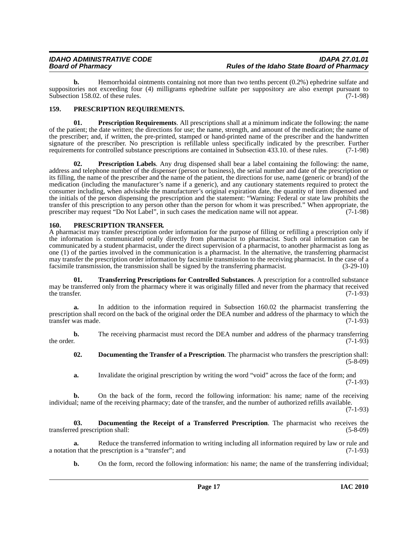**b.** Hemorrhoidal ointments containing not more than two tenths percent (0.2%) ephedrine sulfate and suppositories not exceeding four (4) milligrams ephedrine sulfate per suppository are also exempt pursuant to Subsection 158.02. of these rules. (7-1-98)

### <span id="page-16-0"></span>**159. PRESCRIPTION REQUIREMENTS.**

**01. Prescription Requirements**. All prescriptions shall at a minimum indicate the following: the name of the patient; the date written; the directions for use; the name, strength, and amount of the medication; the name of the prescriber; and, if written, the pre-printed, stamped or hand-printed name of the prescriber and the handwritten signature of the prescriber. No prescription is refillable unless specifically indicated by the prescriber. Further requirements for controlled substance prescriptions are contained in Subsection 433.10. of these rules. (7 requirements for controlled substance prescriptions are contained in Subsection 433.10. of these rules.

**02. Prescription Labels**. Any drug dispensed shall bear a label containing the following: the name, address and telephone number of the dispenser (person or business), the serial number and date of the prescription or its filling, the name of the prescriber and the name of the patient, the directions for use, name (generic or brand) of the medication (including the manufacturer's name if a generic), and any cautionary statements required to protect the consumer including, when advisable the manufacturer's original expiration date, the quantity of item dispensed and the initials of the person dispensing the prescription and the statement: "Warning: Federal or state law prohibits the transfer of this prescription to any person other than the person for whom it was prescribed." When appropriate, the prescriber may request "Do Not Label", in such cases the medication name will not appear. (7-1-98)

### <span id="page-16-1"></span>**160. PRESCRIPTION TRANSFER.**

A pharmacist may transfer prescription order information for the purpose of filling or refilling a prescription only if the information is communicated orally directly from pharmacist to pharmacist. Such oral information can be communicated by a student pharmacist, under the direct supervision of a pharmacist, to another pharmacist as long as one (1) of the parties involved in the communication is a pharmacist. In the alternative, the transferring pharmacist may transfer the prescription order information by facsimile transmission to the receiving pharmacist. In the case of a facsimile transmission, the transmission shall be signed by the transferring pharmacist. (3-29-10) facsimile transmission, the transmission shall be signed by the transferring pharmacist.

**01. Transferring Prescriptions for Controlled Substances**. A prescription for a controlled substance may be transferred only from the pharmacy where it was originally filled and never from the pharmacy that received<br>(7-1-93) the transfer.  $(7-1-93)$ 

**a.** In addition to the information required in Subsection 160.02 the pharmacist transferring the prescription shall record on the back of the original order the DEA number and address of the pharmacy to which the transfer was made. (7-1-93)

**b.** The receiving pharmacist must record the DEA number and address of the pharmacy transferring the order. (7-1-93) the order.  $(7-1-93)$ 

**02. Documenting the Transfer of a Prescription**. The pharmacist who transfers the prescription shall: (5-8-09)

**a.** Invalidate the original prescription by writing the word "void" across the face of the form; and (7-1-93)

**b.** On the back of the form, record the following information: his name; name of the receiving individual; name of the receiving pharmacy; date of the transfer, and the number of authorized refills available.

(7-1-93)

**03. Documenting the Receipt of a Transferred Prescription**. The pharmacist who receives the transferred prescription shall: (5-8-09)

**a.** Reduce the transferred information to writing including all information required by law or rule and (7-1-93) a notation that the prescription is a "transfer"; and

**b.** On the form, record the following information: his name; the name of the transferring individual;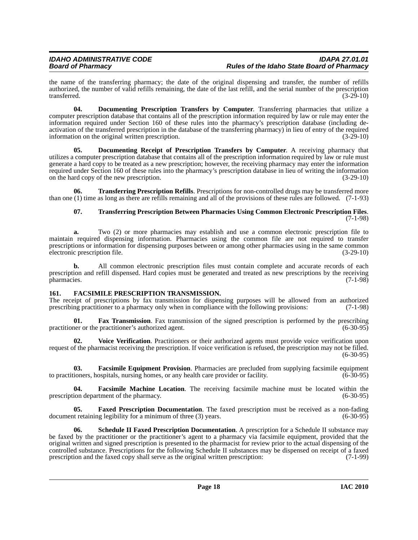the name of the transferring pharmacy; the date of the original dispensing and transfer, the number of refills authorized, the number of valid refills remaining, the date of the last refill, and the serial number of the prescription transferred.  $(3-29-10)$ 

**04. Documenting Prescription Transfers by Computer**. Transferring pharmacies that utilize a computer prescription database that contains all of the prescription information required by law or rule may enter the information required under Section 160 of these rules into the pharmacy's prescription database (including deactivation of the transferred prescription in the database of the transferring pharmacy) in lieu of entry of the required information on the original written prescription. (3-29-10)

**05. Documenting Receipt of Prescription Transfers by Computer**. A receiving pharmacy that utilizes a computer prescription database that contains all of the prescription information required by law or rule must generate a hard copy to be treated as a new prescription; however, the receiving pharmacy may enter the information required under Section 160 of these rules into the pharmacy's prescription database in lieu of writing the information on the hard copy of the new prescription. (3-29-10)

**06. Transferring Prescription Refills**. Prescriptions for non-controlled drugs may be transferred more than one (1) time as long as there are refills remaining and all of the provisions of these rules are followed. (7-1-93)

### **07. Transferring Prescription Between Pharmacies Using Common Electronic Prescription Files**. (7-1-98)

**a.** Two (2) or more pharmacies may establish and use a common electronic prescription file to maintain required dispensing information. Pharmacies using the common file are not required to transfer prescriptions or information for dispensing purposes between or among other pharmacies using in the same common<br>electronic prescription file. (3-29-10) electronic prescription file.

**b.** All common electronic prescription files must contain complete and accurate records of each prescription and refill dispensed. Hard copies must be generated and treated as new prescriptions by the receiving pharmacies. (7-1-98)

### <span id="page-17-0"></span>**161. FACSIMILE PRESCRIPTION TRANSMISSION.**

The receipt of prescriptions by fax transmission for dispensing purposes will be allowed from an authorized prescribing practitioner to a pharmacy only when in compliance with the following provisions: (7-1-98)

**01. Fax Transmission**. Fax transmission of the signed prescription is performed by the prescribing ner or the practitioner's authorized agent. practitioner or the practitioner's authorized agent.

**02. Voice Verification**. Practitioners or their authorized agents must provide voice verification upon request of the pharmacist receiving the prescription. If voice verification is refused, the prescription may not be filled.  $(6-30-95)$ 

**03. Facsimile Equipment Provision**. Pharmacies are precluded from supplying facsimile equipment ioners, hospitals, nursing homes, or any health care provider or facility. (6-30-95) to practitioners, hospitals, nursing homes, or any health care provider or facility.

**04. Facsimile Machine Location**. The receiving facsimile machine must be located within the prescription department of the pharmacy. (6-30-95)

**05. Faxed Prescription Documentation**. The faxed prescription must be received as a non-fading tegibility for a minimum of three (3) years. (6-30-95) document retaining legibility for a minimum of three  $(3)$  years.

**Schedule II Faxed Prescription Documentation**. A prescription for a Schedule II substance may be faxed by the practitioner or the practitioner's agent to a pharmacy via facsimile equipment, provided that the original written and signed prescription is presented to the pharmacist for review prior to the actual dispensing of the controlled substance. Prescriptions for the following Schedule II substances may be dispensed on receipt of a faxed prescription and the faxed copy shall serve as the original written prescription: (7-1-99) prescription and the faxed copy shall serve as the original written prescription: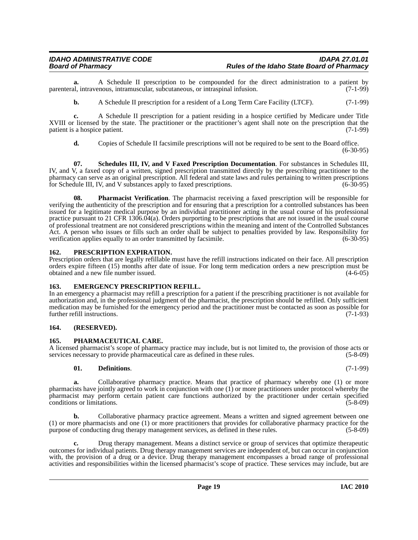**a.** A Schedule II prescription to be compounded for the direct administration to a patient by al. intravenous, intramuscular, subcutaneous, or intraspinal infusion. (7-1-99) parenteral, intravenous, intramuscular, subcutaneous, or intraspinal infusion.

**b.** A Schedule II prescription for a resident of a Long Term Care Facility (LTCF). (7-1-99)

**c.** A Schedule II prescription for a patient residing in a hospice certified by Medicare under Title XVIII or licensed by the state. The practitioner or the practitioner's agent shall note on the prescription that the patient is a hospice patient. (7-1-99) patient is a hospice patient.

**d.** Copies of Schedule II facsimile prescriptions will not be required to be sent to the Board office.

 $(6-30-95)$ 

**07. Schedules III, IV, and V Faxed Prescription Documentation**. For substances in Schedules III, IV, and V, a faxed copy of a written, signed prescription transmitted directly by the prescribing practitioner to the pharmacy can serve as an original prescription. All federal and state laws and rules pertaining to written prescriptions for Schedule III, IV, and V substances apply to faxed prescriptions. (6-30-95) for Schedule III, IV, and V substances apply to faxed prescriptions.

**08. Pharmacist Verification**. The pharmacist receiving a faxed prescription will be responsible for verifying the authenticity of the prescription and for ensuring that a prescription for a controlled substances has been issued for a legitimate medical purpose by an individual practitioner acting in the usual course of his professional practice pursuant to 21 CFR 1306.04(a). Orders purporting to be prescriptions that are not issued in the usual course of professional treatment are not considered prescriptions within the meaning and intent of the Controlled Substances Act. A person who issues or fills such an order shall be subject to penalties provided by law. Responsibility for verification applies equally to an order transmitted by facsimile. (6-30-95)

### <span id="page-18-0"></span>**162. PRESCRIPTION EXPIRATION.**

Prescription orders that are legally refillable must have the refill instructions indicated on their face. All prescription orders expire fifteen (15) months after date of issue. For long term medication orders a new prescription must be obtained and a new file number issued. (4-6-05)

### <span id="page-18-1"></span>**163. EMERGENCY PRESCRIPTION REFILL.**

In an emergency a pharmacist may refill a prescription for a patient if the prescribing practitioner is not available for authorization and, in the professional judgment of the pharmacist, the prescription should be refilled. Only sufficient medication may be furnished for the emergency period and the practitioner must be contacted as soon as possible for further refill instructions. (7-1-93) further refill instructions.

### <span id="page-18-2"></span>**164. (RESERVED).**

### <span id="page-18-3"></span>**165. PHARMACEUTICAL CARE.**

A licensed pharmacist's scope of pharmacy practice may include, but is not limited to, the provision of those acts or services necessary to provide pharmaceutical care as defined in these rules. (5-8-09)

### **01. Definitions**. (7-1-99)

**a.** Collaborative pharmacy practice. Means that practice of pharmacy whereby one (1) or more pharmacists have jointly agreed to work in conjunction with one (1) or more practitioners under protocol whereby the pharmacist may perform certain patient care functions authorized by the practitioner under certain specified conditions or limitations. (5-8-09)

**b.** Collaborative pharmacy practice agreement. Means a written and signed agreement between one (1) or more pharmacists and one (1) or more practitioners that provides for collaborative pharmacy practice for the purpose of conducting drug therapy management services, as defined in these rules. (5-8-09)

**c.** Drug therapy management. Means a distinct service or group of services that optimize therapeutic outcomes for individual patients. Drug therapy management services are independent of, but can occur in conjunction with, the provision of a drug or a device. Drug therapy management encompasses a broad range of professional activities and responsibilities within the licensed pharmacist's scope of practice. These services may include, but are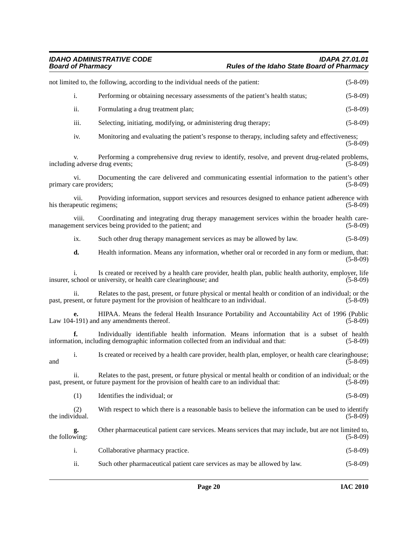### *IDAHO ADMINISTRATIVE CODE IDAPA 27.01.01 Board of Pharmacy Rules of the Idaho State Board of Pharmacy*

|                 |                                   | not limited to, the following, according to the individual needs of the patient:                                                                                                                    | $(5-8-09)$ |
|-----------------|-----------------------------------|-----------------------------------------------------------------------------------------------------------------------------------------------------------------------------------------------------|------------|
|                 | i.                                | Performing or obtaining necessary assessments of the patient's health status;                                                                                                                       | $(5-8-09)$ |
|                 | ii.                               | Formulating a drug treatment plan;                                                                                                                                                                  | $(5-8-09)$ |
|                 | iii.                              | Selecting, initiating, modifying, or administering drug therapy;                                                                                                                                    | $(5-8-09)$ |
|                 | iv.                               | Monitoring and evaluating the patient's response to therapy, including safety and effectiveness;                                                                                                    | $(5-8-09)$ |
|                 | V.                                | Performing a comprehensive drug review to identify, resolve, and prevent drug-related problems,<br>including adverse drug events;                                                                   | $(5-8-09)$ |
|                 | vi.<br>primary care providers;    | Documenting the care delivered and communicating essential information to the patient's other                                                                                                       | $(5-8-09)$ |
|                 | vii.<br>his therapeutic regimens; | Providing information, support services and resources designed to enhance patient adherence with                                                                                                    | $(5-8-09)$ |
|                 | viii.                             | Coordinating and integrating drug therapy management services within the broader health care-<br>management services being provided to the patient; and                                             | $(5-8-09)$ |
|                 | ix.                               | Such other drug therapy management services as may be allowed by law.                                                                                                                               | $(5-8-09)$ |
|                 | d.                                | Health information. Means any information, whether oral or recorded in any form or medium, that:                                                                                                    | $(5-8-09)$ |
|                 |                                   | Is created or received by a health care provider, health plan, public health authority, employer, life<br>insurer, school or university, or health care clearinghouse; and                          | $(5-8-09)$ |
|                 | ii.                               | Relates to the past, present, or future physical or mental health or condition of an individual; or the<br>past, present, or future payment for the provision of healthcare to an individual.       | $(5-8-09)$ |
|                 | e.                                | HIPAA. Means the federal Health Insurance Portability and Accountability Act of 1996 (Public<br>Law 104-191) and any amendments thereof.                                                            | $(5-8-09)$ |
|                 | f.                                | Individually identifiable health information. Means information that is a subset of health<br>information, including demographic information collected from an individual and that:                 | $(5-8-09)$ |
| and             | i.                                | Is created or received by a health care provider, health plan, employer, or health care clearinghouse;                                                                                              | $(5-8-09)$ |
|                 | ii.                               | Relates to the past, present, or future physical or mental health or condition of an individual; or the<br>past, present, or future payment for the provision of health care to an individual that: | $(5-8-09)$ |
|                 | (1)                               | Identifies the individual; or                                                                                                                                                                       | $(5-8-09)$ |
| the individual. | (2)                               | With respect to which there is a reasonable basis to believe the information can be used to identify                                                                                                | $(5-8-09)$ |
| the following:  | g.                                | Other pharmaceutical patient care services. Means services that may include, but are not limited to,                                                                                                | $(5-8-09)$ |
|                 | i.                                | Collaborative pharmacy practice.                                                                                                                                                                    | $(5-8-09)$ |
|                 | ii.                               | Such other pharmaceutical patient care services as may be allowed by law.                                                                                                                           | $(5-8-09)$ |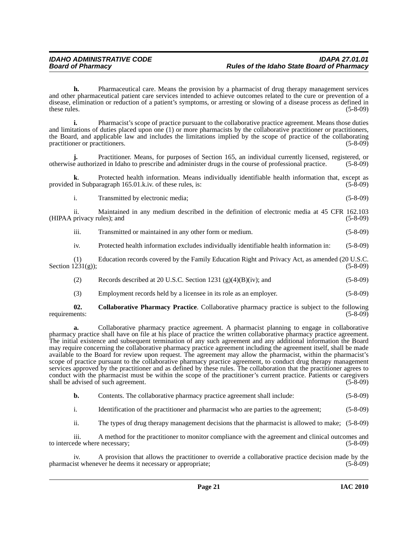**h.** Pharmaceutical care. Means the provision by a pharmacist of drug therapy management services and other pharmaceutical patient care services intended to achieve outcomes related to the cure or prevention of a disease, elimination or reduction of a patient's symptoms, or arresting or slowing of a disease process as defined in these rules.  $(5-8-09)$ 

**i.** Pharmacist's scope of practice pursuant to the collaborative practice agreement. Means those duties and limitations of duties placed upon one (1) or more pharmacists by the collaborative practitioner or practitioners, the Board, and applicable law and includes the limitations implied by the scope of practice of the collaborating practitioner or practitioners. (5-8-09)

**j.** Practitioner. Means, for purposes of Section 165, an individual currently licensed, registered, or e authorized in Idaho to prescribe and administer drugs in the course of professional practice. (5-8-09) otherwise authorized in Idaho to prescribe and administer drugs in the course of professional practice.

**k**. Protected health information. Means individually identifiable health information that, except as in Subparagraph 165.01.k.iv. of these rules, is: (5-8-09) provided in Subparagraph 165.01.k.iv. of these rules, is:

i. Transmitted by electronic media; (5-8-09)

ii. Maintained in any medium described in the definition of electronic media at 45 CFR 162.103 (HIPAA privacy rules); and (5-8-09)

iii. Transmitted or maintained in any other form or medium. (5-8-09)

iv. Protected health information excludes individually identifiable health information in: (5-8-09)

(1) Education records covered by the Family Education Right and Privacy Act, as amended  $(20 \text{ U.S.C.})$ <br>(5-8-09) Section  $1231(g)$ ;

(2) Records described at 20 U.S.C. Section 1231 (g)(4)(B)(iv); and (5-8-09)

(3) Employment records held by a licensee in its role as an employer. (5-8-09)

**02.** Collaborative Pharmacy Practice. Collaborative pharmacy practice is subject to the following ents: (5-8-09) requirements:

**a.** Collaborative pharmacy practice agreement. A pharmacist planning to engage in collaborative pharmacy practice shall have on file at his place of practice the written collaborative pharmacy practice agreement. The initial existence and subsequent termination of any such agreement and any additional information the Board may require concerning the collaborative pharmacy practice agreement including the agreement itself, shall be made available to the Board for review upon request. The agreement may allow the pharmacist, within the pharmacist's scope of practice pursuant to the collaborative pharmacy practice agreement, to conduct drug therapy management services approved by the practitioner and as defined by these rules. The collaboration that the practitioner agrees to conduct with the pharmacist must be within the scope of the practitioner's current practice. Patients or caregivers shall be advised of such agreement. (5-8-09)

**b.** Contents. The collaborative pharmacy practice agreement shall include: (5-8-09)

i. Identification of the practitioner and pharmacist who are parties to the agreement; (5-8-09)

ii. The types of drug therapy management decisions that the pharmacist is allowed to make; (5-8-09)

iii. A method for the practitioner to monitor compliance with the agreement and clinical outcomes and to intercede where necessary; (5-8-09) to intercede where necessary;

iv. A provision that allows the practitioner to override a collaborative practice decision made by the pharmacist whenever he deems it necessary or appropriate; (5-8-09)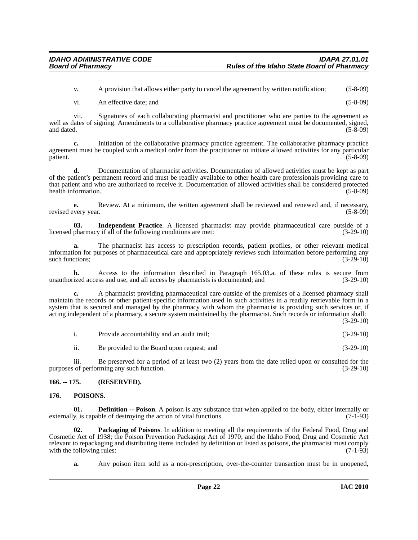v. A provision that allows either party to cancel the agreement by written notification; (5-8-09)

vi. An effective date; and (5-8-09)

vii. Signatures of each collaborating pharmacist and practitioner who are parties to the agreement as well as dates of signing. Amendments to a collaborative pharmacy practice agreement must be documented, signed, and dated. (5-8-09) and dated.  $(5-8-09)$ 

**c.** Initiation of the collaborative pharmacy practice agreement. The collaborative pharmacy practice agreement must be coupled with a medical order from the practitioner to initiate allowed activities for any particular patient. (5-8-09)

**d.** Documentation of pharmacist activities. Documentation of allowed activities must be kept as part of the patient's permanent record and must be readily available to other health care professionals providing care to that patient and who are authorized to receive it. Documentation of allowed activities shall be considered protected health information.

**e.** Review. At a minimum, the written agreement shall be reviewed and renewed and, if necessary, very year. (5-8-09) revised every year.

**03.** Independent Practice. A licensed pharmacist may provide pharmaceutical care outside of a pharmacy if all of the following conditions are met: (3-29-10) licensed pharmacy if all of the following conditions are met:

**a.** The pharmacist has access to prescription records, patient profiles, or other relevant medical information for purposes of pharmaceutical care and appropriately reviews such information before performing any such functions; (3-29-10)

**b.** Access to the information described in Paragraph 165.03.a. of these rules is secure from unauthorized access and use, and all access by pharmacists is documented; and (3-29-10)

**c.** A pharmacist providing pharmaceutical care outside of the premises of a licensed pharmacy shall maintain the records or other patient-specific information used in such activities in a readily retrievable form in a system that is secured and managed by the pharmacy with whom the pharmacist is providing such services or, if acting independent of a pharmacy, a secure system maintained by the pharmacist. Such records or information shall: (3-29-10)

| Provide accountability and an audit trail: | $(3-29-10)$ |
|--------------------------------------------|-------------|

ii. Be provided to the Board upon request; and (3-29-10)

iii. Be preserved for a period of at least two (2) years from the date relied upon or consulted for the purposes of performing any such function. (3-29-10)

<span id="page-21-0"></span>**166. -- 175. (RESERVED).**

### <span id="page-21-1"></span>**176. POISONS.**

**01. Definition -- Poison**. A poison is any substance that when applied to the body, either internally or y, is capable of destroying the action of vital functions. (7-1-93) externally, is capable of destroying the action of vital functions.

**Packaging of Poisons**. In addition to meeting all the requirements of the Federal Food, Drug and Cosmetic Act of 1938; the Poison Prevention Packaging Act of 1970; and the Idaho Food, Drug and Cosmetic Act relevant to repackaging and distributing items included by definition or listed as poisons, the pharmacist must comply with the following rules: (7-1-93) with the following rules:

**a.** Any poison item sold as a non-prescription, over-the-counter transaction must be in unopened,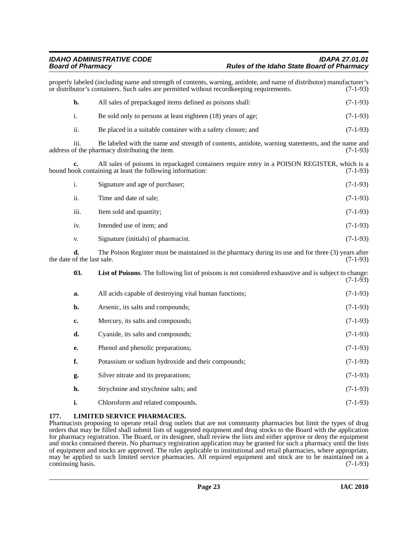|                                  | properly labeled (including name and strength of contents, warning, antidote, and name of distributor) manufacturer's<br>or distributor's containers. Such sales are permitted without record keeping requirements. | $(7-1-93)$ |
|----------------------------------|---------------------------------------------------------------------------------------------------------------------------------------------------------------------------------------------------------------------|------------|
| b.                               | All sales of prepackaged items defined as poisons shall:                                                                                                                                                            | $(7-1-93)$ |
| i.                               | Be sold only to persons at least eighteen (18) years of age;                                                                                                                                                        | $(7-1-93)$ |
| ii.                              | Be placed in a suitable container with a safety closure; and                                                                                                                                                        | $(7-1-93)$ |
| iii.                             | Be labeled with the name and strength of contents, antidote, warning statements, and the name and<br>address of the pharmacy distributing the item.                                                                 | $(7-1-93)$ |
|                                  | All sales of poisons in repackaged containers require entry in a POISON REGISTER, which is a<br>bound book containing at least the following information:                                                           | $(7-1-93)$ |
| i.                               | Signature and age of purchaser;                                                                                                                                                                                     | $(7-1-93)$ |
| ii.                              | Time and date of sale;                                                                                                                                                                                              | $(7-1-93)$ |
| iii.                             | Item sold and quantity;                                                                                                                                                                                             | $(7-1-93)$ |
| iv.                              | Intended use of item; and                                                                                                                                                                                           | $(7-1-93)$ |
| V.                               | Signature (initials) of pharmacist.                                                                                                                                                                                 | $(7-1-93)$ |
| d.<br>the date of the last sale. | The Poison Register must be maintained in the pharmacy during its use and for three (3) years after                                                                                                                 | $(7-1-93)$ |
| 03.                              | List of Poisons. The following list of poisons is not considered exhaustive and is subject to change:                                                                                                               | $(7-1-93)$ |
| a.                               | All acids capable of destroying vital human functions;                                                                                                                                                              | $(7-1-93)$ |
| b.                               | Arsenic, its salts and compounds;                                                                                                                                                                                   | $(7-1-93)$ |
| c.                               | Mercury, its salts and compounds;                                                                                                                                                                                   | $(7-1-93)$ |
| d.                               | Cyanide, its salts and compounds;                                                                                                                                                                                   | $(7-1-93)$ |
| e.                               | Phenol and phenolic preparations;                                                                                                                                                                                   | $(7-1-93)$ |
| f.                               | Potassium or sodium hydroxide and their compounds;                                                                                                                                                                  | $(7-1-93)$ |
| g.                               | Silver nitrate and its preparations;                                                                                                                                                                                | $(7-1-93)$ |
| h.                               | Strychnine and strychnine salts; and                                                                                                                                                                                | $(7-1-93)$ |
| i.                               | Chloroform and related compounds.                                                                                                                                                                                   | $(7-1-93)$ |

### <span id="page-22-0"></span>**177. LIMITED SERVICE PHARMACIES.**

Pharmacists proposing to operate retail drug outlets that are not community pharmacies but limit the types of drug orders that may be filled shall submit lists of suggested equipment and drug stocks to the Board with the application for pharmacy registration. The Board, or its designee, shall review the lists and either approve or deny the equipment and stocks contained therein. No pharmacy registration application may be granted for such a pharmacy until the lists of equipment and stocks are approved. The rules applicable to institutional and retail pharmacies, where appropriate, may be applied to such limited service pharmacies. All required equipment and stock are to be maintained on a continuing basis. (7-1-93)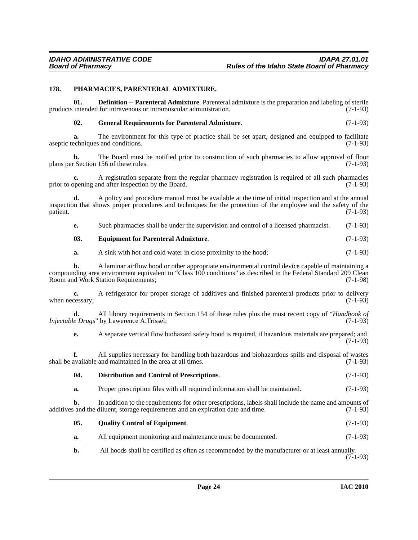### <span id="page-23-0"></span>**178. PHARMACIES, PARENTERAL ADMIXTURE.**

**01. Definition -- Parenteral Admixture**. Parenteral admixture is the preparation and labeling of sterile products intended for intravenous or intramuscular administration. (7-1-93) **02. General Requirements for Parenteral Admixture**. (7-1-93) **a.** The environment for this type of practice shall be set apart, designed and equipped to facilitate aseptic techniques and conditions. (7-1-93) **b.** The Board must be notified prior to construction of such pharmacies to allow approval of floor r Section 156 of these rules. (7-1-93) plans per Section 156 of these rules. **c.** A registration separate from the regular pharmacy registration is required of all such pharmacies opening and after inspection by the Board. (7-1-93) prior to opening and after inspection by the Board. **d.** A policy and procedure manual must be available at the time of initial inspection and at the annual inspection that shows proper procedures and techniques for the protection of the employee and the safety of the patient. (7-1-93) **e.** Such pharmacies shall be under the supervision and control of a licensed pharmacist. (7-1-93) **03. Equipment for Parenteral Admixture**. (7-1-93) **a.** A sink with hot and cold water in close proximity to the hood;  $(7-1-93)$ **b.** A laminar airflow hood or other appropriate environmental control device capable of maintaining a compounding area environment equivalent to "Class 100 conditions" as described in the Federal Standard 209 Clean Room and Work Station Requirements; (7-1-98) **c.** A refrigerator for proper storage of additives and finished parenteral products prior to delivery when necessary;  $(7-1-93)$ **d.** All library requirements in Section 154 of these rules plus the most recent copy of "*Handbook of Injectable Drugs*" by Lawerence A.Trissel; (7-1-93) **e.** A separate vertical flow biohazard safety hood is required, if hazardous materials are prepared; and (7-1-93) **f.** All supplies necessary for handling both hazardous and biohazardous spills and disposal of wastes shall be available and maintained in the area at all times. (7-1-93) **04. Distribution and Control of Prescriptions**. (7-1-93) **a.** Proper prescription files with all required information shall be maintained.  $(7-1-93)$ **b.** In addition to the requirements for other prescriptions, labels shall include the name and amounts of additives and the diluent, storage requirements and an expiration date and time. (7-1-93) **05. Quality Control of Equipment**. (7-1-93) **a.** All equipment monitoring and maintenance must be documented.  $(7-1-93)$ **b.** All hoods shall be certified as often as recommended by the manufacturer or at least annually.  $(7-1-93)$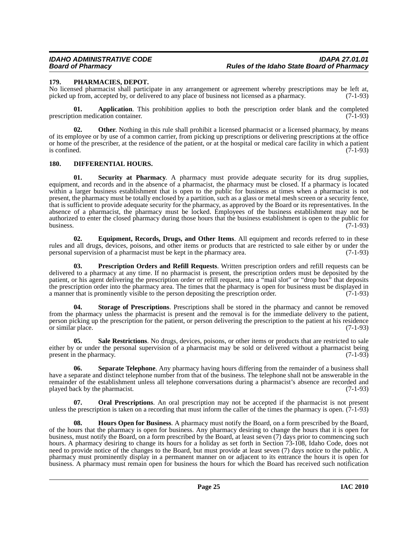### <span id="page-24-0"></span>**179. PHARMACIES, DEPOT.**

No licensed pharmacist shall participate in any arrangement or agreement whereby prescriptions may be left at, picked up from, accepted by, or delivered to any place of business not licensed as a pharmacy. (7-1-93)

**01. Application**. This prohibition applies to both the prescription order blank and the completed prescription medication container. (7-1-93)

**02.** Other. Nothing in this rule shall prohibit a licensed pharmacist or a licensed pharmacy, by means of its employee or by use of a common carrier, from picking up prescriptions or delivering prescriptions at the office or home of the prescriber, at the residence of the patient, or at the hospital or medical care facility in which a patient is confined. (7-1-93) is confined.  $(7-1-93)$ 

### <span id="page-24-1"></span>**180. DIFFERENTIAL HOURS.**

**01. Security at Pharmacy**. A pharmacy must provide adequate security for its drug supplies, equipment, and records and in the absence of a pharmacist, the pharmacy must be closed. If a pharmacy is located within a larger business establishment that is open to the public for business at times when a pharmacist is not present, the pharmacy must be totally enclosed by a partition, such as a glass or metal mesh screen or a security fence, that is sufficient to provide adequate security for the pharmacy, as approved by the Board or its representatives. In the absence of a pharmacist, the pharmacy must be locked. Employees of the business establishment may not be authorized to enter the closed pharmacy during those hours that the business establishment is open to the public for business. (7-1-93) business.  $(7-1-93)$ 

**02. Equipment, Records, Drugs, and Other Items**. All equipment and records referred to in these rules and all drugs, devices, poisons, and other items or products that are restricted to sale either by or under the personal supervision of a pharmacist must be kept in the pharmacy area. (7-1-93) personal supervision of a pharmacist must be kept in the pharmacy area.

**03. Prescription Orders and Refill Requests**. Written prescription orders and refill requests can be delivered to a pharmacy at any time. If no pharmacist is present, the prescription orders must be deposited by the patient, or his agent delivering the prescription order or refill request, into a "mail slot" or "drop box" that deposits the prescription order into the pharmacy area. The times that the pharmacy is open for business must be displayed in a manner that is prominently visible to the person depositing the prescription order. (7-1-93)

**04. Storage of Prescriptions**. Prescriptions shall be stored in the pharmacy and cannot be removed from the pharmacy unless the pharmacist is present and the removal is for the immediate delivery to the patient, person picking up the prescription for the patient, or person delivering the prescription to the patient at his residence or similar place. (7-1-93)

**05.** Sale Restrictions. No drugs, devices, poisons, or other items or products that are restricted to sale either by or under the personal supervision of a pharmacist may be sold or delivered without a pharmacist being present in the pharmacy.  $(7-1-93)$ 

**06. Separate Telephone**. Any pharmacy having hours differing from the remainder of a business shall have a separate and distinct telephone number from that of the business. The telephone shall not be answerable in the remainder of the establishment unless all telephone conversations during a pharmacist's absence are recorded and played back by the pharmacist. (7-1-93) played back by the pharmacist.

**Oral Prescriptions.** An oral prescription may not be accepted if the pharmacist is not present unless the prescription is taken on a recording that must inform the caller of the times the pharmacy is open. (7-1-93)

**08. Hours Open for Business**. A pharmacy must notify the Board, on a form prescribed by the Board, of the hours that the pharmacy is open for business. Any pharmacy desiring to change the hours that it is open for business, must notify the Board, on a form prescribed by the Board, at least seven (7) days prior to commencing such hours. A pharmacy desiring to change its hours for a holiday as set forth in Section 73-108, Idaho Code, does not need to provide notice of the changes to the Board, but must provide at least seven (7) days notice to the public. A pharmacy must prominently display in a permanent manner on or adjacent to its entrance the hours it is open for business. A pharmacy must remain open for business the hours for which the Board has received such notification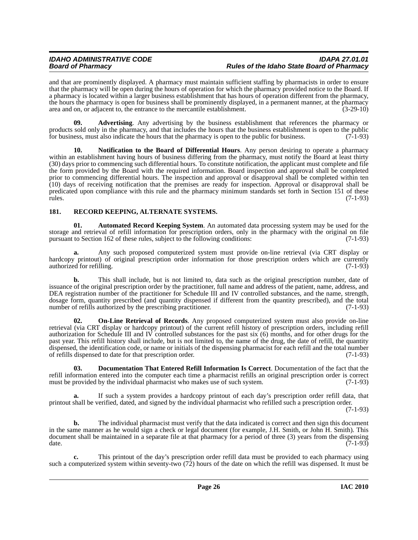and that are prominently displayed. A pharmacy must maintain sufficient staffing by pharmacists in order to ensure that the pharmacy will be open during the hours of operation for which the pharmacy provided notice to the Board. If a pharmacy is located within a larger business establishment that has hours of operation different from the pharmacy, the hours the pharmacy is open for business shall be prominently displayed, in a permanent manner, at the pharmacy area and on, or adjacent to, the entrance to the mercantile establishment. (3-29-10)

**09. Advertising**. Any advertising by the business establishment that references the pharmacy or products sold only in the pharmacy, and that includes the hours that the business establishment is open to the public for business, must also indicate the hours that the pharmacy is open to the public for business. (7-1-93)

**10. Notification to the Board of Differential Hours**. Any person desiring to operate a pharmacy within an establishment having hours of business differing from the pharmacy, must notify the Board at least thirty (30) days prior to commencing such differential hours. To constitute notification, the applicant must complete and file the form provided by the Board with the required information. Board inspection and approval shall be completed prior to commencing differential hours. The inspection and approval or disapproval shall be completed within ten (10) days of receiving notification that the premises are ready for inspection. Approval or disapproval shall be predicated upon compliance with this rule and the pharmacy minimum standards set forth in Section 151 of these rules. (7-1-93)

### <span id="page-25-0"></span>**181. RECORD KEEPING, ALTERNATE SYSTEMS.**

**01. Automated Record Keeping System**. An automated data processing system may be used for the storage and retrieval of refill information for prescription orders, only in the pharmacy with the original on file pursuant to Section 162 of these rules, subject to the following conditions: (7-1-93)

**a.** Any such proposed computerized system must provide on-line retrieval (via CRT display or hardcopy printout) of original prescription order information for those prescription orders which are currently authorized for refilling. (7-1-93) authorized for refilling.

**b.** This shall include, but is not limited to, data such as the original prescription number, date of issuance of the original prescription order by the practitioner, full name and address of the patient, name, address, and DEA registration number of the practitioner for Schedule III and IV controlled substances, and the name, strength, dosage form, quantity prescribed (and quantity dispensed if different from the quantity prescribed), and the total number of refills authorized by the prescribing practitioner. (7-1-93)

**02. On-Line Retrieval of Records**. Any proposed computerized system must also provide on-line retrieval (via CRT display or hardcopy printout) of the current refill history of prescription orders, including refill authorization for Schedule III and IV controlled substances for the past six (6) months, and for other drugs for the past year. This refill history shall include, but is not limited to, the name of the drug, the date of refill, the quantity dispensed, the identification code, or name or initials of the dispensing pharmacist for each refill and the total number of refills dispensed to date for that prescription order. (7-1-93)

**03. Documentation That Entered Refill Information Is Correct**. Documentation of the fact that the refill information entered into the computer each time a pharmacist refills an original prescription order is correct must be provided by the individual pharmacist who makes use of such system. (7-1-93)

**a.** If such a system provides a hardcopy printout of each day's prescription order refill data, that printout shall be verified, dated, and signed by the individual pharmacist who refilled such a prescription order.

(7-1-93)

**b.** The individual pharmacist must verify that the data indicated is correct and then sign this document in the same manner as he would sign a check or legal document (for example, J.H. Smith, or John H. Smith). This document shall be maintained in a separate file at that pharmacy for a period of three (3) years from the dispensing date.  $(7-1-93)$ 

**c.** This printout of the day's prescription order refill data must be provided to each pharmacy using such a computerized system within seventy-two (72) hours of the date on which the refill was dispensed. It must be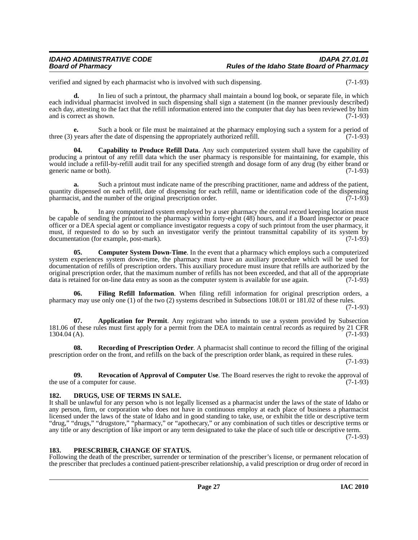verified and signed by each pharmacist who is involved with such dispensing. (7-1-93)

**d.** In lieu of such a printout, the pharmacy shall maintain a bound log book, or separate file, in which each individual pharmacist involved in such dispensing shall sign a statement (in the manner previously described) each day, attesting to the fact that the refill information entered into the computer that day has been reviewed by him and is correct as shown. (7-1-93)

**e.** Such a book or file must be maintained at the pharmacy employing such a system for a period of three (3) years after the date of dispensing the appropriately authorized refill. (7-1-93)

**04. Capability to Produce Refill Data**. Any such computerized system shall have the capability of producing a printout of any refill data which the user pharmacy is responsible for maintaining, for example, this would include a refill-by-refill audit trail for any specified strength and dosage form of any drug (by either brand or generic name or both). (7-1-93)

**a.** Such a printout must indicate name of the prescribing practitioner, name and address of the patient, quantity dispensed on each refill, date of dispensing for each refill, name or identification code of the dispensing pharmacist, and the number of the original prescription order.  $(7-1-93)$ 

**b.** In any computerized system employed by a user pharmacy the central record keeping location must be capable of sending the printout to the pharmacy within forty-eight (48) hours, and if a Board inspector or peace officer or a DEA special agent or compliance investigator requests a copy of such printout from the user pharmacy, it must, if requested to do so by such an investigator verify the printout transmittal capability of its system by documentation (for example, post-mark). (7-1-93)

**05.** Computer System Down-Time. In the event that a pharmacy which employs such a computerized system experiences system down-time, the pharmacy must have an auxiliary procedure which will be used for documentation of refills of prescription orders. This auxiliary procedure must insure that refills are authorized by the original prescription order, that the maximum number of refills has not been exceeded, and that all of the appropriate data is retained for on-line data entry as soon as the computer system is available for use again. (7-1-93)

**06. Filing Refill Information**. When filing refill information for original prescription orders, a pharmacy may use only one (1) of the two (2) systems described in Subsections 108.01 or 181.02 of these rules.

(7-1-93)

**07. Application for Permit**. Any registrant who intends to use a system provided by Subsection 181.06 of these rules must first apply for a permit from the DEA to maintain central records as required by 21 CFR  $1304.04(A)$ . (7-1-93)

**08. Recording of Prescription Order**. A pharmacist shall continue to record the filling of the original prescription order on the front, and refills on the back of the prescription order blank, as required in these rules.

(7-1-93)

**09. Revocation of Approval of Computer Use**. The Board reserves the right to revoke the approval of the use of a computer for cause.  $(7-1-93)$ 

### <span id="page-26-0"></span>**182. DRUGS, USE OF TERMS IN SALE.**

It shall be unlawful for any person who is not legally licensed as a pharmacist under the laws of the state of Idaho or any person, firm, or corporation who does not have in continuous employ at each place of business a pharmacist licensed under the laws of the state of Idaho and in good standing to take, use, or exhibit the title or descriptive term "drug," "drugs," "drugstore," "pharmacy," or "apothecary," or any combination of such titles or descriptive terms or any title or any description of like import or any term designated to take the place of such title or descriptive term.

(7-1-93)

### <span id="page-26-1"></span>**183. PRESCRIBER, CHANGE OF STATUS.**

Following the death of the prescriber, surrender or termination of the prescriber's license, or permanent relocation of the prescriber that precludes a continued patient-prescriber relationship, a valid prescription or drug order of record in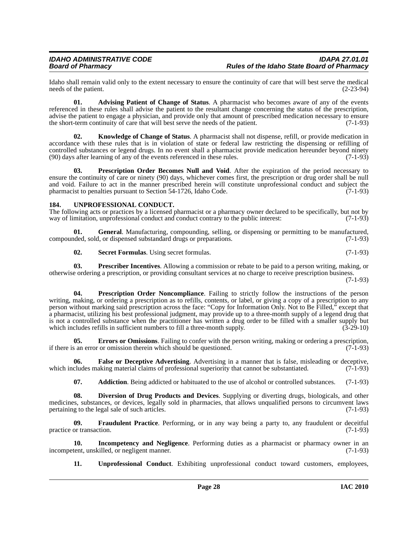Idaho shall remain valid only to the extent necessary to ensure the continuity of care that will best serve the medical needs of the patient.

**01. Advising Patient of Change of Status**. A pharmacist who becomes aware of any of the events referenced in these rules shall advise the patient to the resultant change concerning the status of the prescription, advise the patient to engage a physician, and provide only that amount of prescribed medication necessary to ensure<br>the short-term continuity of care that will best serve the needs of the patient. (7-1-93) the short-term continuity of care that will best serve the needs of the patient.

**02. Knowledge of Change of Status**. A pharmacist shall not dispense, refill, or provide medication in accordance with these rules that is in violation of state or federal law restricting the dispensing or refilling of controlled substances or legend drugs. In no event shall a pharmacist provide medication hereunder beyond ninety (90) days after learning of any of the events referenced in these rules. (7-1-93)

**03. Prescription Order Becomes Null and Void**. After the expiration of the period necessary to ensure the continuity of care or ninety (90) days, whichever comes first, the prescription or drug order shall be null and void. Failure to act in the manner prescribed herein will constitute unprofessional conduct and subject the pharmacist to penalties pursuant to Section 54-1726, Idaho Code. (7-1-93) pharmacist to penalties pursuant to Section 54-1726, Idaho Code.

### <span id="page-27-0"></span>**184. UNPROFESSIONAL CONDUCT.**

The following acts or practices by a licensed pharmacist or a pharmacy owner declared to be specifically, but not by way of limitation, unprofessional conduct and conduct contrary to the public interest: (7-1-93)

**01. General**. Manufacturing, compounding, selling, or dispensing or permitting to be manufactured, compounded, sold, or dispensed substandard drugs or preparations. (7-1-93)

**02. Secret Formulas**. Using secret formulas. (7-1-93)

**03. Prescriber Incentives**. Allowing a commission or rebate to be paid to a person writing, making, or otherwise ordering a prescription, or providing consultant services at no charge to receive prescription business.

(7-1-93)

**04. Prescription Order Noncompliance**. Failing to strictly follow the instructions of the person writing, making, or ordering a prescription as to refills, contents, or label, or giving a copy of a prescription to any person without marking said prescription across the face: "Copy for Information Only. Not to Be Filled," except that a pharmacist, utilizing his best professional judgment, may provide up to a three-month supply of a legend drug that is not a controlled substance when the practitioner has written a drug order to be filled with a smaller supply but which includes refills in sufficient numbers to fill a three-month supply. (3-29-10) which includes refills in sufficient numbers to fill a three-month supply.

**05. Errors or Omissions**. Failing to confer with the person writing, making or ordering a prescription, s an error or omission therein which should be questioned. (7-1-93) if there is an error or omission therein which should be questioned.

**06. False or Deceptive Advertising**. Advertising in a manner that is false, misleading or deceptive, which includes making material claims of professional superiority that cannot be substantiated.  $(7-1-93)$ 

**07.** Addiction. Being addicted or habituated to the use of alcohol or controlled substances. (7-1-93)

**08. Diversion of Drug Products and Devices**. Supplying or diverting drugs, biologicals, and other medicines, substances, or devices, legally sold in pharmacies, that allows unqualified persons to circumvent laws pertaining to the legal sale of such articles. (7-1-93) pertaining to the legal sale of such articles.

**09. Fraudulent Practice**. Performing, or in any way being a party to, any fraudulent or deceitful practice or transaction. (7-1-93)

**10. Incompetency and Negligence**. Performing duties as a pharmacist or pharmacy owner in an tent, unskilled, or negligent manner. (7-1-93) incompetent, unskilled, or negligent manner.

**11. Unprofessional Conduct**. Exhibiting unprofessional conduct toward customers, employees,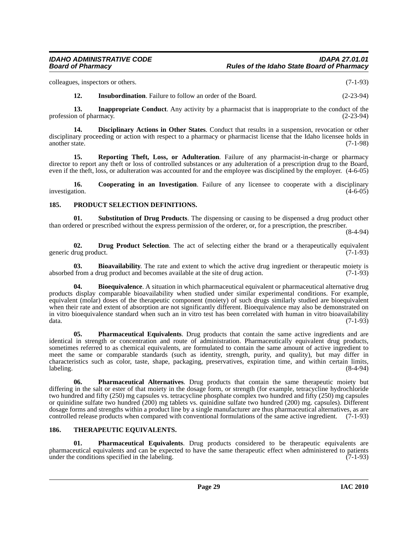colleagues, inspectors or others. (7-1-93)

**12.** Insubordination. Failure to follow an order of the Board. (2-23-94)

**13. Inappropriate Conduct**. Any activity by a pharmacist that is inappropriate to the conduct of the profession of pharmacy. (2-23-94)

**14. Disciplinary Actions in Other States**. Conduct that results in a suspension, revocation or other disciplinary proceeding or action with respect to a pharmacy or pharmacist license that the Idaho licensee holds in another state. (7-1-98)

**15. Reporting Theft, Loss, or Adulteration**. Failure of any pharmacist-in-charge or pharmacy director to report any theft or loss of controlled substances or any adulteration of a prescription drug to the Board, even if the theft, loss, or adulteration was accounted for and the employee was disciplined by the employer. (4-6-05)

**16.** Cooperating in an Investigation. Failure of any licensee to cooperate with a disciplinary (4-6-05) investigation.

### <span id="page-28-0"></span>**185. PRODUCT SELECTION DEFINITIONS.**

**01. Substitution of Drug Products**. The dispensing or causing to be dispensed a drug product other than ordered or prescribed without the express permission of the orderer, or, for a prescription, the prescriber.

(8-4-94)

**02. Drug Product Selection**. The act of selecting either the brand or a therapeutically equivalent lrug product. (7-1-93) generic drug product.

**03. Bioavailability**. The rate and extent to which the active drug ingredient or therapeutic moiety is from a drug product and becomes available at the site of drug action. (7-1-93) absorbed from a drug product and becomes available at the site of drug action.

**Bioequivalence**. A situation in which pharmaceutical equivalent or pharmaceutical alternative drug products display comparable bioavailability when studied under similar experimental conditions. For example, equivalent (molar) doses of the therapeutic component (moiety) of such drugs similarly studied are bioequivalent when their rate and extent of absorption are not significantly different. Bioequivalence may also be demonstrated on in vitro bioequivalence standard when such an in vitro test has been correlated with human in vitro bioavailability  $data.$  (7-1-93)

**05. Pharmaceutical Equivalents**. Drug products that contain the same active ingredients and are identical in strength or concentration and route of administration. Pharmaceutically equivalent drug products, sometimes referred to as chemical equivalents, are formulated to contain the same amount of active ingredient to meet the same or comparable standards (such as identity, strength, purity, and quality), but may differ in characteristics such as color, taste, shape, packaging, preservatives, expiration time, and within certain limits,  $\lambda$ labeling. (8-4-94)

**06. Pharmaceutical Alternatives**. Drug products that contain the same therapeutic moiety but differing in the salt or ester of that moiety in the dosage form, or strength (for example, tetracycline hydrochloride two hundred and fifty (250) mg capsules vs. tetracycline phosphate complex two hundred and fifty (250) mg capsules or quinidine sulfate two hundred (200) mg tablets vs. quinidine sulfate two hundred (200) mg. capsules). Different dosage forms and strengths within a product line by a single manufacturer are thus pharmaceutical alternatives, as are controlled release products when compared with conventional formulations of the same active ingredient. (7-1-93)

### <span id="page-28-1"></span>**186. THERAPEUTIC EQUIVALENTS.**

**01. Pharmaceutical Equivalents**. Drug products considered to be therapeutic equivalents are pharmaceutical equivalents and can be expected to have the same therapeutic effect when administered to patients under the conditions specified in the labeling. (7-1-93) under the conditions specified in the labeling.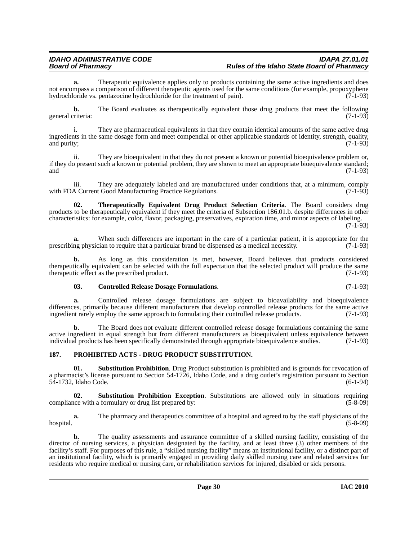**a.** Therapeutic equivalence applies only to products containing the same active ingredients and does not encompass a comparison of different therapeutic agents used for the same conditions (for example, propoxyphene hydrochloride vs. pentazocine hydrochloride for the treatment of pain). (7-1-93)

**b.** The Board evaluates as therapeutically equivalent those drug products that meet the following general criteria: (7-1-93)

i. They are pharmaceutical equivalents in that they contain identical amounts of the same active drug ingredients in the same dosage form and meet compendial or other applicable standards of identity, strength, quality, and purity;  $(7-1-93)$ 

ii. They are bioequivalent in that they do not present a known or potential bioequivalence problem or, if they do present such a known or potential problem, they are shown to meet an appropriate bioequivalence standard; and  $(7-1-93)$ 

iii. They are adequately labeled and are manufactured under conditions that, at a minimum, comply a Current Good Manufacturing Practice Regulations. with FDA Current Good Manufacturing Practice Regulations.

**02. Therapeutically Equivalent Drug Product Selection Criteria**. The Board considers drug products to be therapeutically equivalent if they meet the criteria of Subsection 186.01.b. despite differences in other characteristics: for example, color, flavor, packaging, preservatives, expiration time, and minor aspects of labeling.

(7-1-93)

**a.** When such differences are important in the care of a particular patient, it is appropriate for the prescribing physician to require that a particular brand be dispensed as a medical necessity. (7-1-93)

**b.** As long as this consideration is met, however, Board believes that products considered therapeutically equivalent can be selected with the full expectation that the selected product will produce the same therapeutic effect as the prescribed product. (7-1-93) therapeutic effect as the prescribed product.

### **03. Controlled Release Dosage Formulations**. (7-1-93)

**a.** Controlled release dosage formulations are subject to bioavailability and bioequivalence differences, primarily because different manufacturers that develop controlled release products for the same active ingredient rarely employ the same approach to formulating their controlled release products. (7-1-93) ingredient rarely employ the same approach to formulating their controlled release products.

**b.** The Board does not evaluate different controlled release dosage formulations containing the same active ingredient in equal strength but from different manufacturers as bioequivalent unless equivalence between individual products has been specifically demonstrated through appropriate bioequivalence studies. (7-1-93)

### <span id="page-29-0"></span>**187. PROHIBITED ACTS - DRUG PRODUCT SUBSTITUTION.**

**01. Substitution Prohibition**. Drug Product substitution is prohibited and is grounds for revocation of a pharmacist's license pursuant to Section 54-1726, Idaho Code, and a drug outlet's registration pursuant to Section 54-1732, Idaho Code. (6-1-94)

**02. Substitution Prohibition Exception**. Substitutions are allowed only in situations requiring compliance with a formulary or drug list prepared by: (5-8-09)

**a.** The pharmacy and therapeutics committee of a hospital and agreed to by the staff physicians of the hospital. (5-8-09)

**b.** The quality assessments and assurance committee of a skilled nursing facility, consisting of the director of nursing services, a physician designated by the facility, and at least three (3) other members of the facility's staff. For purposes of this rule, a "skilled nursing facility" means an institutional facility, or a distinct part of an institutional facility, which is primarily engaged in providing daily skilled nursing care and related services for residents who require medical or nursing care, or rehabilitation services for injured, disabled or sick persons.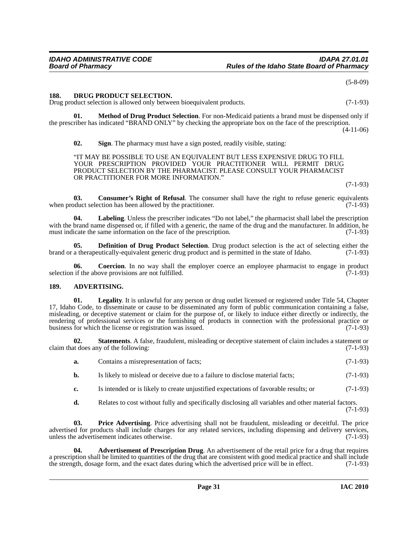(5-8-09)

### <span id="page-30-0"></span>**188. DRUG PRODUCT SELECTION.**

Drug product selection is allowed only between bioequivalent products. (7-1-93)

**01. Method of Drug Product Selection**. For non-Medicaid patients a brand must be dispensed only if the prescriber has indicated "BRAND ONLY" by checking the appropriate box on the face of the prescription.

 $(4-11-06)$ 

**02. Sign**. The pharmacy must have a sign posted, readily visible, stating:

"IT MAY BE POSSIBLE TO USE AN EQUIVALENT BUT LESS EXPENSIVE DRUG TO FILL YOUR PRESCRIPTION PROVIDED YOUR PRACTITIONER WILL PERMIT DRUG PRODUCT SELECTION BY THE PHARMACIST. PLEASE CONSULT YOUR PHARMACIST OR PRACTITIONER FOR MORE INFORMATION."

(7-1-93)

**03. Consumer's Right of Refusal**. The consumer shall have the right to refuse generic equivalents when product selection has been allowed by the practitioner. (7-1-93)

**04. Labeling**. Unless the prescriber indicates "Do not label," the pharmacist shall label the prescription with the brand name dispensed or, if filled with a generic, the name of the drug and the manufacturer. In addition, he must indicate the same information on the face of the prescription. (7-1-93) must indicate the same information on the face of the prescription.

**05. Definition of Drug Product Selection**. Drug product selection is the act of selecting either the a therapeutically-equivalent generic drug product and is permitted in the state of Idaho. (7-1-93) brand or a therapeutically-equivalent generic drug product and is permitted in the state of Idaho.

**06.** Coercion. In no way shall the employer coerce an employee pharmacist to engage in product if the above provisions are not fulfilled. (7-1-93) selection if the above provisions are not fulfilled.

### <span id="page-30-1"></span>**189. ADVERTISING.**

**01.** Legality. It is unlawful for any person or drug outlet licensed or registered under Title 54, Chapter 17, Idaho Code, to disseminate or cause to be disseminated any form of public communication containing a false, misleading, or deceptive statement or claim for the purpose of, or likely to induce either directly or indirectly, the rendering of professional services or the furnishing of products in connection with the professional practice or<br>business for which the license or registration was issued. (7-1-93) business for which the license or registration was issued.

**02.** Statements. A false, fraudulent, misleading or deceptive statement of claim includes a statement or at does any of the following: (7-1-93) claim that does any of the following:

| a. | Contains a misrepresentation of facts; | $(7-1-93)$ |
|----|----------------------------------------|------------|
|----|----------------------------------------|------------|

**b.** Is likely to mislead or deceive due to a failure to disclose material facts;  $(7-1-93)$ 

- **c.** Is intended or is likely to create unjustified expectations of favorable results; or (7-1-93)
- **d.** Relates to cost without fully and specifically disclosing all variables and other material factors.

(7-1-93)

**03. Price Advertising**. Price advertising shall not be fraudulent, misleading or deceitful. The price advertised for products shall include charges for any related services, including dispensing and delivery services, unless the advertisement indicates otherwise. (7-1-93) unless the advertisement indicates otherwise.

**04. Advertisement of Prescription Drug**. An advertisement of the retail price for a drug that requires a prescription shall be limited to quantities of the drug that are consistent with good medical practice and shall include the strength, dosage form, and the exact dates during which the advertised price will be in effect. (7-1-93)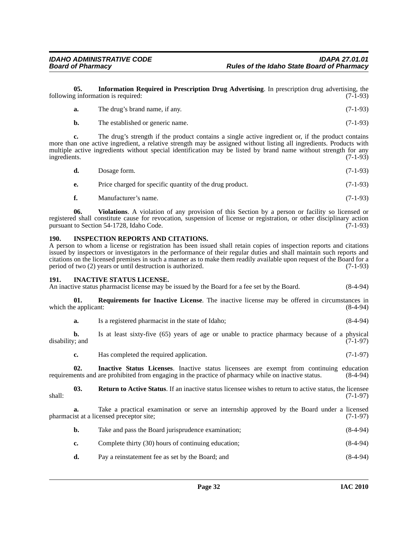**05. Information Required in Prescription Drug Advertising**. In prescription drug advertising, the following information is required:  $(7-1-93)$ 

| а. | The drug's brand name, if any.   | $(7-1-93)$ |
|----|----------------------------------|------------|
|    | The established or generic name. | $(7-1-93)$ |

**c.** The drug's strength if the product contains a single active ingredient or, if the product contains more than one active ingredient, a relative strength may be assigned without listing all ingredients. Products with multiple active ingredients without special identification may be listed by brand name without strength for any ingredients. (7-1-93)

| d. | Dosage form.                                             | $(7-1-93)$ |
|----|----------------------------------------------------------|------------|
| e. | Price charged for specific quantity of the drug product. | $(7-1-93)$ |

**f.** Manufacturer's name. (7-1-93)

**06. Violations**. A violation of any provision of this Section by a person or facility so licensed or registered shall constitute cause for revocation, suspension of license or registration, or other disciplinary action<br>pursuant to Section 54-1728. Idaho Code. (7-1-93) pursuant to Section 54-1728, Idaho Code.

### <span id="page-31-0"></span>**190. INSPECTION REPORTS AND CITATIONS.**

A person to whom a license or registration has been issued shall retain copies of inspection reports and citations issued by inspectors or investigators in the performance of their regular duties and shall maintain such reports and citations on the licensed premises in such a manner as to make them readily available upon request of the Board for a period of two  $(2)$  years or until destruction is authorized.

### <span id="page-31-1"></span>**191. INACTIVE STATUS LICENSE.**

An inactive status pharmacist license may be issued by the Board for a fee set by the Board. (8-4-94)

**01. Requirements for Inactive License**. The inactive license may be offered in circumstances in e applicant: (8-4-94) which the applicant:

**a.** Is a registered pharmacist in the state of Idaho; (8-4-94)

**b.** Is at least sixty-five (65) years of age or unable to practice pharmacy because of a physical disability; and (7-1-97)

**c.** Has completed the required application. (7-1-97)

**02. Inactive Status Licenses**. Inactive status licensees are exempt from continuing education requirements and are prohibited from engaging in the practice of pharmacy while on inactive status. (8-4-94)

**03. Return to Active Status**. If an inactive status licensee wishes to return to active status, the licensee shall: (7-1-97)

**a.** Take a practical examination or serve an internship approved by the Board under a licensed ist at a licensed preceptor site; (7-1-97) pharmacist at a licensed preceptor site;

- **b.** Take and pass the Board jurisprudence examination; (8-4-94)
- **c.** Complete thirty (30) hours of continuing education; (8-4-94)
- **d.** Pay a reinstatement fee as set by the Board; and (8-4-94)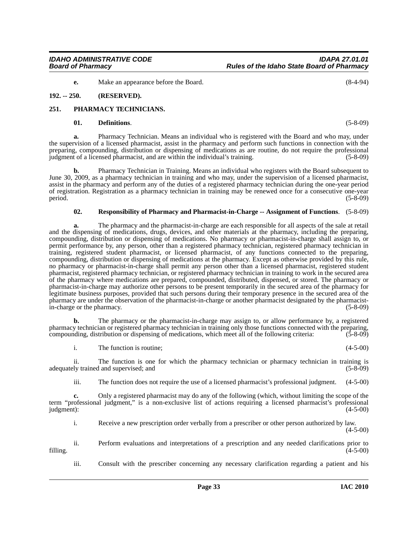**e.** Make an appearance before the Board. (8-4-94)

### <span id="page-32-0"></span>**192. -- 250. (RESERVED).**

### <span id="page-32-1"></span>**251. PHARMACY TECHNICIANS.**

### **01. Definitions**. (5-8-09)

**a.** Pharmacy Technician. Means an individual who is registered with the Board and who may, under the supervision of a licensed pharmacist, assist in the pharmacy and perform such functions in connection with the preparing, compounding, distribution or dispensing of medications as are routine, do not require the professional judgment of a licensed pharmacist, and are within the individual's training. (5-8-09)

**b.** Pharmacy Technician in Training. Means an individual who registers with the Board subsequent to June 30, 2009, as a pharmacy technician in training and who may, under the supervision of a licensed pharmacist, assist in the pharmacy and perform any of the duties of a registered pharmacy technician during the one-year period of registration. Registration as a pharmacy technician in training may be renewed once for a consecutive one-year period.  $(5-8-09)$ 

### **02. Responsibility of Pharmacy and Pharmacist-in-Charge -- Assignment of Functions**. (5-8-09)

**a.** The pharmacy and the pharmacist-in-charge are each responsible for all aspects of the sale at retail and the dispensing of medications, drugs, devices, and other materials at the pharmacy, including the preparing, compounding, distribution or dispensing of medications. No pharmacy or pharmacist-in-charge shall assign to, or permit performance by, any person, other than a registered pharmacy technician, registered pharmacy technician in training, registered student pharmacist, or licensed pharmacist, of any functions connected to the preparing, compounding, distribution or dispensing of medications at the pharmacy. Except as otherwise provided by this rule, no pharmacy or pharmacist-in-charge shall permit any person other than a licensed pharmacist, registered student pharmacist, registered pharmacy technician, or registered pharmacy technician in training to work in the secured area of the pharmacy where medications are prepared, compounded, distributed, dispensed, or stored. The pharmacy or pharmacist-in-charge may authorize other persons to be present temporarily in the secured area of the pharmacy for legitimate business purposes, provided that such persons during their temporary presence in the secured area of the pharmacy are under the observation of the pharmacist-in-charge or another pharmacist designated by the pharmacistin-charge or the pharmacy. (5-8-09)

**b.** The pharmacy or the pharmacist-in-charge may assign to, or allow performance by, a registered pharmacy technician or registered pharmacy technician in training only those functions connected with the preparing, compounding, distribution or dispensing of medications, which meet all of the following criteria: (5-8-09)

i. The function is routine; (4-5-00)

ii. The function is one for which the pharmacy technician or pharmacy technician in training is adequately trained and supervised; and (5-8-09)  $(5-8-09)$ 

iii. The function does not require the use of a licensed pharmacist's professional judgment. (4-5-00)

**c.** Only a registered pharmacist may do any of the following (which, without limiting the scope of the term "professional judgment," is a non-exclusive list of actions requiring a licensed pharmacist's professional  $j$ udgment):  $(4-5-00)$ 

i. Receive a new prescription order verbally from a prescriber or other person authorized by law. (4-5-00)

ii. Perform evaluations and interpretations of a prescription and any needed clarifications prior to filling.  $(4-5-00)$ 

iii. Consult with the prescriber concerning any necessary clarification regarding a patient and his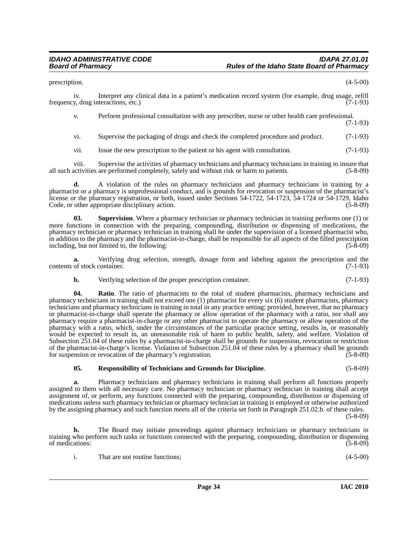prescription.  $(4-5-00)$ 

iv. Interpret any clinical data in a patient's medication record system (for example, drug usage, refill frequency, drug interactions, etc.) (7-1-93)

v. Perform professional consultation with any prescriber, nurse or other health care professional. (7-1-93)

vi. Supervise the packaging of drugs and check the completed procedure and product. (7-1-93)

vii. Issue the new prescription to the patient or his agent with consultation. (7-1-93)

viii. Supervise the activities of pharmacy technicians and pharmacy technicians in training to insure that all such activities are performed completely, safely and without risk or harm to patients. (5-8-09)

**d.** A violation of the rules on pharmacy technicians and pharmacy technicians in training by a pharmacist or a pharmacy is unprofessional conduct, and is grounds for revocation or suspension of the pharmacist's license or the pharmacy registration, or both, issued under Sections 54-1722, 54-1723, 54-1724 or 54-1729, Idaho Code, or other appropriate disciplinary action. (5-8-09)

**03. Supervision**. Where a pharmacy technician or pharmacy technician in training performs one (1) or more functions in connection with the preparing, compounding, distribution or dispensing of medications, the pharmacy technician or pharmacy technician in training shall be under the supervision of a licensed pharmacist who, in addition to the pharmacy and the pharmacist-in-charge, shall be responsible for all aspects of the filled prescription including, but not limited to, the following: (5-8-09)

**a.** Verifying drug selection, strength, dosage form and labeling against the prescription and the of stock container. (7-1-93) contents of stock container.

**b.** Verifying selection of the proper prescription container. (7-1-93)

**04.** Ratio. The ratio of pharmacists to the total of student pharmacists, pharmacy technicians and pharmacy technicians in training shall not exceed one (1) pharmacist for every six (6) student pharmacists, pharmacy technicians and pharmacy technicians in training in total in any practice setting; provided, however, that no pharmacy or pharmacist-in-charge shall operate the pharmacy or allow operation of the pharmacy with a ratio, nor shall any pharmacy require a pharmacist-in-charge or any other pharmacist to operate the pharmacy or allow operation of the pharmacy with a ratio, which, under the circumstances of the particular practice setting, results in, or reasonably would be expected to result in, an unreasonable risk of harm to public health, safety, and welfare. Violation of Subsection 251.04 of these rules by a pharmacist-in-charge shall be grounds for suspension, revocation or restriction of the pharmacist-in-charge's license. Violation of Subsection 251.04 of these rules by a pharmacy shall be grounds for suspension or revocation of the pharmacy's registration. (5-8-09)

**05. Responsibility of Technicians and Grounds for Discipline**. (5-8-09)

**a.** Pharmacy technicians and pharmacy technicians in training shall perform all functions properly assigned to them with all necessary care. No pharmacy technician or pharmacy technician in training shall accept assignment of, or perform, any functions connected with the preparing, compounding, distribution or dispensing of medications unless such pharmacy technician or pharmacy technician in training is employed or otherwise authorized by the assigning pharmacy and such function meets all of the criteria set forth in Paragraph 251.02.b. of these rules. (5-8-09)

**b.** The Board may initiate proceedings against pharmacy technicians or pharmacy technicians in training who perform such tasks or functions connected with the preparing, compounding, distribution or dispensing of medications: (5-8-09)

|  | That are not routine functions: | $(4-5-00)$ |
|--|---------------------------------|------------|
|--|---------------------------------|------------|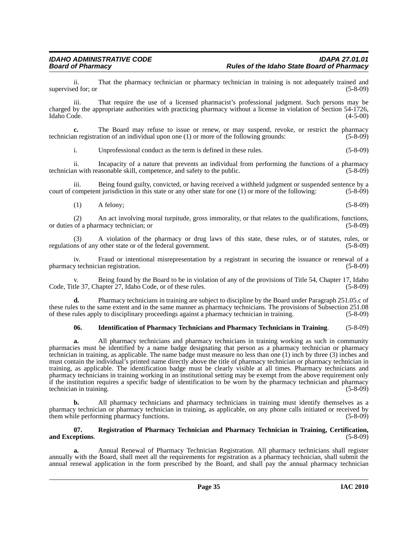ii. That the pharmacy technician or pharmacy technician in training is not adequately trained and ed for: or (5-8-09) supervised for; or

iii. That require the use of a licensed pharmacist's professional judgment. Such persons may be charged by the appropriate authorities with practicing pharmacy without a license in violation of Section 54-1726, Idaho Code. (4-5-00)

**c.** The Board may refuse to issue or renew, or may suspend, revoke, or restrict the pharmacy technician registration of an individual upon one (1) or more of the following grounds: (5-8-09)

i. Unprofessional conduct as the term is defined in these rules. (5-8-09)

ii. Incapacity of a nature that prevents an individual from performing the functions of a pharmacy technician with reasonable skill, competence, and safety to the public. (5-8-09)

iii. Being found guilty, convicted, or having received a withheld judgment or suspended sentence by a competent jurisdiction in this state or any other state for one (1) or more of the following: (5-8-09) court of competent jurisdiction in this state or any other state for one  $(1)$  or more of the following:

(1) A felony; (5-8-09)

(2) An act involving moral turpitude, gross immorality, or that relates to the qualifications, functions, of a pharmacy technician: or or duties of a pharmacy technician; or

(3) A violation of the pharmacy or drug laws of this state, these rules, or of statutes, rules, or regulations of any other state or of the federal government. (5-8-09)

iv. Fraud or intentional misrepresentation by a registrant in securing the issuance or renewal of a y technician registration. (5-8-09) pharmacy technician registration.

Being found by the Board to be in violation of any of the provisions of Title 54, Chapter 17, Idaho Code, or of these rules. (5-8-09) Code, Title 37, Chapter 27, Idaho Code, or of these rules.

**d.** Pharmacy technicians in training are subject to discipline by the Board under Paragraph 251.05.c of these rules to the same extent and in the same manner as pharmacy technicians. The provisions of Subsection 251.08 of these rules apply to disciplinary proceedings against a pharmacy technician in training. (5-8-09)

### **06. Identification of Pharmacy Technicians and Pharmacy Technicians in Training**. (5-8-09)

**a.** All pharmacy technicians and pharmacy technicians in training working as such in community pharmacies must be identified by a name badge designating that person as a pharmacy technician or pharmacy technician in training, as applicable. The name badge must measure no less than one (1) inch by three (3) inches and must contain the individual's printed name directly above the title of pharmacy technician or pharmacy technician in training, as applicable. The identification badge must be clearly visible at all times. Pharmacy technicians and pharmacy technicians in training working in an institutional setting may be exempt from the above requirement only if the institution requires a specific badge of identification to be worn by the pharmacy technician and pharmacy technician in training.

**b.** All pharmacy technicians and pharmacy technicians in training must identify themselves as a pharmacy technician or pharmacy technician in training, as applicable, on any phone calls initiated or received by them while performing pharmacy functions. (5-8-09) them while performing pharmacy functions.

### **07. Registration of Pharmacy Technician and Pharmacy Technician in Training, Certification, and Exceptions**. (5-8-09)

**a.** Annual Renewal of Pharmacy Technician Registration. All pharmacy technicians shall register annually with the Board, shall meet all the requirements for registration as a pharmacy technician, shall submit the annual renewal application in the form prescribed by the Board, and shall pay the annual pharmacy technician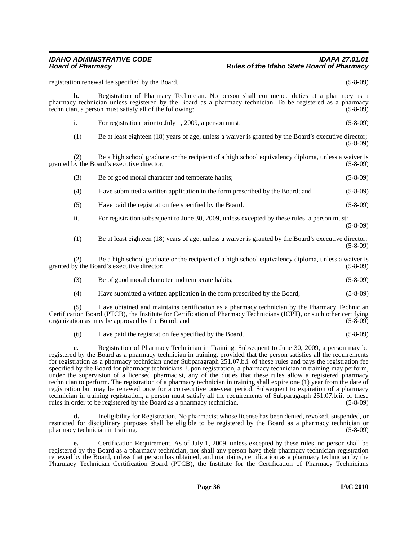### *IDAHO ADMINISTRATIVE CODE IDAPA 27.01.01 Board of Pharmacy Rules of the Idaho State Board of Pharmacy*

registration renewal fee specified by the Board. (5-8-09) **b.** Registration of Pharmacy Technician. No person shall commence duties at a pharmacy as a pharmacy technician unless registered by the Board as a pharmacy technician. To be registered as a pharmacy technician, a person must satisfy all of the following: (5-8-09) i. For registration prior to July 1, 2009, a person must: (5-8-09) (1) Be at least eighteen (18) years of age, unless a waiver is granted by the Board's executive director; (5-8-09) (2) Be a high school graduate or the recipient of a high school equivalency diploma, unless a waiver is by the Board's executive director; (5-8-09) granted by the Board's executive director; (3) Be of good moral character and temperate habits; (5-8-09) (4) Have submitted a written application in the form prescribed by the Board; and (5-8-09) (5) Have paid the registration fee specified by the Board. (5-8-09) ii. For registration subsequent to June 30, 2009, unless excepted by these rules, a person must: (5-8-09) (1) Be at least eighteen (18) years of age, unless a waiver is granted by the Board's executive director; (5-8-09) (2) Be a high school graduate or the recipient of a high school equivalency diploma, unless a waiver is ov the Board's executive director; granted by the Board's executive director; (3) Be of good moral character and temperate habits; (5-8-09) (4) Have submitted a written application in the form prescribed by the Board; (5-8-09) (5) Have obtained and maintains certification as a pharmacy technician by the Pharmacy Technician Certification Board (PTCB), the Institute for Certification of Pharmacy Technicians (ICPT), or such other certifying organization as may be approved by the Board; and (5-8-09) (6) Have paid the registration fee specified by the Board. (5-8-09) **c.** Registration of Pharmacy Technician in Training. Subsequent to June 30, 2009, a person may be registered by the Board as a pharmacy technician in training, provided that the person satisfies all the requirements

for registration as a pharmacy technician under Subparagraph 251.07.b.i. of these rules and pays the registration fee specified by the Board for pharmacy technicians. Upon registration, a pharmacy technician in training may perform, under the supervision of a licensed pharmacist, any of the duties that these rules allow a registered pharmacy technician to perform. The registration of a pharmacy technician in training shall expire one (1) year from the date of registration but may be renewed once for a consecutive one-year period. Subsequent to expiration of a pharmacy technician in training registration, a person must satisfy all the requirements of Subparagraph 251.07.b.ii. of these rules in order to be registered by the Board as a pharmacy technician. (5-8-09)

**d.** Ineligibility for Registration. No pharmacist whose license has been denied, revoked, suspended, or restricted for disciplinary purposes shall be eligible to be registered by the Board as a pharmacy technician or pharmacy technician in training. (5-8-09)

**e.** Certification Requirement. As of July 1, 2009, unless excepted by these rules, no person shall be registered by the Board as a pharmacy technician, nor shall any person have their pharmacy technician registration renewed by the Board, unless that person has obtained, and maintains, certification as a pharmacy technician by the Pharmacy Technician Certification Board (PTCB), the Institute for the Certification of Pharmacy Technicians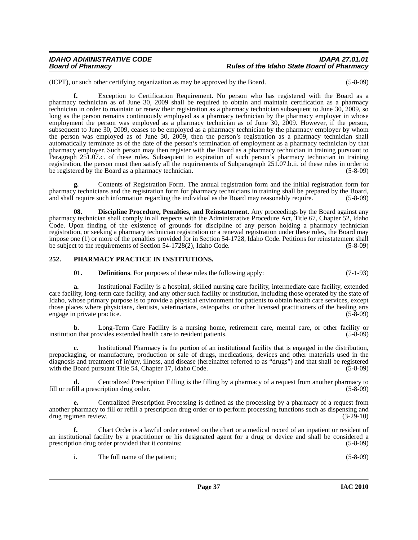(ICPT), or such other certifying organization as may be approved by the Board. (5-8-09)

**f.** Exception to Certification Requirement. No person who has registered with the Board as a pharmacy technician as of June 30, 2009 shall be required to obtain and maintain certification as a pharmacy technician in order to maintain or renew their registration as a pharmacy technician subsequent to June 30, 2009, so long as the person remains continuously employed as a pharmacy technician by the pharmacy employer in whose employment the person was employed as a pharmacy technician as of June 30, 2009. However, if the person, subsequent to June 30, 2009, ceases to be employed as a pharmacy technician by the pharmacy employer by whom the person was employed as of June 30, 2009, then the person's registration as a pharmacy technician shall automatically terminate as of the date of the person's termination of employment as a pharmacy technician by that pharmacy employer. Such person may then register with the Board as a pharmacy technician in training pursuant to Paragraph 251.07.c. of these rules. Subsequent to expiration of such person's pharmacy technician in training registration, the person must then satisfy all the requirements of Subparagraph 251.07.b.ii. of these rules in order to be registered by the Board as a pharmacy technician. (5-8-09)  $(5-8-09)$ 

**g.** Contents of Registration Form. The annual registration form and the initial registration form for pharmacy technicians and the registration form for pharmacy technicians in training shall be prepared by the Board, and shall require such information regarding the individual as the Board may reasonably require. (5-8-09)

**08. Discipline Procedure, Penalties, and Reinstatement**. Any proceedings by the Board against any pharmacy technician shall comply in all respects with the Administrative Procedure Act, Title 67, Chapter 52, Idaho Code. Upon finding of the existence of grounds for discipline of any person holding a pharmacy technician registration, or seeking a pharmacy technician registration or a renewal registration under these rules, the Board may impose one (1) or more of the penalties provided for in Section 54-1728, Idaho Code. Petitions for reinstatement shall be subject to the requirements of Section 54-1728(2), Idaho Code. (5-8-09)

# **252. PHARMACY PRACTICE IN INSTITUTIONS.**

**01. Definitions**. For purposes of these rules the following apply: (7-1-93)

**a.** Institutional Facility is a hospital, skilled nursing care facility, intermediate care facility, extended care facility, long-term care facility, and any other such facility or institution, including those operated by the state of Idaho, whose primary purpose is to provide a physical environment for patients to obtain health care services, except those places where physicians, dentists, veterinarians, osteopaths, or other licensed practitioners of the healing arts engage in private practice. (5-8-09) engage in private practice.

**b.** Long-Term Care Facility is a nursing home, retirement care, mental care, or other facility or institution that provides extended health care to resident patients. (5-8-09)

**c.** Institutional Pharmacy is the portion of an institutional facility that is engaged in the distribution, prepackaging, or manufacture, production or sale of drugs, medications, devices and other materials used in the diagnosis and treatment of injury, illness, and disease (hereinafter referred to as "drugs") and that shall be registered with the Board pursuant Title 54, Chapter 17, Idaho Code. (5-8-09)

**d.** Centralized Prescription Filling is the filling by a pharmacy of a request from another pharmacy to (5-8-09) fill a prescription drug order. fill or refill a prescription drug order.

**e.** Centralized Prescription Processing is defined as the processing by a pharmacy of a request from another pharmacy to fill or refill a prescription drug order or to perform processing functions such as dispensing and drug regimen review. (3-29-10) drug regimen review.

**f.** Chart Order is a lawful order entered on the chart or a medical record of an inpatient or resident of an institutional facility by a practitioner or his designated agent for a drug or device and shall be considered a prescription drug order provided that it contains: (5-8-09)

i. The full name of the patient; (5-8-09)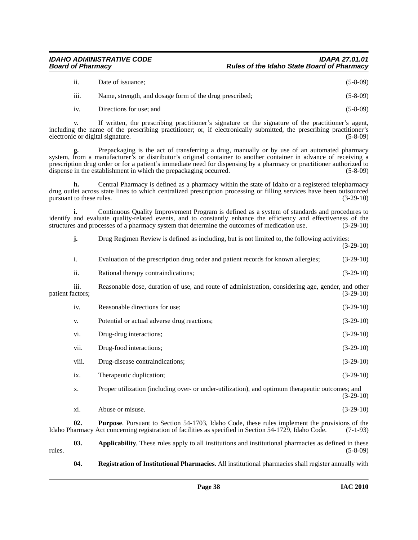## *IDAHO ADMINISTRATIVE CODE IDAPA 27.01.01 Board of Pharmacy Rules of the Idaho State Board of Pharmacy*

| ii.              | Date of issuance:                                       | $(5-8-09)$ |
|------------------|---------------------------------------------------------|------------|
| $\cdots$<br>111. | Name, strength, and dosage form of the drug prescribed; | $(5-8-09)$ |

iv. Directions for use; and (5-8-09)

v. If written, the prescribing practitioner's signature or the signature of the practitioner's agent, including the name of the prescribing practitioner; or, if electronically submitted, the prescribing practitioner's electronic or digital signature. (5-8-09)

**g.** Prepackaging is the act of transferring a drug, manually or by use of an automated pharmacy system, from a manufacturer's or distributor's original container to another container in advance of receiving a prescription drug order or for a patient's immediate need for dispensing by a pharmacy or practitioner authorized to dispense in the establishment in which the prepackaging occurred. (5-8-09)

**h.** Central Pharmacy is defined as a pharmacy within the state of Idaho or a registered telepharmacy drug outlet across state lines to which centralized prescription processing or filling services have been outsourced pursuant to these rules. (3-29-10)

**i.** Continuous Quality Improvement Program is defined as a system of standards and procedures to identify and evaluate quality-related events, and to constantly enhance the efficiency and effectiveness of the structures and processes of a pharmacy system that determine the outcomes of medication use. (3-29-10) structures and processes of a pharmacy system that determine the outcomes of medication use.

**j.** Drug Regimen Review is defined as including, but is not limited to, the following activities: (3-29-10) i. Evaluation of the prescription drug order and patient records for known allergies; (3-29-10) ii. Rational therapy contraindications; (3-29-10) iii. Reasonable dose, duration of use, and route of administration, considering age, gender, and other patient factors; (3-29-10) iv. Reasonable directions for use; (3-29-10) v. Potential or actual adverse drug reactions;  $(3-29-10)$ vi. Drug-drug interactions;  $(3-29-10)$ vii. Drug-food interactions; (3-29-10) viii. Drug-disease contraindications; (3-29-10) ix. Therapeutic duplication; (3-29-10) x. Proper utilization (including over- or under-utilization), and optimum therapeutic outcomes; and (3-29-10)  $\lambda$ i. Abuse or misuse. (3-29-10) **02. Purpose**. Pursuant to Section 54-1703, Idaho Code, these rules implement the provisions of the Idaho Pharmacy Act concerning registration of facilities as specified in Section 54-1729, Idaho Code. (7-1-93) **03. Applicability**. These rules apply to all institutions and institutional pharmacies as defined in these (5-8-09)

 $r = (5-8-09)$  (5-8-09)

**04. Registration of Institutional Pharmacies**. All institutional pharmacies shall register annually with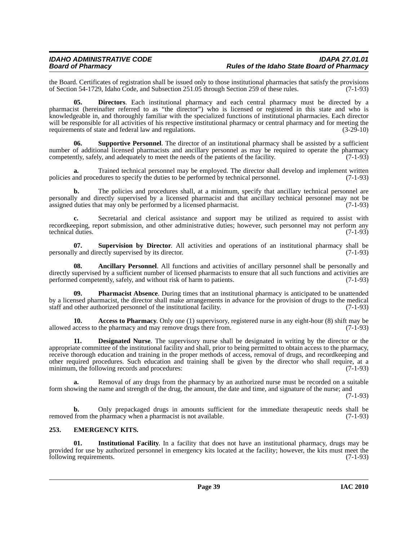the Board. Certificates of registration shall be issued only to those institutional pharmacies that satisfy the provisions of Section 54-1729. Idaho Code, and Subsection 251.05 through Section 259 of these rules. (7-1-93) of Section 54-1729, Idaho Code, and Subsection 251.05 through Section 259 of these rules.

**05. Directors**. Each institutional pharmacy and each central pharmacy must be directed by a pharmacist (hereinafter referred to as "the director") who is licensed or registered in this state and who is knowledgeable in, and thoroughly familiar with the specialized functions of institutional pharmacies. Each director will be responsible for all activities of his respective institutional pharmacy or central pharmacy and for meeting the requirements of state and federal law and regulations. (3-29-10) requirements of state and federal law and regulations.

**Supportive Personnel.** The director of an institutional pharmacy shall be assisted by a sufficient number of additional licensed pharmacists and ancillary personnel as may be required to operate the pharmacy competently, safely, and adequately to meet the needs of the patients of the facility. (7-1-93)

**a.** Trained technical personnel may be employed. The director shall develop and implement written policies and procedures to specify the duties to be performed by technical personnel. (7-1-93)

**b.** The policies and procedures shall, at a minimum, specify that ancillary technical personnel are personally and directly supervised by a licensed pharmacist and that ancillary technical personnel may not be assigned duties that may only be performed by a licensed pharmacist. (7-1-93)

**c.** Secretarial and clerical assistance and support may be utilized as required to assist with recordkeeping, report submission, and other administrative duties; however, such personnel may not perform any technical duties. (7-1-93) technical duties.

**07. Supervision by Director**. All activities and operations of an institutional pharmacy shall be ly and directly supervised by its director. (7-1-93) personally and directly supervised by its director.

**08. Ancillary Personnel**. All functions and activities of ancillary personnel shall be personally and directly supervised by a sufficient number of licensed pharmacists to ensure that all such functions and activities are performed competently, safely, and without risk of harm to patients. (7-1-93)

**09. Pharmacist Absence**. During times that an institutional pharmacy is anticipated to be unattended by a licensed pharmacist, the director shall make arrangements in advance for the provision of drugs to the medical staff and other authorized personnel of the institutional facility. (7-1-93) staff and other authorized personnel of the institutional facility.

**10.** Access to Pharmacy. Only one (1) supervisory, registered nurse in any eight-hour (8) shift may be access to the pharmacy and may remove drugs there from. (7-1-93) allowed access to the pharmacy and may remove drugs there from.

**11. Designated Nurse**. The supervisory nurse shall be designated in writing by the director or the appropriate committee of the institutional facility and shall, prior to being permitted to obtain access to the pharmacy, receive thorough education and training in the proper methods of access, removal of drugs, and recordkeeping and other required procedures. Such education and training shall be given by the director who shall require, at a minimum, the following records and procedures: (7-1-93)

**a.** Removal of any drugs from the pharmacy by an authorized nurse must be recorded on a suitable form showing the name and strength of the drug, the amount, the date and time, and signature of the nurse; and

 $(7-1-93)$ 

**b.** Only prepackaged drugs in amounts sufficient for the immediate therapeutic needs shall be from the pharmacy when a pharmacist is not available. (7-1-93) removed from the pharmacy when a pharmacist is not available.

# **253. EMERGENCY KITS.**

**01. Institutional Facility**. In a facility that does not have an institutional pharmacy, drugs may be provided for use by authorized personnel in emergency kits located at the facility; however, the kits must meet the following requirements. (7-1-93) following requirements.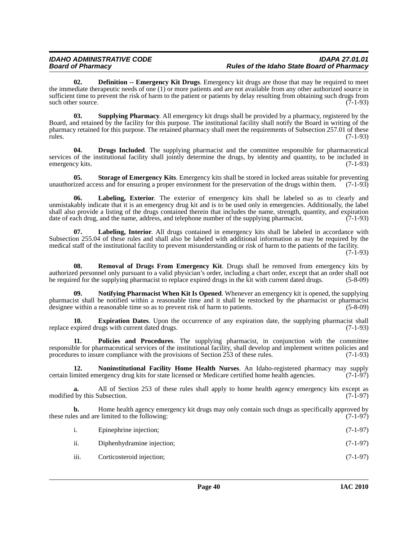**02. Definition -- Emergency Kit Drugs**. Emergency kit drugs are those that may be required to meet the immediate therapeutic needs of one (1) or more patients and are not available from any other authorized source in sufficient time to prevent the risk of harm to the patient or patients by delay resulting from obtaining such drugs from such other source. (7-1-93) such other source.

**03. Supplying Pharmacy**. All emergency kit drugs shall be provided by a pharmacy, registered by the Board, and retained by the facility for this purpose. The institutional facility shall notify the Board in writing of the pharmacy retained for this purpose. The retained pharmacy shall meet the requirements of Subsection 257.01 of these rules. (7-1-93)

**04. Drugs Included**. The supplying pharmacist and the committee responsible for pharmaceutical services of the institutional facility shall jointly determine the drugs, by identity and quantity, to be included in emergency kits.  $(7-1-93)$ emergency kits.

**05. Storage of Emergency Kits**. Emergency kits shall be stored in locked areas suitable for preventing ized access and for ensuring a proper environment for the preservation of the drugs within them. (7-1-93) unauthorized access and for ensuring a proper environment for the preservation of the drugs within them.

**06. Labeling, Exterior**. The exterior of emergency kits shall be labeled so as to clearly and unmistakably indicate that it is an emergency drug kit and is to be used only in emergencies. Additionally, the label shall also provide a listing of the drugs contained therein that includes the name, strength, quantity, and expiration date of each drug, and the name, address, and telephone number of the supplying pharmacist.  $(7-1-93)$ 

**07. Labeling, Interior**. All drugs contained in emergency kits shall be labeled in accordance with Subsection 255.04 of these rules and shall also be labeled with additional information as may be required by the medical staff of the institutional facility to prevent misunderstanding or risk of harm to the patients of the facility.

(7-1-93)

**08. Removal of Drugs From Emergency Kit**. Drugs shall be removed from emergency kits by authorized personnel only pursuant to a valid physician's order, including a chart order, except that an order shall not be required for the supplying pharmacist to replace expired drugs in the kit with current dated drugs. (5-8-09)

**09. Notifying Pharmacist When Kit Is Opened**. Whenever an emergency kit is opened, the supplying pharmacist shall be notified within a reasonable time and it shall be restocked by the pharmacist or pharmacist designee within a reasonable time so as to prevent risk of harm to patients. (5-8-09)

**10. Expiration Dates**. Upon the occurrence of any expiration date, the supplying pharmacist shall xpired drugs with current dated drugs. (7-1-93) replace expired drugs with current dated drugs.

**11. Policies and Procedures**. The supplying pharmacist, in conjunction with the committee responsible for pharmaceutical services of the institutional facility, shall develop and implement written policies and procedures to insure compliance with the provisions of Section 253 of these rules. (7-1-93)

**12. Noninstitutional Facility Home Health Nurses**. An Idaho-registered pharmacy may supply certain limited emergency drug kits for state licensed or Medicare certified home health agencies. (7-1-97)

**a.** All of Section 253 of these rules shall apply to home health agency emergency kits except as modified by this Subsection. (7-1-97)

**b.** Home health agency emergency kit drugs may only contain such drugs as specifically approved by es and are limited to the following: these rules and are limited to the following:

| 1. | Epinephrine injection; | $(7-1-97)$ |
|----|------------------------|------------|
|    |                        |            |

- ii. Diphenhydramine injection; (7-1-97)
- iii. Corticosteroid injection; (7-1-97)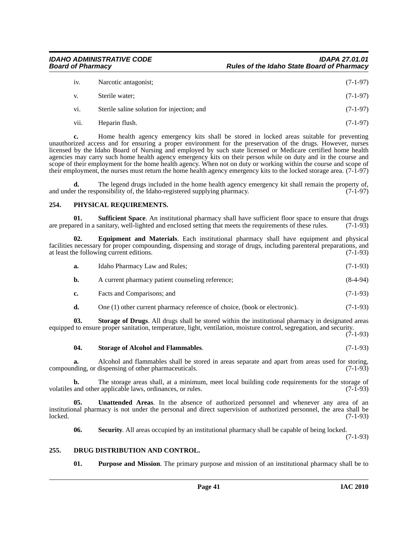| iv.  | Narcotic antagonist;                       | $(7-1-97)$ |
|------|--------------------------------------------|------------|
| V.   | Sterile water;                             | $(7-1-97)$ |
| vi.  | Sterile saline solution for injection; and | $(7-1-97)$ |
| vii. | Heparin flush.                             | $(7-1-97)$ |

**c.** Home health agency emergency kits shall be stored in locked areas suitable for preventing unauthorized access and for ensuring a proper environment for the preservation of the drugs. However, nurses licensed by the Idaho Board of Nursing and employed by such state licensed or Medicare certified home health agencies may carry such home health agency emergency kits on their person while on duty and in the course and scope of their employment for the home health agency. When not on duty or working within the course and scope of their employment, the nurses must return the home health agency emergency kits to the locked storage area. (7-1-97)

**d.** The legend drugs included in the home health agency emergency kit shall remain the property of, the Idaho-registered supplying pharmacy. (7-1-97) and under the responsibility of, the Idaho-registered supplying pharmacy.

## **254. PHYSICAL REQUIREMENTS.**

**01. Sufficient Space**. An institutional pharmacy shall have sufficient floor space to ensure that drugs ared in a sanitary, well-lighted and enclosed setting that meets the requirements of these rules. (7-1-93) are prepared in a sanitary, well-lighted and enclosed setting that meets the requirements of these rules.

**02. Equipment and Materials**. Each institutional pharmacy shall have equipment and physical facilities necessary for proper compounding, dispensing and storage of drugs, including parenteral preparations, and at least the following current editions. (7-1-93) at least the following current editions. **a.** Idaho Pharmacy Law and Rules; (7-1-93) **b.** A current pharmacy patient counseling reference; (8-4-94) **c.** Facts and Comparisons; and (7-1-93) **d.** One (1) other current pharmacy reference of choice, (book or electronic). (7-1-93) **03. Storage of Drugs**. All drugs shall be stored within the institutional pharmacy in designated areas equipped to ensure proper sanitation, temperature, light, ventilation, moisture control, segregation, and security.  $(7-1-93)$ 

# **04. Storage of Alcohol and Flammables**. (7-1-93)

**a.** Alcohol and flammables shall be stored in areas separate and apart from areas used for storing, compounding, or dispensing of other pharmaceuticals. (7-1-93)

**b.** The storage areas shall, at a minimum, meet local building code requirements for the storage of and other applicable laws, ordinances, or rules. (7-1-93) volatiles and other applicable laws, ordinances, or rules.

**05. Unattended Areas**. In the absence of authorized personnel and whenever any area of an institutional pharmacy is not under the personal and direct supervision of authorized personnel, the area shall be locked. (7-1-93)

**06. Security**. All areas occupied by an institutional pharmacy shall be capable of being locked.

(7-1-93)

## **255. DRUG DISTRIBUTION AND CONTROL.**

**01. Purpose and Mission**. The primary purpose and mission of an institutional pharmacy shall be to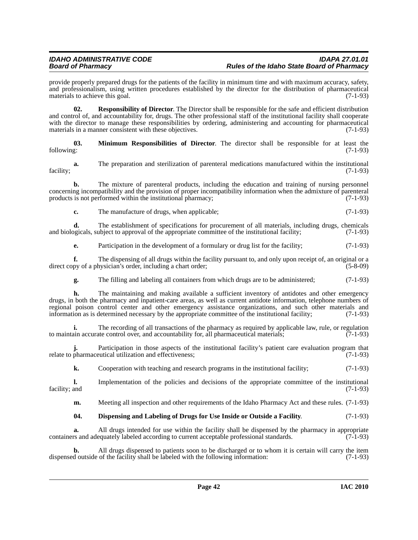provide properly prepared drugs for the patients of the facility in minimum time and with maximum accuracy, safety, and professionalism, using written procedures established by the director for the distribution of pharmaceutical materials to achieve this goal. (7-1-93)

**02. Responsibility of Director**. The Director shall be responsible for the safe and efficient distribution and control of, and accountability for, drugs. The other professional staff of the institutional facility shall cooperate with the director to manage these responsibilities by ordering, administering and accounting for pharmaceutical materials in a manner consistent with these objectives. (7-1-93)

**03.** Minimum Responsibilities of Director. The director shall be responsible for at least the following: (7-1-93) following: (7-1-93)

**a.** The preparation and sterilization of parenteral medications manufactured within the institutional facility; (7-1-93)

**b.** The mixture of parenteral products, including the education and training of nursing personnel concerning incompatibility and the provision of proper incompatibility information when the admixture of parenteral products is not performed within the institutional pharmacy;  $(7-1-93)$ 

**c.** The manufacture of drugs, when applicable; (7-1-93)

**d.** The establishment of specifications for procurement of all materials, including drugs, chemicals ogicals, subject to approval of the appropriate committee of the institutional facility; (7-1-93) and biologicals, subject to approval of the appropriate committee of the institutional facility;

**e.** Participation in the development of a formulary or drug list for the facility; (7-1-93)

**f.** The dispensing of all drugs within the facility pursuant to, and only upon receipt of, an original or a py of a physician's order, including a chart order; direct copy of a physician's order, including a chart order;

**g.** The filling and labeling all containers from which drugs are to be administered;  $(7-1-93)$ 

**h.** The maintaining and making available a sufficient inventory of antidotes and other emergency drugs, in both the pharmacy and inpatient-care areas, as well as current antidote information, telephone numbers of regional poison control center and other emergency assistance organizations, and such other materials and information as is determined necessary by the appropriate committee of the institutional facility; (7-1-93) information as is determined necessary by the appropriate committee of the institutional facility;

**i.** The recording of all transactions of the pharmacy as required by applicable law, rule, or regulation to maintain accurate control over, and accountability for, all pharmaceutical materials;  $(7-1-93)$ 

**j.** Participation in those aspects of the institutional facility's patient care evaluation program that relate to pharmaceutical utilization and effectiveness; (7-1-93)

**k.** Cooperation with teaching and research programs in the institutional facility; (7-1-93)

**l.** Implementation of the policies and decisions of the appropriate committee of the institutional facility; and (7-1-93) facility; and (7-1-93)

**m.** Meeting all inspection and other requirements of the Idaho Pharmacy Act and these rules. (7-1-93)

## **04. Dispensing and Labeling of Drugs for Use Inside or Outside a Facility**. (7-1-93)

**a.** All drugs intended for use within the facility shall be dispensed by the pharmacy in appropriate containers and adequately labeled according to current acceptable professional standards.  $(7-1-93)$ 

**b.** All drugs dispensed to patients soon to be discharged or to whom it is certain will carry the item d outside of the facility shall be labeled with the following information: (7-1-93) dispensed outside of the facility shall be labeled with the following information: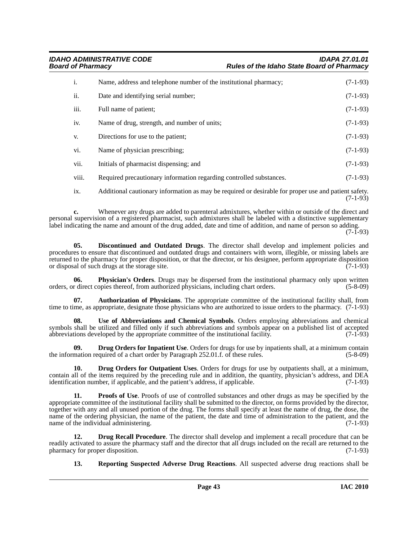*IDAHO ADMINISTRATIVE CODE IDAPA 27.01.01 Board of Pharmacy Rules of the Idaho State Board of Pharmacy*

| i.    | Name, address and telephone number of the institutional pharmacy;                                                           | $(7-1-93)$ |
|-------|-----------------------------------------------------------------------------------------------------------------------------|------------|
| ii.   | Date and identifying serial number;                                                                                         | $(7-1-93)$ |
| iii.  | Full name of patient;                                                                                                       | $(7-1-93)$ |
| iv.   | Name of drug, strength, and number of units;                                                                                | $(7-1-93)$ |
| V.    | Directions for use to the patient;                                                                                          | $(7-1-93)$ |
| vi.   | Name of physician prescribing;                                                                                              | $(7-1-93)$ |
| vii.  | Initials of pharmacist dispensing; and                                                                                      | $(7-1-93)$ |
| viii. | Required precautionary information regarding controlled substances.                                                         | $(7-1-93)$ |
|       | A different on attenuating consideration of the decomposition distribution $\rho$ and a consideration of $\rho_{\rm eff}$ . |            |

ix. Additional cautionary information as may be required or desirable for proper use and patient safety. (7-1-93)

**c.** Whenever any drugs are added to parenteral admixtures, whether within or outside of the direct and personal supervision of a registered pharmacist, such admixtures shall be labeled with a distinctive supplementary label indicating the name and amount of the drug added, date and time of addition, and name of person so adding.

 $(7 - \tilde{1} - 93)$ 

**05. Discontinued and Outdated Drugs**. The director shall develop and implement policies and procedures to ensure that discontinued and outdated drugs and containers with worn, illegible, or missing labels are returned to the pharmacy for proper disposition, or that the director, or his designee, perform appropriate disposition or disposition or disposal of such drugs at the storage site. or disposal of such drugs at the storage site.

**06. Physician's Orders**. Drugs may be dispersed from the institutional pharmacy only upon written r direct copies thereof, from authorized physicians, including chart orders. (5-8-09) orders, or direct copies thereof, from authorized physicians, including chart orders.

**07. Authorization of Physicians**. The appropriate committee of the institutional facility shall, from time to time, as appropriate, designate those physicians who are authorized to issue orders to the pharmacy. (7-1-93)

**08. Use of Abbreviations and Chemical Symbols**. Orders employing abbreviations and chemical symbols shall be utilized and filled only if such abbreviations and symbols appear on a published list of accepted abbreviations developed by the appropriate committee of the institutional facility. (7-1-93)

**09. Drug Orders for Inpatient Use**. Orders for drugs for use by inpatients shall, at a minimum contain the information required of a chart order by Paragraph  $252.01$ .f. of these rules.

**10. Drug Orders for Outpatient Uses**. Orders for drugs for use by outpatients shall, at a minimum, contain all of the items required by the preceding rule and in addition, the quantity, physician's address, and DEA identification number, if applicable, and the patient's address, if applicable. (7-1-93)

**11. Proofs of Use**. Proofs of use of controlled substances and other drugs as may be specified by the appropriate committee of the institutional facility shall be submitted to the director, on forms provided by the director, together with any and all unused portion of the drug. The forms shall specify at least the name of drug, the dose, the name of the ordering physician, the name of the patient, the date and time of administration to the patient, and the name of the individual administering. (7-1-93)

**12. Drug Recall Procedure**. The director shall develop and implement a recall procedure that can be readily activated to assure the pharmacy staff and the director that all drugs included on the recall are returned to the pharmacy for proper disposition. (7-1-93) pharmacy for proper disposition.

**13. Reporting Suspected Adverse Drug Reactions**. All suspected adverse drug reactions shall be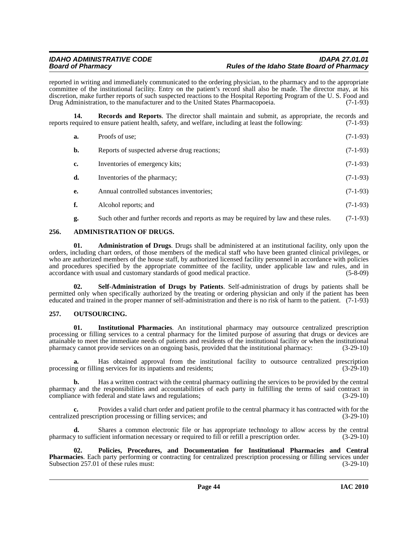reported in writing and immediately communicated to the ordering physician, to the pharmacy and to the appropriate committee of the institutional facility. Entry on the patient's record shall also be made. The director may, at his discretion, make further reports of such suspected reactions to the Hospital Reporting Program of the U. S. Food and Drug Administration, to the manufacturer and to the United States Pharmacopoeia. (7-1-93)

**14. Records and Reports**. The director shall maintain and submit, as appropriate, the records and equired to ensure patient health, safety, and welfare, including at least the following: (7-1-93) reports required to ensure patient health, safety, and welfare, including at least the following:

| a. | Proofs of use:                                                                        | $(7-1-93)$ |
|----|---------------------------------------------------------------------------------------|------------|
| b. | Reports of suspected adverse drug reactions;                                          | $(7-1-93)$ |
| c. | Inventories of emergency kits;                                                        | $(7-1-93)$ |
| d. | Inventories of the pharmacy;                                                          | $(7-1-93)$ |
| e. | Annual controlled substances inventories;                                             | $(7-1-93)$ |
| f. | Alcohol reports; and                                                                  | $(7-1-93)$ |
| g. | Such other and further records and reports as may be required by law and these rules. | $(7-1-93)$ |

## **256. ADMINISTRATION OF DRUGS.**

**01. Administration of Drugs**. Drugs shall be administered at an institutional facility, only upon the orders, including chart orders, of those members of the medical staff who have been granted clinical privileges, or who are authorized members of the house staff, by authorized licensed facility personnel in accordance with policies and procedures specified by the appropriate committee of the facility, under applicable law and rules, and in accordance with usual and customary standards of good medical practice. (5-8-09) accordance with usual and customary standards of good medical practice.

**02. Self-Administration of Drugs by Patients**. Self-administration of drugs by patients shall be permitted only when specifically authorized by the treating or ordering physician and only if the patient has been educated and trained in the proper manner of self-administration and there is no risk of harm to the patient. (7-1-93)

## **257. OUTSOURCING.**

**01. Institutional Pharmacies**. An institutional pharmacy may outsource centralized prescription processing or filling services to a central pharmacy for the limited purpose of assuring that drugs or devices are attainable to meet the immediate needs of patients and residents of the institutional facility or when the institutional pharmacy cannot provide services on an ongoing basis, provided that the institutional pharmacy:

**a.** Has obtained approval from the institutional facility to outsource centralized prescription processing or filling services for its inpatients and residents; (3-29-10)

**b.** Has a written contract with the central pharmacy outlining the services to be provided by the central pharmacy and the responsibilities and accountabilities of each party in fulfilling the terms of said contract in compliance with federal and state laws and regulations; (3-29-10)

**c.** Provides a valid chart order and patient profile to the central pharmacy it has contracted with for the ed prescription processing or filling services; and (3-29-10) centralized prescription processing or filling services; and

**d.** Shares a common electronic file or has appropriate technology to allow access by the central pharmacy to sufficient information necessary or required to fill or refill a prescription order. (3-29-10)

**02. Policies, Procedures, and Documentation for Institutional Pharmacies and Central Pharmacies**. Each party performing or contracting for centralized prescription processing or filling services under Subsection 257.01 of these rules must: (3-29-10)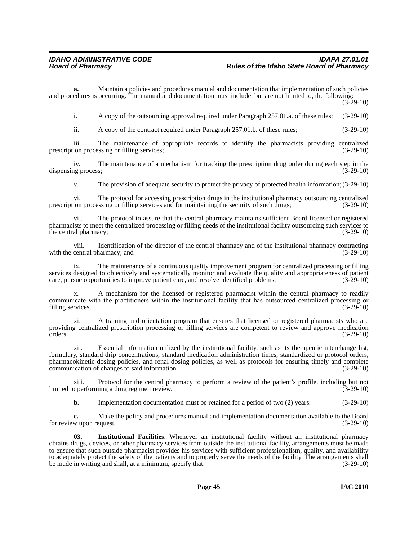**a.** Maintain a policies and procedures manual and documentation that implementation of such policies and procedures is occurring. The manual and documentation must include, but are not limited to, the following:  $(3-29-10)$ 

i. A copy of the outsourcing approval required under Paragraph 257.01.a. of these rules; (3-29-10)

ii. A copy of the contract required under Paragraph 257.01.b. of these rules; (3-29-10)

iii. The maintenance of appropriate records to identify the pharmacists providing centralized ion processing or filling services; (3-29-10) prescription processing or filling services;

iv. The maintenance of a mechanism for tracking the prescription drug order during each step in the dispensing process; (3-29-10)

v. The provision of adequate security to protect the privacy of protected health information; (3-29-10)

vi. The protocol for accessing prescription drugs in the institutional pharmacy outsourcing centralized prescription processing or filling services and for maintaining the security of such drugs; (3-29-10)

vii. The protocol to assure that the central pharmacy maintains sufficient Board licensed or registered pharmacists to meet the centralized processing or filling needs of the institutional facility outsourcing such services to the central pharmacy; (3-29-10) the central pharmacy;

viii. Identification of the director of the central pharmacy and of the institutional pharmacy contracting central pharmacy: and  $(3-29-10)$ with the central pharmacy; and

ix. The maintenance of a continuous quality improvement program for centralized processing or filling services designed to objectively and systematically monitor and evaluate the quality and appropriateness of patient care, pursue opportunities to improve patient care, and resolve identified problems. (3-29-10)

A mechanism for the licensed or registered pharmacist within the central pharmacy to readily communicate with the practitioners within the institutional facility that has outsourced centralized processing or filling services. (3-29-10) filling services.

xi. A training and orientation program that ensures that licensed or registered pharmacists who are providing centralized prescription processing or filling services are competent to review and approve medication  $\sigma$ orders. (3-29-10)

xii. Essential information utilized by the institutional facility, such as its therapeutic interchange list, formulary, standard drip concentrations, standard medication administration times, standardized or protocol orders, pharmacokinetic dosing policies, and renal dosing policies, as well as protocols for ensuring timely and complete communication of changes to said information. (3-29-10) communication of changes to said information.

xiii. Protocol for the central pharmacy to perform a review of the patient's profile, including but not limited to performing a drug regimen review.

**b.** Implementation documentation must be retained for a period of two (2) years. (3-29-10)

**c.** Make the policy and procedures manual and implementation documentation available to the Board w upon request.  $(3-29-10)$ for review upon request.

**03. Institutional Facilities**. Whenever an institutional facility without an institutional pharmacy obtains drugs, devices, or other pharmacy services from outside the institutional facility, arrangements must be made to ensure that such outside pharmacist provides his services with sufficient professionalism, quality, and availability to adequately protect the safety of the patients and to properly serve the needs of the facility. The arrangements shall be made in writing and shall, at a minimum, specify that: (3-29-10)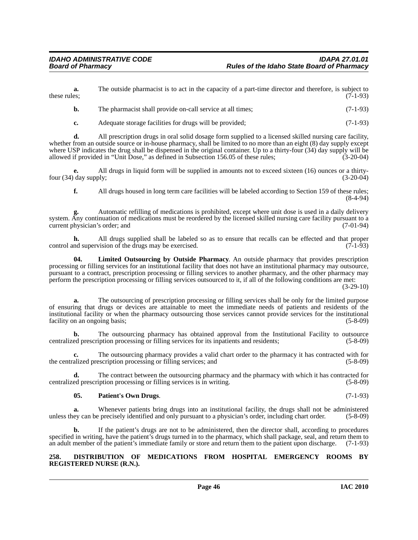**a.** The outside pharmacist is to act in the capacity of a part-time director and therefore, is subject to these rules;  $(7-1-93)$ 

| The pharmacist shall provide on-call service at all times; | $(7-1-93)$ |
|------------------------------------------------------------|------------|
|                                                            |            |

**c.** Adequate storage facilities for drugs will be provided; (7-1-93)

**d.** All prescription drugs in oral solid dosage form supplied to a licensed skilled nursing care facility, whether from an outside source or in-house pharmacy, shall be limited to no more than an eight (8) day supply except where USP indicates the drug shall be dispensed in the original container. Up to a thirty-four (34) day supply will be allowed if provided in "Unit Dose," as defined in Subsection 156.05 of these rules; (3-20-04)

**e.** All drugs in liquid form will be supplied in amounts not to exceed sixteen (16) ounces or a thirtyfour  $(34)$  day supply;  $(3-20-04)$ 

**f.** All drugs housed in long term care facilities will be labeled according to Section 159 of these rules; (8-4-94)

**g.** Automatic refilling of medications is prohibited, except where unit dose is used in a daily delivery system. Any continuation of medications must be reordered by the licensed skilled nursing care facility pursuant to a current physician's order; and (7-01-94) current physician's order; and

**h.** All drugs supplied shall be labeled so as to ensure that recalls can be effected and that proper nd supervision of the drugs may be exercised. (7-1-93) control and supervision of the drugs may be exercised.

**04. Limited Outsourcing by Outside Pharmacy**. An outside pharmacy that provides prescription processing or filling services for an institutional facility that does not have an institutional pharmacy may outsource, pursuant to a contract, prescription processing or filling services to another pharmacy, and the other pharmacy may perform the prescription processing or filling services outsourced to it, if all of the following conditions are met:

(3-29-10)

**a.** The outsourcing of prescription processing or filling services shall be only for the limited purpose of ensuring that drugs or devices are attainable to meet the immediate needs of patients and residents of the institutional facility or when the pharmacy outsourcing those services cannot provide services for the institutional facility on an ongoing basis; (5-8-09)

**b.** The outsourcing pharmacy has obtained approval from the Institutional Facility to outsource centralized prescription processing or filling services for its inpatients and residents; (5-8-09)

**c.** The outsourcing pharmacy provides a valid chart order to the pharmacy it has contracted with for the centralized prescription processing or filling services; and (5-8-09)

**d.** The contract between the outsourcing pharmacy and the pharmacy with which it has contracted for centralized prescription processing or filling services is in writing. (5-8-09)

## **05. Patient's Own Drugs**. (7-1-93)

**a.** Whenever patients bring drugs into an institutional facility, the drugs shall not be administered ev can be precisely identified and only pursuant to a physician's order, including chart order. (5-8-09) unless they can be precisely identified and only pursuant to a physician's order, including chart order.

**b.** If the patient's drugs are not to be administered, then the director shall, according to procedures specified in writing, have the patient's drugs turned in to the pharmacy, which shall package, seal, and return them to an adult member of the patient's immediate family or store and return them to the patient upon discharge. (7-1-93)

#### **258. DISTRIBUTION OF MEDICATIONS FROM HOSPITAL EMERGENCY ROOMS BY REGISTERED NURSE (R.N.).**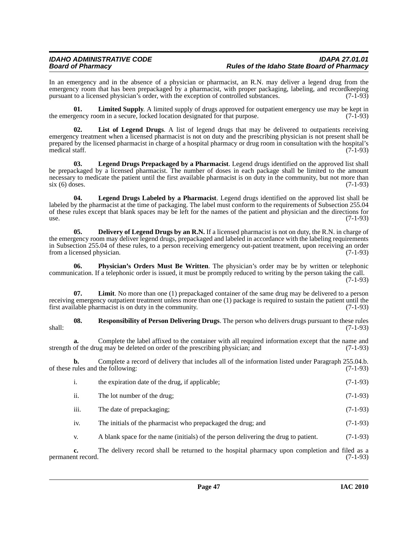# *IDAHO ADMINISTRATIVE CODE IDAPA 27.01.01 Board of Pharmacy Rules of the Idaho State Board of Pharmacy*

In an emergency and in the absence of a physician or pharmacist, an R.N. may deliver a legend drug from the emergency room that has been prepackaged by a pharmacist, with proper packaging, labeling, and recordkeeping pursuant to a licensed physician's order, with the exception of controlled substances. (7-1-93)

**01.** Limited Supply. A limited supply of drugs approved for outpatient emergency use may be kept in gency room in a secure, locked location designated for that purpose. (7-1-93) the emergency room in a secure, locked location designated for that purpose.

**02. List of Legend Drugs**. A list of legend drugs that may be delivered to outpatients receiving emergency treatment when a licensed pharmacist is not on duty and the prescribing physician is not present shall be prepared by the licensed pharmacist in charge of a hospital pharmacy or drug room in consultation with the hospital's medical staff.  $(7-1-93)$ 

**03. Legend Drugs Prepackaged by a Pharmacist**. Legend drugs identified on the approved list shall be prepackaged by a licensed pharmacist. The number of doses in each package shall be limited to the amount necessary to medicate the patient until the first available pharmacist is on duty in the community, but not more than  $\sin(6)$  doses. (7-1-93)

**04. Legend Drugs Labeled by a Pharmacist**. Legend drugs identified on the approved list shall be labeled by the pharmacist at the time of packaging. The label must conform to the requirements of Subsection 255.04 of these rules except that blank spaces may be left for the names of the patient and physician and the directions for use.  $(7-1-93)$ 

**05.** Delivery of Legend Drugs by an R.N. If a licensed pharmacist is not on duty, the R.N. in charge of the emergency room may deliver legend drugs, prepackaged and labeled in accordance with the labeling requirements in Subsection 255.04 of these rules, to a person receiving emergency out-patient treatment, upon receiving an order from a licensed physician. (7-1-93) from a licensed physician.

**06. Physician's Orders Must Be Written**. The physician's order may be by written or telephonic communication. If a telephonic order is issued, it must be promptly reduced to writing by the person taking the call.  $(7-1-93)$ 

**07. Limit**. No more than one (1) prepackaged container of the same drug may be delivered to a person receiving emergency outpatient treatment unless more than one (1) package is required to sustain the patient until the first available pharmacist is on duty in the community. (7-1-93)

**08. Responsibility of Person Delivering Drugs**. The person who delivers drugs pursuant to these rules shall: (7-1-93)

**a.** Complete the label affixed to the container with all required information except that the name and of the drug may be deleted on order of the prescribing physician; and (7-1-93) strength of the drug may be deleted on order of the prescribing physician; and

**b.** Complete a record of delivery that includes all of the information listed under Paragraph 255.04.b. of these rules and the following: (7-1-93)

|                 | the expiration date of the drug, if applicable;              | $(7-1-93)$ |
|-----------------|--------------------------------------------------------------|------------|
| ii.             | The lot number of the drug;                                  | $(7-1-93)$ |
| iii.            | The date of prepackaging:                                    | $(7-1-93)$ |
| 1V <sub>1</sub> | The initials of the pharmacist who prepackaged the drug; and | $(7-1-93)$ |

v. A blank space for the name (initials) of the person delivering the drug to patient. (7-1-93)

**c.** The delivery record shall be returned to the hospital pharmacy upon completion and filed as a nt record. (7-1-93) permanent record.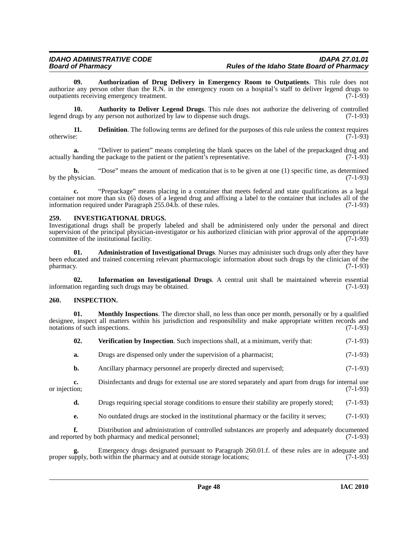**09. Authorization of Drug Delivery in Emergency Room to Outpatients**. This rule does not authorize any person other than the R.N. in the emergency room on a hospital's staff to deliver legend drugs to outpatients receiving emergency treatment. (7-1-93)

**10. Authority to Deliver Legend Drugs**. This rule does not authorize the delivering of controlled legend drugs by any person not authorized by law to dispense such drugs. (7-1-93)

**11. Definition**. The following terms are defined for the purposes of this rule unless the context requires otherwise: (7-1-93)

**a.** "Deliver to patient" means completing the blank spaces on the label of the prepackaged drug and handing the package to the patient or the patient's representative. (7-1-93) actually handing the package to the patient or the patient's representative.

**b.** "Dose" means the amount of medication that is to be given at one (1) specific time, as determined by the physician.  $(7-1-93)$ 

**c.** "Prepackage" means placing in a container that meets federal and state qualifications as a legal container not more than six (6) doses of a legend drug and affixing a label to the container that includes all of the information required under Paragraph 255.04.b. of these rules. (7-1-93)

# **259. INVESTIGATIONAL DRUGS.**

Investigational drugs shall be properly labeled and shall be administered only under the personal and direct supervision of the principal physician-investigator or his authorized clinician with prior approval of the appropriate committee of the institutional facility. (7-1-93)

**01. Administration of Investigational Drugs**. Nurses may administer such drugs only after they have been educated and trained concerning relevant pharmacologic information about such drugs by the clinician of the pharmacy. (7-1-93) pharmacy. (7-1-93)

**02.** Information on Investigational Drugs. A central unit shall be maintained wherein essential ion regarding such drugs may be obtained. (7-1-93) information regarding such drugs may be obtained.

## **260. INSPECTION.**

**01. Monthly Inspections**. The director shall, no less than once per month, personally or by a qualified designee, inspect all matters within his jurisdiction and responsibility and make appropriate written records and notations of such inspections. (7-1-93) notations of such inspections.

| 02. |  | Verification by Inspection. Such inspections shall, at a minimum, verify that: | $(7-1-93)$ |
|-----|--|--------------------------------------------------------------------------------|------------|
|-----|--|--------------------------------------------------------------------------------|------------|

- **a.** Drugs are dispensed only under the supervision of a pharmacist; (7-1-93)
- **b.** Ancillary pharmacy personnel are properly directed and supervised; (7-1-93)

**c.** Disinfectants and drugs for external use are stored separately and apart from drugs for internal use ion; or injection;

**d.** Drugs requiring special storage conditions to ensure their stability are properly stored; (7-1-93)

**e.** No outdated drugs are stocked in the institutional pharmacy or the facility it serves; (7-1-93)

**f.** Distribution and administration of controlled substances are properly and adequately documented red by both pharmacy and medical personnel; (7-1-93) and reported by both pharmacy and medical personnel;

Emergency drugs designated pursuant to Paragraph 260.01.f. of these rules are in adequate and h within the pharmacy and at outside storage locations; (7-1-93) proper supply, both within the pharmacy and at outside storage locations;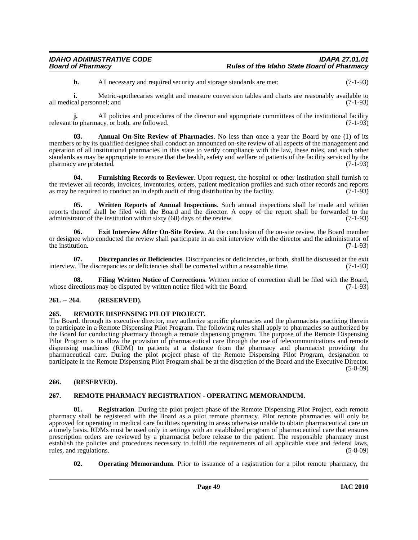**h.** All necessary and required security and storage standards are met; (7-1-93)

**i.** Metric-apothecaries weight and measure conversion tables and charts are reasonably available to all medical personnel; and (7-1-93)

**j.** All policies and procedures of the director and appropriate committees of the institutional facility to pharmacy, or both, are followed. (7-1-93) relevant to pharmacy, or both, are followed.

**03. Annual On-Site Review of Pharmacies**. No less than once a year the Board by one (1) of its members or by its qualified designee shall conduct an announced on-site review of all aspects of the management and operation of all institutional pharmacies in this state to verify compliance with the law, these rules, and such other standards as may be appropriate to ensure that the health, safety and welfare of patients of the facility serviced by the pharmacy are protected. (7-1-93) pharmacy are protected.

**04. Furnishing Records to Reviewer**. Upon request, the hospital or other institution shall furnish to the reviewer all records, invoices, inventories, orders, patient medication profiles and such other records and reports as may be required to conduct an in depth audit of drug distribution by the facility. (7-1-93) as may be required to conduct an in depth audit of drug distribution by the facility.

**05. Written Reports of Annual Inspections**. Such annual inspections shall be made and written reports thereof shall be filed with the Board and the director. A copy of the report shall be forwarded to the administrator of the institution within sixty  $(60)$  days of the review. (7-1-93)

**06. Exit Interview After On-Site Review**. At the conclusion of the on-site review, the Board member or designee who conducted the review shall participate in an exit interview with the director and the administrator of the institution.  $(7-1-93)$ 

**07. Discrepancies or Deficiencies**. Discrepancies or deficiencies, or both, shall be discussed at the exit v. The discrepancies or deficiencies shall be corrected within a reasonable time. (7-1-93) interview. The discrepancies or deficiencies shall be corrected within a reasonable time.

**08.** Filing Written Notice of Corrections. Written notice of correction shall be filed with the Board, rections may be disputed by written notice filed with the Board. (7-1-93) whose directions may be disputed by written notice filed with the Board.

# **261. -- 264. (RESERVED).**

## **265. REMOTE DISPENSING PILOT PROJECT.**

The Board, through its executive director, may authorize specific pharmacies and the pharmacists practicing therein to participate in a Remote Dispensing Pilot Program. The following rules shall apply to pharmacies so authorized by the Board for conducting pharmacy through a remote dispensing program. The purpose of the Remote Dispensing Pilot Program is to allow the provision of pharmaceutical care through the use of telecommunications and remote dispensing machines (RDM) to patients at a distance from the pharmacy and pharmacist providing the pharmaceutical care. During the pilot project phase of the Remote Dispensing Pilot Program, designation to participate in the Remote Dispensing Pilot Program shall be at the discretion of the Board and the Executive Director. (5-8-09)

## **266. (RESERVED).**

## **267. REMOTE PHARMACY REGISTRATION - OPERATING MEMORANDUM.**

**01. Registration**. During the pilot project phase of the Remote Dispensing Pilot Project, each remote pharmacy shall be registered with the Board as a pilot remote pharmacy. Pilot remote pharmacies will only be approved for operating in medical care facilities operating in areas otherwise unable to obtain pharmaceutical care on a timely basis. RDMs must be used only in settings with an established program of pharmaceutical care that ensures prescription orders are reviewed by a pharmacist before release to the patient. The responsible pharmacy must establish the policies and procedures necessary to fulfill the requirements of all applicable state and federal laws, rules, and regulations. (5-8-09) rules, and regulations.

**02. Operating Memorandum**. Prior to issuance of a registration for a pilot remote pharmacy, the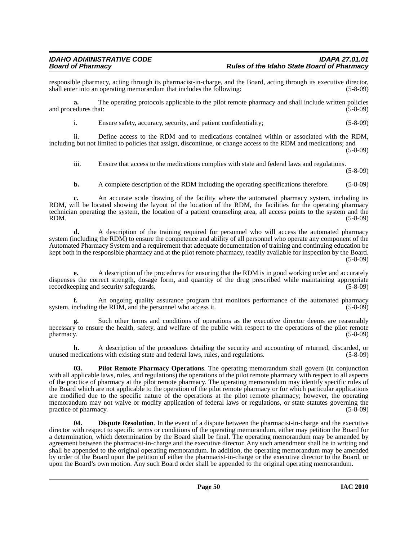responsible pharmacy, acting through its pharmacist-in-charge, and the Board, acting through its executive director, shall enter into an operating memorandum that includes the following: (5-8-09) shall enter into an operating memorandum that includes the following:

**a.** The operating protocols applicable to the pilot remote pharmacy and shall include written policies and procedures that: (5-8-09)

i. Ensure safety, accuracy, security, and patient confidentiality; (5-8-09)

ii. Define access to the RDM and to medications contained within or associated with the RDM, including but not limited to policies that assign, discontinue, or change access to the RDM and medications; and  $(5-8-09)$ 

iii. Ensure that access to the medications complies with state and federal laws and regulations.

(5-8-09)

**b.** A complete description of the RDM including the operating specifications therefore. (5-8-09)

**c.** An accurate scale drawing of the facility where the automated pharmacy system, including its RDM, will be located showing the layout of the location of the RDM, the facilities for the operating pharmacy technician operating the system, the location of a patient counseling area, all access points to the system and the RDM. (5-8-09)

**d.** A description of the training required for personnel who will access the automated pharmacy system (including the RDM) to ensure the competence and ability of all personnel who operate any component of the Automated Pharmacy System and a requirement that adequate documentation of training and continuing education be kept both in the responsible pharmacy and at the pilot remote pharmacy, readily available for inspection by the Board. (5-8-09)

**e.** A description of the procedures for ensuring that the RDM is in good working order and accurately dispenses the correct strength, dosage form, and quantity of the drug prescribed while maintaining appropriate record<br>(5-8-09) (5-8-09) recordkeeping and security safeguards.

**f.** An ongoing quality assurance program that monitors performance of the automated pharmacy system, including the RDM, and the personnel who access it. (5-8-09)

**g.** Such other terms and conditions of operations as the executive director deems are reasonably necessary to ensure the health, safety, and welfare of the public with respect to the operations of the pilot remote  $\mu$  pharmacy. (5-8-09)

**h.** A description of the procedures detailing the security and accounting of returned, discarded, or unused medications with existing state and federal laws, rules, and regulations. (5-8-09)

**03. Pilot Remote Pharmacy Operations**. The operating memorandum shall govern (in conjunction with all applicable laws, rules, and regulations) the operations of the pilot remote pharmacy with respect to all aspects of the practice of pharmacy at the pilot remote pharmacy. The operating memorandum may identify specific rules of the Board which are not applicable to the operation of the pilot remote pharmacy or for which particular applications are modified due to the specific nature of the operations at the pilot remote pharmacy; however, the operating memorandum may not waive or modify application of federal laws or regulations, or state statutes governing the practice of pharmacy. (5-8-09) practice of pharmacy.

**04. Dispute Resolution**. In the event of a dispute between the pharmacist-in-charge and the executive director with respect to specific terms or conditions of the operating memorandum, either may petition the Board for a determination, which determination by the Board shall be final. The operating memorandum may be amended by agreement between the pharmacist-in-charge and the executive director. Any such amendment shall be in writing and shall be appended to the original operating memorandum. In addition, the operating memorandum may be amended by order of the Board upon the petition of either the pharmacist-in-charge or the executive director to the Board, or upon the Board's own motion. Any such Board order shall be appended to the original operating memorandum.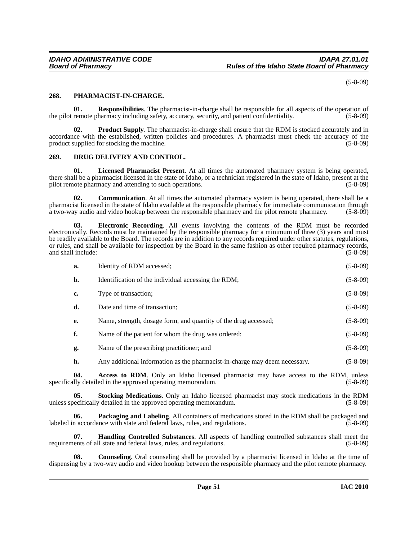(5-8-09)

## **268. PHARMACIST-IN-CHARGE.**

**01. Responsibilities**. The pharmacist-in-charge shall be responsible for all aspects of the operation of the pilot remote pharmacy including safety, accuracy, security, and patient confidentiality. (5-8-09)

**02.** Product Supply. The pharmacist-in-charge shall ensure that the RDM is stocked accurately and in accordance with the established, written policies and procedures. A pharmacist must check the accuracy of the product supplied for stocking the machine. (5-8-09)

# **269. DRUG DELIVERY AND CONTROL.**

**01. Licensed Pharmacist Present**. At all times the automated pharmacy system is being operated, there shall be a pharmacist licensed in the state of Idaho, or a technician registered in the state of Idaho, present at the pilot remote pharmacy and attending to such operations. (5-8-09) (5-8-09)

**02. Communication**. At all times the automated pharmacy system is being operated, there shall be a pharmacist licensed in the state of Idaho available at the responsible pharmacy for immediate communication through a two-way audio and video hookup between the responsible pharmacy and the pilot remote pharmacy. (5-8-09)

**03. Electronic Recording**. All events involving the contents of the RDM must be recorded electronically. Records must be maintained by the responsible pharmacy for a minimum of three (3) years and must be readily available to the Board. The records are in addition to any records required under other statutes, regulations, or rules, and shall be available for inspection by the Board in the same fashion as other required pharmacy records, and shall include: (5-8-09) and shall include:

| a. | Identity of RDM accessed: | $(5-8-09)$ |
|----|---------------------------|------------|

|    | Identification of the individual accessing the RDM; | $(5-8-09)$ |
|----|-----------------------------------------------------|------------|
| c. | Type of transaction;                                | $(5-8-09)$ |

**d.** Date and time of transaction; (5-8-09)

**e.** Name, strength, dosage form, and quantity of the drug accessed; (5-8-09)

**f.** Name of the patient for whom the drug was ordered; (5-8-09)

**g.** Name of the prescribing practitioner; and (5-8-09)

**h.** Any additional information as the pharmacist-in-charge may deem necessary. (5-8-09)

**04.** Access to RDM. Only an Idaho licensed pharmacist may have access to the RDM, unless lily detailed in the approved operating memorandum. (5-8-09) specifically detailed in the approved operating memorandum.

**05. Stocking Medications**. Only an Idaho licensed pharmacist may stock medications in the RDM unless specifically detailed in the approved operating memorandum. (5-8-09)

**06. Packaging and Labeling**. All containers of medications stored in the RDM shall be packaged and labeled in accordance with state and federal laws, rules, and regulations. (5-8-09)

**07. Handling Controlled Substances**. All aspects of handling controlled substances shall meet the requirements of all state and federal laws, rules, and regulations. (5-8-09)

**08. Counseling**. Oral counseling shall be provided by a pharmacist licensed in Idaho at the time of dispensing by a two-way audio and video hookup between the responsible pharmacy and the pilot remote pharmacy.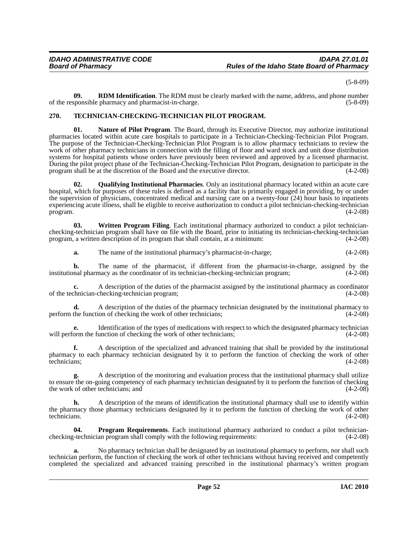(5-8-09)

**09. RDM Identification**. The RDM must be clearly marked with the name, address, and phone number sponsible pharmacy and pharmacist-in-charge. (5-8-09) of the responsible pharmacy and pharmacist-in-charge.

# **270. TECHNICIAN-CHECKING-TECHNICIAN PILOT PROGRAM.**

**01. Nature of Pilot Program**. The Board, through its Executive Director, may authorize institutional pharmacies located within acute care hospitals to participate in a Technician-Checking-Technician Pilot Program. The purpose of the Technician-Checking-Technician Pilot Program is to allow pharmacy technicians to review the work of other pharmacy technicians in connection with the filling of floor and ward stock and unit dose distribution systems for hospital patients whose orders have previously been reviewed and approved by a licensed pharmacist. During the pilot project phase of the Technician-Checking-Technician Pilot Program, designation to participate in the program shall be at the discretion of the Board and the executive director. (4-2-08)

**02. Qualifying Institutional Pharmacies**. Only an institutional pharmacy located within an acute care hospital, which for purposes of these rules is defined as a facility that is primarily engaged in providing, by or under the supervision of physicians, concentrated medical and nursing care on a twenty-four (24) hour basis to inpatients experiencing acute illness, shall be eligible to receive authorization to conduct a pilot technician-checking-technician  $\mu$  program. (4-2-08)

**03. Written Program Filing**. Each institutional pharmacy authorized to conduct a pilot technicianchecking-technician program shall have on file with the Board, prior to initiating its technician-checking-technician program, a written description of its program that shall contain, at a minimum: (4-2-08)

**a.** The name of the institutional pharmacy's pharmacist-in-charge; (4-2-08)

**b.** The name of the pharmacist, if different from the pharmacist-in-charge, assigned by the nal pharmacy as the coordinator of its technician-checking-technician program; (4-2-08) institutional pharmacy as the coordinator of its technician-checking-technician program;

**c.** A description of the duties of the pharmacist assigned by the institutional pharmacy as coordinator of the technician-checking-technician program; (4-2-08)

**d.** A description of the duties of the pharmacy technician designated by the institutional pharmacy to the function of checking the work of other technicians; (4-2-08) perform the function of checking the work of other technicians;

**e.** Identification of the types of medications with respect to which the designated pharmacy technician will perform the function of checking the work of other technicians; (4-2-08)

**f.** A description of the specialized and advanced training that shall be provided by the institutional pharmacy to each pharmacy technician designated by it to perform the function of checking the work of other technicians; (4-2-08)

**g.** A description of the monitoring and evaluation process that the institutional pharmacy shall utilize to ensure the on-going competency of each pharmacy technician designated by it to perform the function of checking<br>the work of other technicians; and (4-2-08) the work of other technicians; and

**h.** A description of the means of identification the institutional pharmacy shall use to identify within the pharmacy those pharmacy technicians designated by it to perform the function of checking the work of other technicians. (4-2-08) technicians. (4-2-08)

**04. Program Requirements**. Each institutional pharmacy authorized to conduct a pilot technicianchecking-technician program shall comply with the following requirements: (4-2-08)

**a.** No pharmacy technician shall be designated by an institutional pharmacy to perform, nor shall such technician perform, the function of checking the work of other technicians without having received and competently completed the specialized and advanced training prescribed in the institutional pharmacy's written program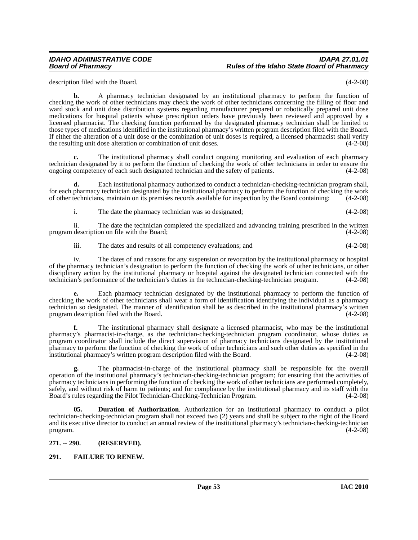# *IDAHO ADMINISTRATIVE CODE IDAPA 27.01.01 Board of Pharmacy Rules of the Idaho State Board of Pharmacy*

description filed with the Board. (4-2-08)

**b.** A pharmacy technician designated by an institutional pharmacy to perform the function of checking the work of other technicians may check the work of other technicians concerning the filling of floor and ward stock and unit dose distribution systems regarding manufacturer prepared or robotically prepared unit dose medications for hospital patients whose prescription orders have previously been reviewed and approved by a licensed pharmacist. The checking function performed by the designated pharmacy technician shall be limited to those types of medications identified in the institutional pharmacy's written program description filed with the Board. If either the alteration of a unit dose or the combination of unit doses is required, a licensed pharmacist shall verify the resulting unit dose alteration or combination of unit doses. (4-2-08)

**c.** The institutional pharmacy shall conduct ongoing monitoring and evaluation of each pharmacy technician designated by it to perform the function of checking the work of other technicians in order to ensure the ongoing competency of each such designated technician and the safety of patients. (4-2-08)

**d.** Each institutional pharmacy authorized to conduct a technician-checking-technician program shall, for each pharmacy technician designated by the institutional pharmacy to perform the function of checking the work of other technicians, maintain on its premises records available for inspection by the Board containing: (4-2-08)

i. The date the pharmacy technician was so designated; (4-2-08)

ii. The date the technician completed the specialized and advancing training prescribed in the written program description on file with the Board;

iii. The dates and results of all competency evaluations; and (4-2-08)

iv. The dates of and reasons for any suspension or revocation by the institutional pharmacy or hospital of the pharmacy technician's designation to perform the function of checking the work of other technicians, or other disciplinary action by the institutional pharmacy or hospital against the designated technician connected with the technician's performance of the technician's duties in the technician-checking-technician program. (4-2-08)

**e.** Each pharmacy technician designated by the institutional pharmacy to perform the function of checking the work of other technicians shall wear a form of identification identifying the individual as a pharmacy technician so designated. The manner of identification shall be as described in the institutional pharmacy's written<br>program description filed with the Board. (4-2-08) program description filed with the Board.

**f.** The institutional pharmacy shall designate a licensed pharmacist, who may be the institutional pharmacy's pharmacist-in-charge, as the technician-checking-technician program coordinator, whose duties as program coordinator shall include the direct supervision of pharmacy technicians designated by the institutional pharmacy to perform the function of checking the work of other technicians and such other duties as specified in the institutional pharmacy's written program description filed with the Board. (4-2-08)

**g.** The pharmacist-in-charge of the institutional pharmacy shall be responsible for the overall operation of the institutional pharmacy's technician-checking-technician program; for ensuring that the activities of pharmacy technicians in performing the function of checking the work of other technicians are performed completely, safely, and without risk of harm to patients; and for compliance by the institutional pharmacy and its staff with the Board's rules regarding the Pilot Technician-Checking-Technician Program. (4-2-08)

**05. Duration of Authorization**. Authorization for an institutional pharmacy to conduct a pilot technician-checking-technician program shall not exceed two (2) years and shall be subject to the right of the Board and its executive director to conduct an annual review of the institutional pharmacy's technician-checking-technician program.  $(4-2-08)$ 

## **271. -- 290. (RESERVED).**

# **291. FAILURE TO RENEW.**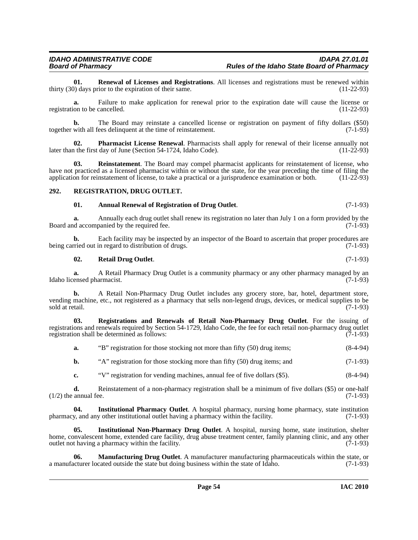**01. Renewal of Licenses and Registrations**. All licenses and registrations must be renewed within ()) days prior to the expiration of their same. thirty  $(30)$  days prior to the expiration of their same.

**a.** Failure to make application for renewal prior to the expiration date will cause the license or on to be cancelled. (11-22-93) registration to be cancelled.

**b.** The Board may reinstate a cancelled license or registration on payment of fifty dollars (\$50) together with all fees delinquent at the time of reinstatement. (7-1-93)

**Pharmacist License Renewal**. Pharmacists shall apply for renewal of their license annually not day of June (Section 54-1724, Idaho Code). (11-22-93) later than the first day of June (Section 54-1724, Idaho Code).

**03. Reinstatement**. The Board may compel pharmacist applicants for reinstatement of license, who have not practiced as a licensed pharmacist within or without the state, for the year preceding the time of filing the application for reinstatement of license, to take a practical or a jurisprudence examination or both. (11-22-93)

## **292. REGISTRATION, DRUG OUTLET.**

#### **01. Annual Renewal of Registration of Drug Outlet**. (7-1-93)

**a.** Annually each drug outlet shall renew its registration no later than July 1 on a form provided by the decompanied by the required fee.  $(7-1-93)$ Board and accompanied by the required fee.

**b.** Each facility may be inspected by an inspector of the Board to ascertain that proper procedures are being carried out in regard to distribution of drugs. (7-1-93)

#### **02. Retail Drug Outlet**. (7-1-93)

**a.** A Retail Pharmacy Drug Outlet is a community pharmacy or any other pharmacy managed by an Idaho licensed pharmacist. (7-1-93)

**b.** A Retail Non-Pharmacy Drug Outlet includes any grocery store, bar, hotel, department store, vending machine, etc., not registered as a pharmacy that sells non-legend drugs, devices, or medical supplies to be sold at retail. (7-1-93)

**03. Registrations and Renewals of Retail Non-Pharmacy Drug Outlet**. For the issuing of registrations and renewals required by Section 54-1729, Idaho Code, the fee for each retail non-pharmacy drug outlet registration shall be determined as follows: (7-1-93)

**a.** "B" registration for those stocking not more than fifty (50) drug items; (8-4-94)

**b.** "A" registration for those stocking more than fifty (50) drug items; and (7-1-93)

**c.** "V" registration for vending machines, annual fee of five dollars (\$5). (8-4-94)

**d.** Reinstatement of a non-pharmacy registration shall be a minimum of five dollars (\$5) or one-half  $(1/2)$  the annual fee.  $(7-1-93)$ 

**04.** Institutional Pharmacy Outlet. A hospital pharmacy, nursing home pharmacy, state institution y, and any other institutional outlet having a pharmacy within the facility. (7-1-93) pharmacy, and any other institutional outlet having a pharmacy within the facility.

**05. Institutional Non-Pharmacy Drug Outlet**. A hospital, nursing home, state institution, shelter home, convalescent home, extended care facility, drug abuse treatment center, family planning clinic, and any other outlet not having a pharmacy within the facility. (7-1-93)

**Manufacturing Drug Outlet**. A manufacturer manufacturing pharmaceuticals within the state, or a manufacturer located outside the state but doing business within the state of Idaho. (7-1-93)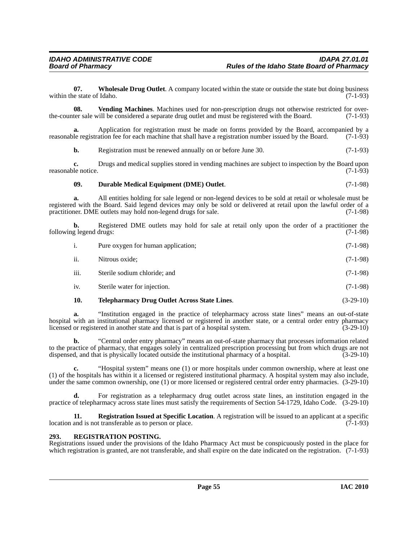**07. Wholesale Drug Outlet**. A company located within the state or outside the state but doing business within the state of Idaho. (7-1-93)

**08. Vending Machines**. Machines used for non-prescription drugs not otherwise restricted for overthe-counter sale will be considered a separate drug outlet and must be registered with the Board. (7-1-93)

**a.** Application for registration must be made on forms provided by the Board, accompanied by a reasonable registration fee for each machine that shall have a registration number issued by the Board. (7-1-93)

**b.** Registration must be renewed annually on or before June 30. (7-1-93)

**c.** Drugs and medical supplies stored in vending machines are subject to inspection by the Board upon reasonable notice. (7-1-93)

# **09. Durable Medical Equipment (DME) Outlet**. (7-1-98)

**a.** All entities holding for sale legend or non-legend devices to be sold at retail or wholesale must be registered with the Board. Said legend devices may only be sold or delivered at retail upon the lawful order of a practitioner. DME outlets may hold non-legend drugs for sale. (7-1-98)

**b.** Registered DME outlets may hold for sale at retail only upon the order of a practitioner the g legend drugs: (7-1-98) following legend drugs:

| <sup>1.</sup> | Pure oxygen for human application; | $(7-1-98)$ |
|---------------|------------------------------------|------------|
| ii.           | Nitrous oxide:                     | $(7-1-98)$ |
| iii.          | Sterile sodium chloride; and       | $(7-1-98)$ |
| iv.           | Sterile water for injection.       | $(7-1-98)$ |
|               |                                    |            |

## **10. Telepharmacy Drug Outlet Across State Lines**. (3-29-10)

**a.** "Institution engaged in the practice of telepharmacy across state lines" means an out-of-state hospital with an institutional pharmacy licensed or registered in another state, or a central order entry pharmacy<br>licensed or registered in another state and that is part of a hospital system. (3-29-10) licensed or registered in another state and that is part of a hospital system.

**b.** "Central order entry pharmacy" means an out-of-state pharmacy that processes information related to the practice of pharmacy, that engages solely in centralized prescription processing but from which drugs are not dispensed, and that is physically located outside the institutional pharmacy of a hospital. (3-29-10)

**c.** "Hospital system" means one (1) or more hospitals under common ownership, where at least one (1) of the hospitals has within it a licensed or registered institutional pharmacy. A hospital system may also include, under the same common ownership, one (1) or more licensed or registered central order entry pharmacies. (3-29-10)

**d.** For registration as a telepharmacy drug outlet across state lines, an institution engaged in the practice of telepharmacy across state lines must satisfy the requirements of Section 54-1729, Idaho Code. (3-29-10)

**11. Registration Issued at Specific Location**. A registration will be issued to an applicant at a specific location and is not transferable as to person or place.  $(7-1-93)$ 

## **293. REGISTRATION POSTING.**

Registrations issued under the provisions of the Idaho Pharmacy Act must be conspicuously posted in the place for which registration is granted, are not transferable, and shall expire on the date indicated on the registration. (7-1-93)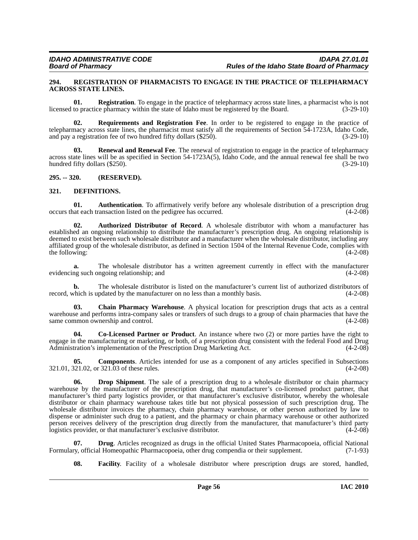#### **294. REGISTRATION OF PHARMACISTS TO ENGAGE IN THE PRACTICE OF TELEPHARMACY ACROSS STATE LINES.**

**01. Registration**. To engage in the practice of telepharmacy across state lines, a pharmacist who is not to practice pharmacy within the state of Idaho must be registered by the Board. (3-29-10) licensed to practice pharmacy within the state of Idaho must be registered by the Board.

**02. Requirements and Registration Fee**. In order to be registered to engage in the practice of telepharmacy across state lines, the pharmacist must satisfy all the requirements of Section 54-1723A, Idaho Code, and pay a registration fee of two hundred fifty dollars (\$250). (3-29-10) (3-29-10)

**03. Renewal and Renewal Fee**. The renewal of registration to engage in the practice of telepharmacy across state lines will be as specified in Section 54-1723A(5), Idaho Code, and the annual renewal fee shall be two hundred fifty dollars (\$250).

**295. -- 320. (RESERVED).**

#### **321. DEFINITIONS.**

**01. Authentication**. To affirmatively verify before any wholesale distribution of a prescription drug at each transaction listed on the pedigree has occurred. (4-2-08) occurs that each transaction listed on the pedigree has occurred.

**02. Authorized Distributor of Record**. A wholesale distributor with whom a manufacturer has established an ongoing relationship to distribute the manufacturer's prescription drug. An ongoing relationship is deemed to exist between such wholesale distributor and a manufacturer when the wholesale distributor, including any affiliated group of the wholesale distributor, as defined in Section 1504 of the Internal Revenue Code, complies with the following: (4-2-08) the following:

**a.** The wholesale distributor has a written agreement currently in effect with the manufacturer evidencing such ongoing relationship; and (4-2-08)

**b.** The wholesale distributor is listed on the manufacturer's current list of authorized distributors of record, which is updated by the manufacturer on no less than a monthly basis. (4-2-08)

**03. Chain Pharmacy Warehouse**. A physical location for prescription drugs that acts as a central warehouse and performs intra-company sales or transfers of such drugs to a group of chain pharmacies that have the same common ownership and control. (4-2-08)

**04. Co-Licensed Partner or Product**. An instance where two (2) or more parties have the right to engage in the manufacturing or marketing, or both, of a prescription drug consistent with the federal Food and Drug Administration's implementation of the Prescription Drug Marketing Act. (4-2-08) Administration's implementation of the Prescription Drug Marketing Act.

**05. Components**. Articles intended for use as a component of any articles specified in Subsections 321.01, 321.02, or 321.03 of these rules. (4-2-08)

**06. Drop Shipment**. The sale of a prescription drug to a wholesale distributor or chain pharmacy warehouse by the manufacturer of the prescription drug, that manufacturer's co-licensed product partner, that manufacturer's third party logistics provider, or that manufacturer's exclusive distributor, whereby the wholesale distributor or chain pharmacy warehouse takes title but not physical possession of such prescription drug. The wholesale distributor invoices the pharmacy, chain pharmacy warehouse, or other person authorized by law to dispense or administer such drug to a patient, and the pharmacy or chain pharmacy warehouse or other authorized person receives delivery of the prescription drug directly from the manufacturer, that manufacturer's third party logistics provider, or that manufacturer's exclusive distributor. (4-2-08)

**07. Drug**. Articles recognized as drugs in the official United States Pharmacopoeia, official National ry, official Homeopathic Pharmacopoeia, other drug compendia or their supplement. (7-1-93) Formulary, official Homeopathic Pharmacopoeia, other drug compendia or their supplement.

**08. Facility**. Facility of a wholesale distributor where prescription drugs are stored, handled,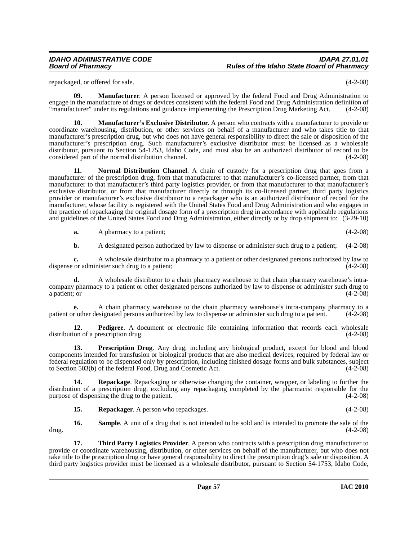repackaged, or offered for sale. (4-2-08)

**09. Manufacturer**. A person licensed or approved by the federal Food and Drug Administration to engage in the manufacture of drugs or devices consistent with the federal Food and Drug Administration definition of "manufacturer" under its regulations and guidance implementing the Prescription Drug Marketing Act. (4-2-08)

**10. Manufacturer's Exclusive Distributor**. A person who contracts with a manufacturer to provide or coordinate warehousing, distribution, or other services on behalf of a manufacturer and who takes title to that manufacturer's prescription drug, but who does not have general responsibility to direct the sale or disposition of the manufacturer's prescription drug. Such manufacturer's exclusive distributor must be licensed as a wholesale distributor, pursuant to Section 54-1753, Idaho Code, and must also be an authorized distributor of record to be considered part of the normal distribution channel. (4-2-08) considered part of the normal distribution channel.

**11. Normal Distribution Channel**. A chain of custody for a prescription drug that goes from a manufacturer of the prescription drug, from that manufacturer to that manufacturer's co-licensed partner, from that manufacturer to that manufacturer's third party logistics provider, or from that manufacturer to that manufacturer's exclusive distributor, or from that manufacturer directly or through its co-licensed partner, third party logistics provider or manufacturer's exclusive distributor to a repackager who is an authorized distributor of record for the manufacturer, whose facility is registered with the United States Food and Drug Administration and who engages in the practice of repackaging the original dosage form of a prescription drug in accordance with applicable regulations and guidelines of the United States Food and Drug Administration, either directly or by drop shipment to: (3-29-10)

| <b>a.</b> | A pharmacy to a patient; | $(4-2-08)$ |
|-----------|--------------------------|------------|
|           |                          |            |

**b.** A designated person authorized by law to dispense or administer such drug to a patient; (4-2-08)

**c.** A wholesale distributor to a pharmacy to a patient or other designated persons authorized by law to or administer such drug to a patient; (4-2-08) dispense or administer such drug to a patient;

**d.** A wholesale distributor to a chain pharmacy warehouse to that chain pharmacy warehouse's intracompany pharmacy to a patient or other designated persons authorized by law to dispense or administer such drug to a patient; or  $(4-2-08)$ 

**e.** A chain pharmacy warehouse to the chain pharmacy warehouse's intra-company pharmacy to a r other designated persons authorized by law to dispense or administer such drug to a patient. (4-2-08) patient or other designated persons authorized by law to dispense or administer such drug to a patient.

**12. Pedigree**. A document or electronic file containing information that records each wholesale distribution of a prescription drug. (4-2-08)

**13. Prescription Drug**. Any drug, including any biological product, except for blood and blood components intended for transfusion or biological products that are also medical devices, required by federal law or federal regulation to be dispensed only by prescription, including finished dosage forms and bulk substances, subject to Section 503(b) of the federal Food, Drug and Cosmetic Act. (4-2-08)

**14. Repackage**. Repackaging or otherwise changing the container, wrapper, or labeling to further the distribution of a prescription drug, excluding any repackaging completed by the pharmacist responsible for the purpose of dispensing the drug to the patient. (4-2-08)

**15. Repackager**. A person who repackages. (4-2-08)

**16. Sample**. A unit of a drug that is not intended to be sold and is intended to promote the sale of the drug. (4-2-08)

**17. Third Party Logistics Provider**. A person who contracts with a prescription drug manufacturer to provide or coordinate warehousing, distribution, or other services on behalf of the manufacturer, but who does not take title to the prescription drug or have general responsibility to direct the prescription drug's sale or disposition. A third party logistics provider must be licensed as a wholesale distributor, pursuant to Section 54-1753, Idaho Code,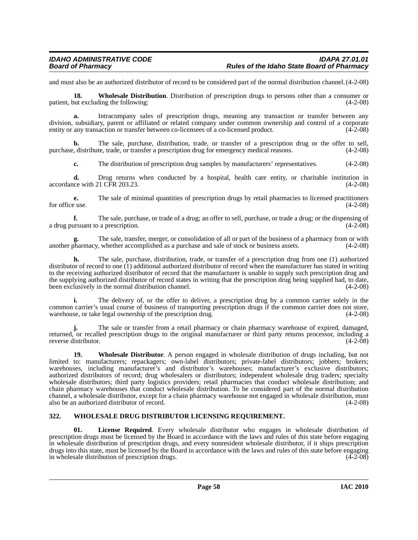and must also be an authorized distributor of record to be considered part of the normal distribution channel.(4-2-08)

**18. Wholesale Distribution**. Distribution of prescription drugs to persons other than a consumer or patient, but excluding the following: (4-2-08)

**a.** Intracompany sales of prescription drugs, meaning any transaction or transfer between any division, subsidiary, parent or affiliated or related company under common ownership and control of a corporate entity or any transaction or transfer between co-licensees of a co-licensed product. (4-2-08)

The sale, purchase, distribution, trade, or transfer of a prescription drug or the offer to sell, te, trade, or transfer a prescription drug for emergency medical reasons.  $(4-2-08)$ purchase, distribute, trade, or transfer a prescription drug for emergency medical reasons.

**c.** The distribution of prescription drug samples by manufacturers' representatives. (4-2-08)

**d.** Drug returns when conducted by a hospital, health care entity, or charitable institution in ce with 21 CFR 203.23. (4-2-08) accordance with  $21$  CFR 203.23.

**e.** The sale of minimal quantities of prescription drugs by retail pharmacies to licensed practitioners for office use.  $(4-2-08)$ 

**f.** The sale, purchase, or trade of a drug; an offer to sell, purchase, or trade a drug; or the dispensing of ursuant to a prescription.  $(4-2-08)$ a drug pursuant to a prescription.

**g.** The sale, transfer, merger, or consolidation of all or part of the business of a pharmacy from or with another pharmacy, whether accomplished as a purchase and sale of stock or business assets. (4-2-08)

**h.** The sale, purchase, distribution, trade, or transfer of a prescription drug from one (1) authorized distributor of record to one (1) additional authorized distributor of record when the manufacturer has stated in writing to the receiving authorized distributor of record that the manufacturer is unable to supply such prescription drug and the supplying authorized distributor of record states in writing that the prescription drug being supplied had, to date, been exclusively in the normal distribution channel. (4-2-08) been exclusively in the normal distribution channel.

**i.** The delivery of, or the offer to deliver, a prescription drug by a common carrier solely in the common carrier's usual course of business of transporting prescription drugs if the common carrier does not store, warehouse, or take legal ownership of the prescription drug.  $(4-2-08)$ warehouse, or take legal ownership of the prescription drug.

**j.** The sale or transfer from a retail pharmacy or chain pharmacy warehouse of expired, damaged, returned, or recalled prescription drugs to the original manufacturer or third party returns processor, including a reverse distributor. (4-2-08)

**19. Wholesale Distributor**. A person engaged in wholesale distribution of drugs including, but not limited to: manufacturers; repackagers; own-label distributors; private-label distributors; jobbers; brokers; warehouses, including manufacturer's and distributor's warehouses; manufacturer's exclusive distributors; authorized distributors of record; drug wholesalers or distributors; independent wholesale drug traders; specialty wholesale distributors; third party logistics providers; retail pharmacies that conduct wholesale distribution; and chain pharmacy warehouses that conduct wholesale distribution. To be considered part of the normal distribution channel, a wholesale distributor, except for a chain pharmacy warehouse not engaged in wholesale distribution, must also be an authorized distributor of record. (4-2-08)

## **322. WHOLESALE DRUG DISTRIBUTOR LICENSING REQUIREMENT.**

**License Required.** Every wholesale distributor who engages in wholesale distribution of prescription drugs must be licensed by the Board in accordance with the laws and rules of this state before engaging in wholesale distribution of prescription drugs, and every nonresident wholesale distributor, if it ships prescription drugs into this state, must be licensed by the Board in accordance with the laws and rules of this state before engaging<br>in wholesale distribution of prescription drugs. in wholesale distribution of prescription drugs.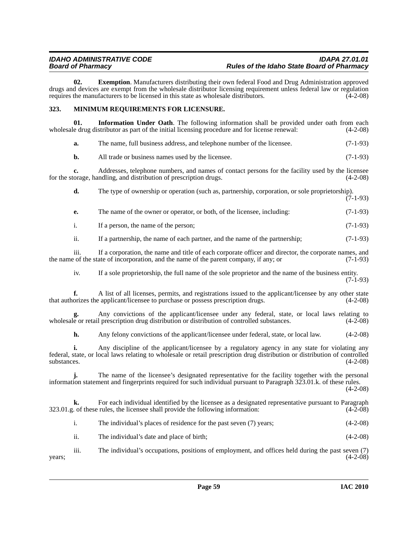**02. Exemption**. Manufacturers distributing their own federal Food and Drug Administration approved drugs and devices are exempt from the wholesale distributor licensing requirement unless federal law or regulation requires the manufacturers to be licensed in this state as wholesale distributors. (4-2-08)

## **323. MINIMUM REQUIREMENTS FOR LICENSURE.**

**01. Information Under Oath**. The following information shall be provided under oath from each wholesale drug distributor as part of the initial licensing procedure and for license renewal:  $(4-2-08)$ 

**b.** All trade or business names used by the licensee. (7-1-93)

**c.** Addresses, telephone numbers, and names of contact persons for the facility used by the licensee for the storage, handling, and distribution of prescription drugs. (4-2-08)

**d.** The type of ownership or operation (such as, partnership, corporation, or sole proprietorship).  $(7-1-93)$ 

**e.** The name of the owner or operator, or both, of the licensee, including: (7-1-93)

i. If a person, the name of the person; (7-1-93)

ii. If a partnership, the name of each partner, and the name of the partnership; (7-1-93)

iii. If a corporation, the name and title of each corporate officer and director, the corporate names, and the name of the state of incorporation, and the name of the parent company, if any; or (7-1-93)

iv. If a sole proprietorship, the full name of the sole proprietor and the name of the business entity. (7-1-93)

**f.** A list of all licenses, permits, and registrations issued to the applicant/licensee by any other state that authorizes the applicant/licensee to purchase or possess prescription drugs. (4-2-08)

**g.** Any convictions of the applicant/licensee under any federal, state, or local laws relating to wholesale or retail prescription drug distribution or distribution of controlled substances.  $(4-2-08)$ 

**h.** Any felony convictions of the applicant/licensee under federal, state, or local law. (4-2-08)

**i.** Any discipline of the applicant/licensee by a regulatory agency in any state for violating any federal, state, or local laws relating to wholesale or retail prescription drug distribution or distribution of controlled  $\mu$ substances. (4-2-08)

**j.** The name of the licensee's designated representative for the facility together with the personal information statement and fingerprints required for such individual pursuant to Paragraph 323.01.k. of these rules. (4-2-08)

**k.** For each individual identified by the licensee as a designated representative pursuant to Paragraph 323.01.g. of these rules, the licensee shall provide the following information: (4-2-08)

|  | The individual's places of residence for the past seven (7) years; | $(4-2-08)$ |
|--|--------------------------------------------------------------------|------------|
|--|--------------------------------------------------------------------|------------|

ii. The individual's date and place of birth; (4-2-08)

iii. The individual's occupations, positions of employment, and offices held during the past seven (7)  $years$ ; (4-2-08)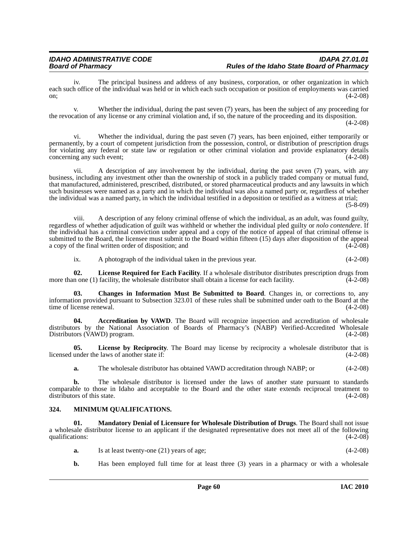iv. The principal business and address of any business, corporation, or other organization in which each such office of the individual was held or in which each such occupation or position of employments was carried on;  $(4-2-08)$ 

v. Whether the individual, during the past seven (7) years, has been the subject of any proceeding for the revocation of any license or any criminal violation and, if so, the nature of the proceeding and its disposition. (4-2-08)

vi. Whether the individual, during the past seven (7) years, has been enjoined, either temporarily or permanently, by a court of competent jurisdiction from the possession, control, or distribution of prescription drugs for violating any federal or state law or regulation or other criminal violation and provide explanatory details concerning any such event; (4-2-08)

vii. A description of any involvement by the individual, during the past seven (7) years, with any business, including any investment other than the ownership of stock in a publicly traded company or mutual fund, that manufactured, administered, prescribed, distributed, or stored pharmaceutical products and any lawsuits in which such businesses were named as a party and in which the individual was also a named party or, regardless of whether the individual was a named party, in which the individual testified in a deposition or testified as a witness at trial;

(5-8-09)

viii. A description of any felony criminal offense of which the individual, as an adult, was found guilty, regardless of whether adjudication of guilt was withheld or whether the individual pled guilty or *nolo contendere*. If the individual has a criminal conviction under appeal and a copy of the notice of appeal of that criminal offense is submitted to the Board, the licensee must submit to the Board within fifteen (15) days after disposition of the appeal a copy of the final written order of disposition; and (4-2-08)

ix. A photograph of the individual taken in the previous year. (4-2-08)

**02. License Required for Each Facility**. If a wholesale distributor distributes prescription drugs from more than one (1) facility, the wholesale distributor shall obtain a license for each facility.  $(4-2-08)$ 

**03. Changes in Information Must Be Submitted to Board**. Changes in, or corrections to, any information provided pursuant to Subsection 323.01 of these rules shall be submitted under oath to the Board at the time of license renewal. (4-2-08)

**04.** Accreditation by VAWD. The Board will recognize inspection and accreditation of wholesale distributors by the National Association of Boards of Pharmacy's (NABP) Verified-Accredited Wholesale<br>Distributors (VAWD) program. (4-2-08) Distributors (VAWD) program.

**05. License by Reciprocity**. The Board may license by reciprocity a wholesale distributor that is licensed under the laws of another state if: (4-2-08)

**a.** The wholesale distributor has obtained VAWD accreditation through NABP; or  $(4-2-08)$ 

**b.** The wholesale distributor is licensed under the laws of another state pursuant to standards comparable to those in Idaho and acceptable to the Board and the other state extends reciprocal treatment to distributors of this state. (4-2-08)

# **324. MINIMUM QUALIFICATIONS.**

**01. Mandatory Denial of Licensure for Wholesale Distribution of Drugs**. The Board shall not issue a wholesale distributor license to an applicant if the designated representative does not meet all of the following qualifications: (4-2-08)

- **a.** Is at least twenty-one (21) years of age; (4-2-08)
- **b.** Has been employed full time for at least three (3) years in a pharmacy or with a wholesale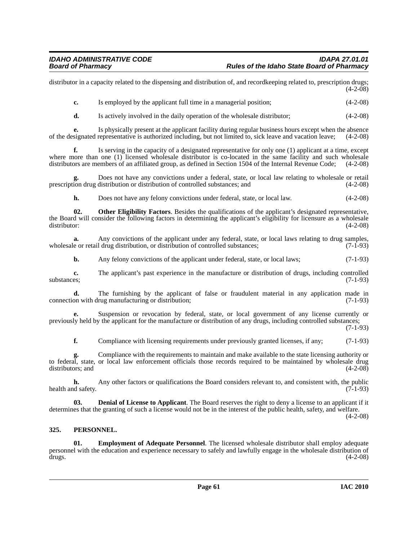distributor in a capacity related to the dispensing and distribution of, and recordkeeping related to, prescription drugs;  $(4-2-08)$ 

**c.** Is employed by the applicant full time in a managerial position: (4-2-08)

**d.** Is actively involved in the daily operation of the wholesale distributor; (4-2-08)

**e.** Is physically present at the applicant facility during regular business hours except when the absence of the designated representative is authorized including, but not limited to, sick leave and vacation leave; (4-2-08)

**f.** Is serving in the capacity of a designated representative for only one (1) applicant at a time, except where more than one (1) licensed wholesale distributor is co-located in the same facility and such wholesale distributors are members of an affiliated group, as defined in Section 1504 of the Internal Revenue Code; (4-2-08)

**g.** Does not have any convictions under a federal, state, or local law relating to wholesale or retail prescription drug distribution or distribution of controlled substances; and (4-2-08)

**h.** Does not have any felony convictions under federal, state, or local law.  $(4-2-08)$ 

**02. Other Eligibility Factors**. Besides the qualifications of the applicant's designated representative, the Board will consider the following factors in determining the applicant's eligibility for licensure as a wholesale distributor: (4-2-08) distributor: (4-2-08)

**a.** Any convictions of the applicant under any federal, state, or local laws relating to drug samples, wholesale or retail drug distribution, or distribution of controlled substances; (7-1-93)

**b.** Any felony convictions of the applicant under federal, state, or local laws; (7-1-93)

**c.** The applicant's past experience in the manufacture or distribution of drugs, including controlled substances;  $(7-1-93)$ 

**d.** The furnishing by the applicant of false or fraudulent material in any application made in connection with drug manufacturing or distribution; (7-1-93)

**e.** Suspension or revocation by federal, state, or local government of any license currently or previously held by the applicant for the manufacture or distribution of any drugs, including controlled substances;

(7-1-93)

**f.** Compliance with licensing requirements under previously granted licenses, if any; (7-1-93)

**g.** Compliance with the requirements to maintain and make available to the state licensing authority or to federal, state, or local law enforcement officials those records required to be maintained by wholesale drug distributors; and (4-2-08)

**h.** Any other factors or qualifications the Board considers relevant to, and consistent with, the public density. (7-1-93) health and safety.

**Denial of License to Applicant**. The Board reserves the right to deny a license to an applicant if it determines that the granting of such a license would not be in the interest of the public health, safety, and welfare. (4-2-08)

## **325. PERSONNEL.**

**01. Employment of Adequate Personnel**. The licensed wholesale distributor shall employ adequate personnel with the education and experience necessary to safely and lawfully engage in the wholesale distribution of drugs. (4-2-08)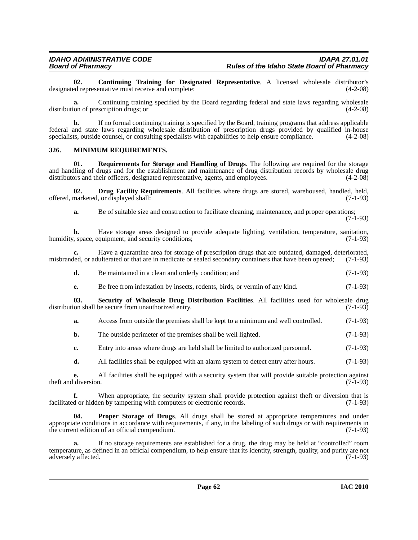**02. Continuing Training for Designated Representative**. A licensed wholesale distributor's designated representative must receive and complete:

**a.** Continuing training specified by the Board regarding federal and state laws regarding wholesale distribution of prescription drugs; or (4-2-08)

**b.** If no formal continuing training is specified by the Board, training programs that address applicable federal and state laws regarding wholesale distribution of prescription drugs provided by qualified in-house specialists, outside counsel, or consulting specialists with capabilities to help ensure compliance.  $(4-2-08)$ 

#### **326. MINIMUM REQUIREMENTS.**

**01. Requirements for Storage and Handling of Drugs**. The following are required for the storage and handling of drugs and for the establishment and maintenance of drug distribution records by wholesale drug distributors and their officers, designated representative, agents, and employees.  $(4-2-08)$ 

**02. Drug Facility Requirements**. All facilities where drugs are stored, warehoused, handled, held, offered, marketed, or displayed shall: (7-1-93)

**a.** Be of suitable size and construction to facilitate cleaning, maintenance, and proper operations;

(7-1-93)

**b.** Have storage areas designed to provide adequate lighting, ventilation, temperature, sanitation, humidity, space, equipment, and security conditions; (7-1-93)

**c.** Have a quarantine area for storage of prescription drugs that are outdated, damaged, deteriorated, misbranded, or adulterated or that are in medicate or sealed secondary containers that have been opened; (7-1-93)

| d. | Be maintained in a clean and orderly condition; and | $(7-1-93)$ |
|----|-----------------------------------------------------|------------|
|----|-----------------------------------------------------|------------|

**e.** Be free from infestation by insects, rodents, birds, or vermin of any kind.  $(7-1-93)$ 

**03. Security of Wholesale Drug Distribution Facilities**. All facilities used for wholesale drug distribution shall be secure from unauthorized entry. (7-1-93)

**a.** Access from outside the premises shall be kept to a minimum and well controlled. (7-1-93)

- **b.** The outside perimeter of the premises shall be well lighted. (7-1-93)
- **c.** Entry into areas where drugs are held shall be limited to authorized personnel. (7-1-93)

**d.** All facilities shall be equipped with an alarm system to detect entry after hours. (7-1-93)

**e.** All facilities shall be equipped with a security system that will provide suitable protection against diversion. (7-1-93) theft and diversion.

**f.** When appropriate, the security system shall provide protection against theft or diversion that is facilitated or hidden by tampering with computers or electronic records. (7-1-93)

Proper Storage of Drugs. All drugs shall be stored at appropriate temperatures and under appropriate conditions in accordance with requirements, if any, in the labeling of such drugs or with requirements in the current edition of an official compendium. (7-1-93)

**a.** If no storage requirements are established for a drug, the drug may be held at "controlled" room temperature, as defined in an official compendium, to help ensure that its identity, strength, quality, and purity are not adversely affected.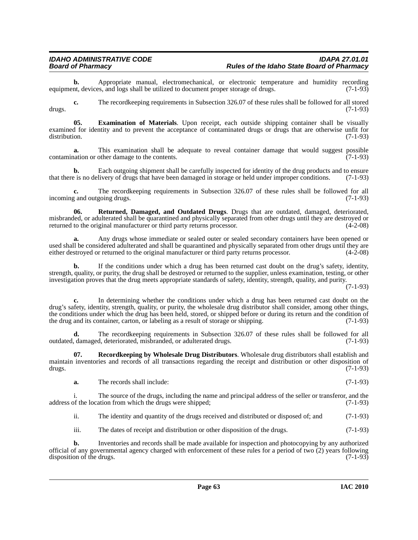**b.** Appropriate manual, electromechanical, or electronic temperature and humidity recording nt. devices, and logs shall be utilized to document proper storage of drugs. (7-1-93) equipment, devices, and logs shall be utilized to document proper storage of drugs.

**c.** The recordkeeping requirements in Subsection 326.07 of these rules shall be followed for all stored drugs. (7-1-93)

**05. Examination of Materials**. Upon receipt, each outside shipping container shall be visually examined for identity and to prevent the acceptance of contaminated drugs or drugs that are otherwise unfit for distribution. (7-1-93)

**a.** This examination shall be adequate to reveal container damage that would suggest possible nation or other damage to the contents. (7-1-93) contamination or other damage to the contents.

**b.** Each outgoing shipment shall be carefully inspected for identity of the drug products and to ensure that there is no delivery of drugs that have been damaged in storage or held under improper conditions. (7-1-93)

**c.** The recordkeeping requirements in Subsection 326.07 of these rules shall be followed for all and outgoing drugs. (7-1-93) incoming and outgoing drugs.

**06. Returned, Damaged, and Outdated Drugs**. Drugs that are outdated, damaged, deteriorated, misbranded, or adulterated shall be quarantined and physically separated from other drugs until they are destroyed or returned to the original manufacturer or third party returns processor.  $(4-2-08)$ returned to the original manufacturer or third party returns processor.

**a.** Any drugs whose immediate or sealed outer or sealed secondary containers have been opened or used shall be considered adulterated and shall be quarantined and physically separated from other drugs until they are either destroved or returned to the original manufacturer or third party returns processor. (4-2-08) either destroyed or returned to the original manufacturer or third party returns processor.

**b.** If the conditions under which a drug has been returned cast doubt on the drug's safety, identity, strength, quality, or purity, the drug shall be destroyed or returned to the supplier, unless examination, testing, or other investigation proves that the drug meets appropriate standards of safety, identity, strength, quality, and purity.

(7-1-93)

**c.** In determining whether the conditions under which a drug has been returned cast doubt on the drug's safety, identity, strength, quality, or purity, the wholesale drug distributor shall consider, among other things, the conditions under which the drug has been held, stored, or shipped before or during its return and the condition of the drug and its container, carton, or labeling as a result of storage or shipping. (7-1-93)

**d.** The recordkeeping requirements in Subsection 326.07 of these rules shall be followed for all outdated, damaged, deteriorated, misbranded, or adulterated drugs. (7-1-93)

**07. Recordkeeping by Wholesale Drug Distributors**. Wholesale drug distributors shall establish and maintain inventories and records of all transactions regarding the receipt and distribution or other disposition of drugs. (7-1-93)

**a.** The records shall include: (7-1-93)

i. The source of the drugs, including the name and principal address of the seller or transferor, and the address of the location from which the drugs were shipped; (7-1-93)

ii. The identity and quantity of the drugs received and distributed or disposed of; and (7-1-93)

iii. The dates of receipt and distribution or other disposition of the drugs. (7-1-93)

**b.** Inventories and records shall be made available for inspection and photocopying by any authorized official of any governmental agency charged with enforcement of these rules for a period of two  $(2)$  years following disposition of the drugs.  $(7-1-93)$ disposition of the drugs.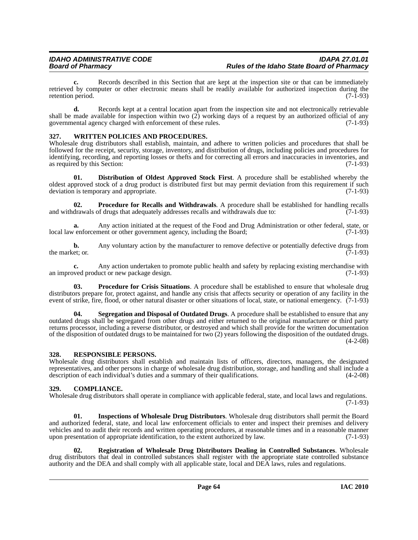**c.** Records described in this Section that are kept at the inspection site or that can be immediately retrieved by computer or other electronic means shall be readily available for authorized inspection during the retention period. (7-1-93)

**d.** Records kept at a central location apart from the inspection site and not electronically retrievable shall be made available for inspection within two (2) working days of a request by an authorized official of any<br>governmental agency charged with enforcement of these rules. (7-1-93) governmental agency charged with enforcement of these rules.

# **327. WRITTEN POLICIES AND PROCEDURES.**

Wholesale drug distributors shall establish, maintain, and adhere to written policies and procedures that shall be followed for the receipt, security, storage, inventory, and distribution of drugs, including policies and procedures for identifying, recording, and reporting losses or thefts and for correcting all errors and inaccuracies in inventories, and as required by this Section: (7-1-93) as required by this Section:

**01. Distribution of Oldest Approved Stock First**. A procedure shall be established whereby the oldest approved stock of a drug product is distributed first but may permit deviation from this requirement if such deviation is temporary and appropriate.  $(7-1-93)$ deviation is temporary and appropriate.

**02. Procedure for Recalls and Withdrawals**. A procedure shall be established for handling recalls and withdrawals of drugs that adequately addresses recalls and withdrawals due to:  $(7-1-93)$ 

**a.** Any action initiated at the request of the Food and Drug Administration or other federal, state, or  $\nu$  enforcement or other government agency, including the Board; (7-1-93) local law enforcement or other government agency, including the Board;

**b.** Any voluntary action by the manufacturer to remove defective or potentially defective drugs from the market: or. (7-1-93) the market; or.  $(7-1-93)$ 

**c.** Any action undertaken to promote public health and safety by replacing existing merchandise with wed product or new package design. (7-1-93) an improved product or new package design.

**03. Procedure for Crisis Situations**. A procedure shall be established to ensure that wholesale drug distributors prepare for, protect against, and handle any crisis that affects security or operation of any facility in the event of strike, fire, flood, or other natural disaster or other situations of local, state, or national emergency. (7-1-93)

**04. Segregation and Disposal of Outdated Drugs**. A procedure shall be established to ensure that any outdated drugs shall be segregated from other drugs and either returned to the original manufacturer or third party returns processor, including a reverse distributor, or destroyed and which shall provide for the written documentation of the disposition of outdated drugs to be maintained for two (2) years following the disposition of the outdated drugs. (4-2-08)

## **328. RESPONSIBLE PERSONS.**

Wholesale drug distributors shall establish and maintain lists of officers, directors, managers, the designated representatives, and other persons in charge of wholesale drug distribution, storage, and handling and shall include a description of each individual's duties and a summary of their qualifications. (4-2-08)

## **329. COMPLIANCE.**

Wholesale drug distributors shall operate in compliance with applicable federal, state, and local laws and regulations. (7-1-93)

**01. Inspections of Wholesale Drug Distributors**. Wholesale drug distributors shall permit the Board and authorized federal, state, and local law enforcement officials to enter and inspect their premises and delivery vehicles and to audit their records and written operating procedures, at reasonable times and in a reasonable manner upon presentation of appropriate identification, to the extent authorized by law. (7-1-93)

**02. Registration of Wholesale Drug Distributors Dealing in Controlled Substances**. Wholesale drug distributors that deal in controlled substances shall register with the appropriate state controlled substance authority and the DEA and shall comply with all applicable state, local and DEA laws, rules and regulations.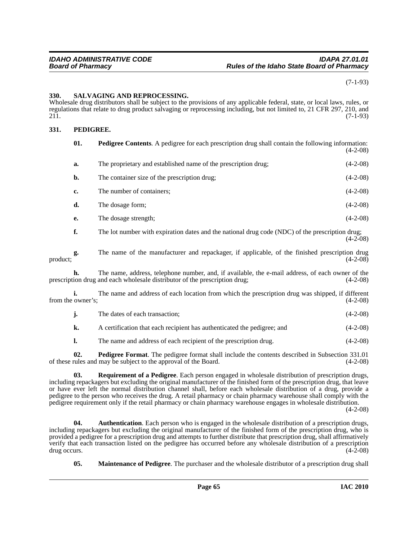(7-1-93)

#### **330. SALVAGING AND REPROCESSING.**

Wholesale drug distributors shall be subject to the provisions of any applicable federal, state, or local laws, rules, or regulations that relate to drug product salvaging or reprocessing including, but not limited to, 21 CFR 297, 210, and  $211.$  (7-1-93)

#### **331. PEDIGREE.**

| 01. | <b>Pedigree Contents.</b> A pedigree for each prescription drug shall contain the following information:<br>$(4-2-08)$ |            |
|-----|------------------------------------------------------------------------------------------------------------------------|------------|
| a.  | The proprietary and established name of the prescription drug;                                                         | $(4-2-08)$ |
| b.  | The container size of the prescription drug;                                                                           | $(4-2-08)$ |
| c.  | The number of containers;                                                                                              | $(4-2-08)$ |
| d.  | The dosage form;                                                                                                       | $(4-2-08)$ |
| e.  | The dosage strength;                                                                                                   | $(4-2-08)$ |
| f.  | The lot number with expiration dates and the national drug code (NDC) of the prescription drug;                        | $(4-2-08)$ |

**g.** The name of the manufacturer and repackager, if applicable, of the finished prescription drug product;  $(4-2-08)$ 

**h.** The name, address, telephone number, and, if available, the e-mail address, of each owner of the prescription drug and each wholesale distributor of the prescription drug; (4-2-08)

**i.** The name and address of each location from which the prescription drug was shipped, if different from the owner's; (4-2-08)

| $(4-2-08)$<br>The dates of each transaction; |
|----------------------------------------------|
|----------------------------------------------|

**k.** A certification that each recipient has authenticated the pedigree; and  $(4-2-08)$ 

**l.** The name and address of each recipient of the prescription drug.  $(4-2-08)$ 

**02. Pedigree Format**. The pedigree format shall include the contents described in Subsection 331.01 of these rules and may be subject to the approval of the Board. (4-2-08)

**03. Requirement of a Pedigree**. Each person engaged in wholesale distribution of prescription drugs, including repackagers but excluding the original manufacturer of the finished form of the prescription drug, that leave or have ever left the normal distribution channel shall, before each wholesale distribution of a drug, provide a pedigree to the person who receives the drug. A retail pharmacy or chain pharmacy warehouse shall comply with the pedigree requirement only if the retail pharmacy or chain pharmacy warehouse engages in wholesale distribution.

(4-2-08)

**04. Authentication**. Each person who is engaged in the wholesale distribution of a prescription drugs, including repackagers but excluding the original manufacturer of the finished form of the prescription drug, who is provided a pedigree for a prescription drug and attempts to further distribute that prescription drug, shall affirmatively verify that each transaction listed on the pedigree has occurred before any wholesale distribution of a prescription drug occurs.

**05. Maintenance of Pedigree**. The purchaser and the wholesale distributor of a prescription drug shall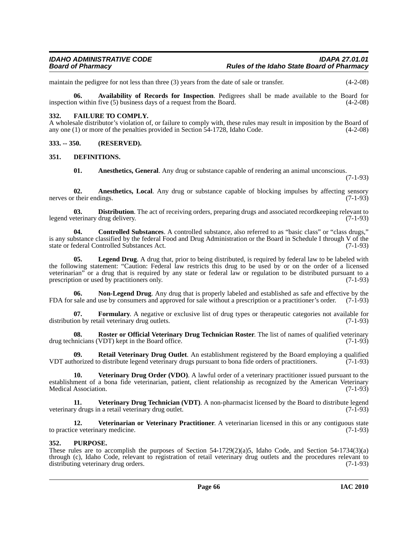maintain the pedigree for not less than three (3) years from the date of sale or transfer. (4-2-08)

**06. Availability of Records for Inspection**. Pedigrees shall be made available to the Board for inspection within five (5) business days of a request from the Board. (4-2-08)

#### **332. FAILURE TO COMPLY.**

A wholesale distributor's violation of, or failure to comply with, these rules may result in imposition by the Board of any one (1) or more of the penalties provided in Section 54-1728, Idaho Code. (4-2-08)

**333. -- 350. (RESERVED).**

#### **351. DEFINITIONS.**

**01. Anesthetics, General**. Any drug or substance capable of rendering an animal unconscious.

(7-1-93)

**02. Anesthetics, Local**. Any drug or substance capable of blocking impulses by affecting sensory r their endings. (7-1-93) nerves or their endings.

**03. Distribution**. The act of receiving orders, preparing drugs and associated recordkeeping relevant to legend veterinary drug delivery. (7-1-93)

**04. Controlled Substances**. A controlled substance, also referred to as "basic class" or "class drugs," is any substance classified by the federal Food and Drug Administration or the Board in Schedule I through V of the state or federal Controlled Substances Act. (7-1-93)

**05. Legend Drug**. A drug that, prior to being distributed, is required by federal law to be labeled with the following statement: "Caution: Federal law restricts this drug to be used by or on the order of a licensed veterinarian" or a drug that is required by any state or federal law or regulation to be distributed pursuant to a prescription or used by practitioners only. (7-1-93)

**06. Non-Legend Drug**. Any drug that is properly labeled and established as safe and effective by the FDA for sale and use by consumers and approved for sale without a prescription or a practitioner's order. (7-1-93)

**07. Formulary**. A negative or exclusive list of drug types or therapeutic categories not available for distribution by retail veterinary drug outlets. (7-1-93)

**08. Roster or Official Veterinary Drug Technician Roster**. The list of names of qualified veterinary drug technicians (VDT) kept in the Board office. (7-1-93)

**09. Retail Veterinary Drug Outlet**. An establishment registered by the Board employing a qualified VDT authorized to distribute legend veterinary drugs pursuant to bona fide orders of practitioners. (7-1-93)

**10.** Veterinary Drug Order (VDO). A lawful order of a veterinary practitioner issued pursuant to the establishment of a bona fide veterinarian, patient, client relationship as recognized by the American Veterinary<br>Medical Association. (7-1-93) Medical Association.

**11. Veterinary Drug Technician (VDT)**. A non-pharmacist licensed by the Board to distribute legend veterinary drugs in a retail veterinary drug outlet. (7-1-93)

**12. Veterinarian or Veterinary Practitioner**. A veterinarian licensed in this or any contiguous state to practice veterinary medicine. (7-1-93)

#### **352. PURPOSE.**

These rules are to accomplish the purposes of Section 54-1729(2)(a)5, Idaho Code, and Section 54-1734(3)(a) through (c), Idaho Code, relevant to registration of retail veterinary drug outlets and the procedures relevant to distributing veterinary drug orders. (7-1-93)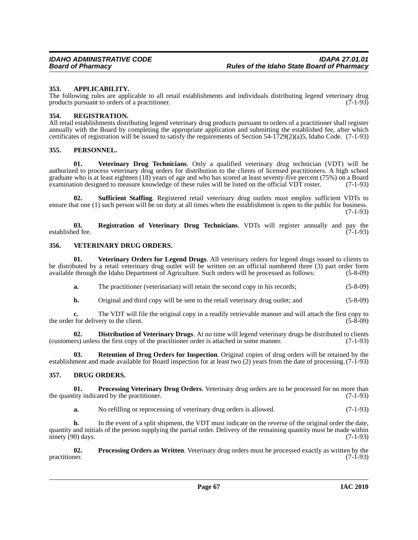#### **353. APPLICABILITY.**

The following rules are applicable to all retail establishments and individuals distributing legend veterinary drug products pursuant to orders of a practitioner. (7-1-93) products pursuant to orders of a practitioner.

#### **354. REGISTRATION.**

All retail establishments distributing legend veterinary drug products pursuant to orders of a practitioner shall register annually with the Board by completing the appropriate application and submitting the established fee, after which certificates of registration will be issued to satisfy the requirements of Section 54-1729(2)(a)5, Idaho Code. (7-1-93)

#### **355. PERSONNEL.**

**01. Veterinary Drug Technicians**. Only a qualified veterinary drug technician (VDT) will be authorized to process veterinary drug orders for distribution to the clients of licensed practitioners. A high school graduate who is at least eighteen (18) years of age and who has scored at least seventy-five percent (75%) on a Board examination designed to measure knowledge of these rules will be listed on the official VDT roster. (7-1 examination designed to measure knowledge of these rules will be listed on the official VDT roster.

**02. Sufficient Staffing**. Registered retail veterinary drug outlets must employ sufficient VDTs to ensure that one (1) such person will be on duty at all times when the establishment is open to the public for business. (7-1-93)

**03. Registration of Veterinary Drug Technicians**. VDTs will register annually and pay the established fee.

#### **356. VETERINARY DRUG ORDERS.**

**01. Veterinary Orders for Legend Drugs**. All veterinary orders for legend drugs issued to clients to be distributed by a retail veterinary drug outlet will be written on an official numbered three (3) part order form available through the Idaho Department of Agriculture. Such orders will be processed as follows: (5-8-09)

**a.** The practitioner (veterinarian) will retain the second copy in his records; (5-8-09)

**b.** Original and third copy will be sent to the retail veterinary drug outlet; and  $(5-8-09)$ 

**c.** The VDT will file the original copy in a readily retrievable manner and will attach the first copy to the order for delivery to the client. (5-8-09) the order for delivery to the client.

**02. Distribution of Veterinary Drugs**. At no time will legend veterinary drugs be distributed to clients (customers) unless the first copy of the practitioner order is attached in some manner. (7-1-93)

**03. Retention of Drug Orders for Inspection**. Original copies of drug orders will be retained by the establishment and made available for Board inspection for at least two (2) years from the date of processing.(7-1-93)

## **357. DRUG ORDERS.**

**01. Processing Veterinary Drug Orders**. Veterinary drug orders are to be processed for no more than the quantity indicated by the practitioner.  $(7-1-93)$ 

**a.** No refilling or reprocessing of veterinary drug orders is allowed. (7-1-93)

**b.** In the event of a split shipment, the VDT must indicate on the reverse of the original order the date, quantity and initials of the person supplying the partial order. Delivery of the remaining quantity must be made within ninety  $(90)$  days.  $(7-1-93)$ 

**02.** Processing Orders as Written. Veterinary drug orders must be processed exactly as written by the practitioner. (7-1-93) practitioner.  $(7-1-93)$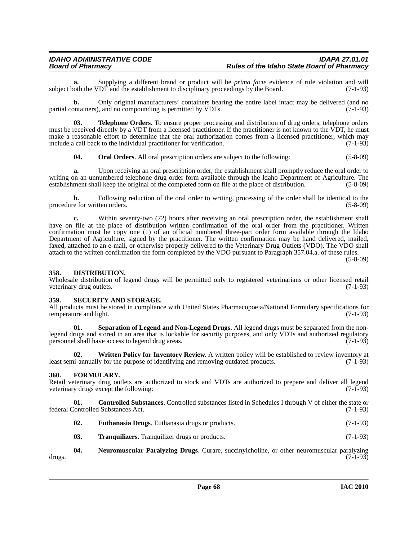**a.** Supplying a different brand or product will be *prima facie* evidence of rule violation and will both the VDT and the establishment to disciplinary proceedings by the Board. (7-1-93) subject both the VDT and the establishment to disciplinary proceedings by the Board.

**b.** Only original manufacturers' containers bearing the entire label intact may be delivered (and no ontainers), and no compounding is permitted by VDTs. (7-1-93) partial containers), and no compounding is permitted by VDTs.

**03. Telephone Orders**. To ensure proper processing and distribution of drug orders, telephone orders must be received directly by a VDT from a licensed practitioner. If the practitioner is not known to the VDT, he must make a reasonable effort to determine that the oral authorization comes from a licensed practitioner, which may include a call back to the individual practitioner for verification. (7-1-93)

**04.** Oral Orders. All oral prescription orders are subject to the following: (5-8-09)

**a.** Upon receiving an oral prescription order, the establishment shall promptly reduce the oral order to writing on an unnumbered telephone drug order form available through the Idaho Department of Agriculture. The establishment shall keep the original of the completed form on file at the place of distribution. (5-8-09)

**b.** Following reduction of the oral order to writing, processing of the order shall be identical to the procedure for written orders. (5-8-09)

**c.** Within seventy-two (72) hours after receiving an oral prescription order, the establishment shall have on file at the place of distribution written confirmation of the oral order from the practitioner. Written confirmation must be copy one (1) of an official numbered three-part order form available through the Idaho Department of Agriculture, signed by the practitioner. The written confirmation may be hand delivered, mailed, faxed, attached to an e-mail, or otherwise properly delivered to the Veterinary Drug Outlets (VDO). The VDO shall attach to the written confirmation the form completed by the VDO pursuant to Paragraph 357.04.a. of these rules.

(5-8-09)

#### **358. DISTRIBUTION.**

Wholesale distribution of legend drugs will be permitted only to registered veterinarians or other licensed retail veterinary drug outlets. (7-1-93) veterinary drug outlets.

#### **359. SECURITY AND STORAGE.**

All products must be stored in compliance with United States Pharmacopoeia/National Formulary specifications for temperature and light. (7-1-93) temperature and light.

**01. Separation of Legend and Non-Legend Drugs**. All legend drugs must be separated from the nonlegend drugs and stored in an area that is lockable for security purposes, and only VDTs and authorized regulatory personnel shall have access to legend drug areas. (7-1-93)

**02. Written Policy for Inventory Review**. A written policy will be established to review inventory at least semi-annually for the purpose of identifying and removing outdated products. (7-1-93)

## **360. FORMULARY.**

Retail veterinary drug outlets are authorized to stock and VDTs are authorized to prepare and deliver all legend veterinary drugs except the following: veterinary drugs except the following:

**01. Controlled Substances**. Controlled substances listed in Schedules I through V of either the state or federal Controlled Substances Act. (7-1-93)

- **02. Euthanasia Drugs**. Euthanasia drugs or products. (7-1-93)
- **03. Tranquilizers**. Tranquilizer drugs or products. (7-1-93)

**04. Neuromuscular Paralyzing Drugs**. Curare, succinylcholine, or other neuromuscular paralyzing drugs.  $(7-1-93)$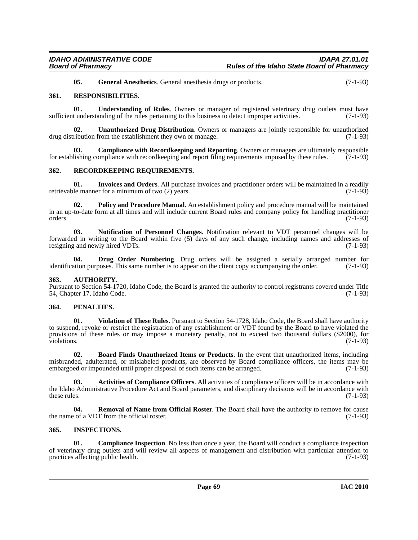**05.** General Anesthetics. General anesthesia drugs or products. (7-1-93)

## **361. RESPONSIBILITIES.**

**01. Understanding of Rules**. Owners or manager of registered veterinary drug outlets must have sufficient understanding of the rules pertaining to this business to detect improper activities. (7-1-93)

**02. Unauthorized Drug Distribution**. Owners or managers are jointly responsible for unauthorized drug distribution from the establishment they own or manage. (7-1-93)

**03. Compliance with Recordkeeping and Reporting**. Owners or managers are ultimately responsible for establishing compliance with recordkeeping and report filing requirements imposed by these rules. (7-1-93)

#### **362. RECORDKEEPING REQUIREMENTS.**

**01.** Invoices and Orders. All purchase invoices and practitioner orders will be maintained in a readily le manner for a minimum of two (2) years. retrievable manner for a minimum of two  $(2)$  years.

**02. Policy and Procedure Manual**. An establishment policy and procedure manual will be maintained in an up-to-date form at all times and will include current Board rules and company policy for handling practitioner orders.  $(7-1-93)$ 

**03. Notification of Personnel Changes**. Notification relevant to VDT personnel changes will be forwarded in writing to the Board within five (5) days of any such change, including names and addresses of resigning and newly hired VDTs.

**04. Drug Order Numbering**. Drug orders will be assigned a serially arranged number for ation purposes. This same number is to appear on the client copy accompanying the order. (7-1-93) identification purposes. This same number is to appear on the client copy accompanying the order.

#### **363. AUTHORITY.**

Pursuant to Section 54-1720, Idaho Code, the Board is granted the authority to control registrants covered under Title 54, Chapter 17, Idaho Code. (7-1-93)

## **364. PENALTIES.**

**01. Violation of These Rules**. Pursuant to Section 54-1728, Idaho Code, the Board shall have authority to suspend, revoke or restrict the registration of any establishment or VDT found by the Board to have violated the provisions of these rules or may impose a monetary penalty, not to exceed two thousand dollars (\$2000), for violations. (7-1-93)

**02. Board Finds Unauthorized Items or Products**. In the event that unauthorized items, including misbranded, adulterated, or mislabeled products, are observed by Board compliance officers, the items may be embargoed or impounded until proper disposal of such items can be arranged. (7-1-93)

**03. Activities of Compliance Officers**. All activities of compliance officers will be in accordance with the Idaho Administrative Procedure Act and Board parameters, and disciplinary decisions will be in accordance with these rules.  $(7-1-93)$ 

**04. Removal of Name from Official Roster**. The Board shall have the authority to remove for cause to f a VDT from the official roster. (7-1-93) the name of a VDT from the official roster.

#### **365. INSPECTIONS.**

**01. Compliance Inspection**. No less than once a year, the Board will conduct a compliance inspection of veterinary drug outlets and will review all aspects of management and distribution with particular attention to practices affecting public health. (7-1-93) practices affecting public health.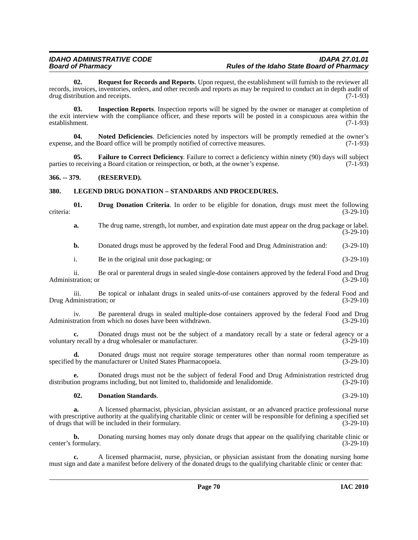**02. Request for Records and Reports**. Upon request, the establishment will furnish to the reviewer all records, invoices, inventories, orders, and other records and reports as may be required to conduct an in depth audit of drug distribution and receipts. (7-1-93)

**03. Inspection Reports**. Inspection reports will be signed by the owner or manager at completion of the exit interview with the compliance officer, and these reports will be posted in a conspicuous area within the establishment. (7-1-93) establishment.

**04. Noted Deficiencies**. Deficiencies noted by inspectors will be promptly remedied at the owner's expense, and the Board office will be promptly notified of corrective measures. (7-1-93)

**05. Failure to Correct Deficiency**. Failure to correct a deficiency within ninety (90) days will subject preceiving a Board citation or reinspection, or both, at the owner's expense. (7-1-93) parties to receiving a Board citation or reinspection, or both, at the owner's expense.

## **366. -- 379. (RESERVED).**

# **380. LEGEND DRUG DONATION – STANDARDS AND PROCEDURES.**

**01. Drug Donation Criteria**. In order to be eligible for donation, drugs must meet the following (3-29-10) criteria: (3-29-10)

**a.** The drug name, strength, lot number, and expiration date must appear on the drug package or label. (3-29-10)

**b.** Donated drugs must be approved by the federal Food and Drug Administration and:  $(3-29-10)$ 

# i. Be in the original unit dose packaging; or (3-29-10)

ii. Be oral or parenteral drugs in sealed single-dose containers approved by the federal Food and Drug Administration; or (3-29-10)

iii. Be topical or inhalant drugs in sealed units-of-use containers approved by the federal Food and Drug Administration; or (3-29-10)

iv. Be parenteral drugs in sealed multiple-dose containers approved by the federal Food and Drug Administration from which no doses have been withdrawn. (3-29-10)

**c.** Donated drugs must not be the subject of a mandatory recall by a state or federal agency or a <br>  $y$  recall by a drug wholesaler or manufacturer. (3-29-10) voluntary recall by a drug wholesaler or manufacturer.

**d.** Donated drugs must not require storage temperatures other than normal room temperature as specified by the manufacturer or United States Pharmacopoeia. (3-29-10)

**e.** Donated drugs must not be the subject of federal Food and Drug Administration restricted drug distribution programs including, but not limited to, thalidomide and lenalidomide. (3-29-10)

## **02. Donation Standards**. (3-29-10)

**a.** A licensed pharmacist, physician, physician assistant, or an advanced practice professional nurse with prescriptive authority at the qualifying charitable clinic or center will be responsible for defining a specified set of drugs that will be included in their formulary. (3-29-10)

**b.** Donating nursing homes may only donate drugs that appear on the qualifying charitable clinic or center's formulary. (3-29-10)

**c.** A licensed pharmacist, nurse, physician, or physician assistant from the donating nursing home must sign and date a manifest before delivery of the donated drugs to the qualifying charitable clinic or center that: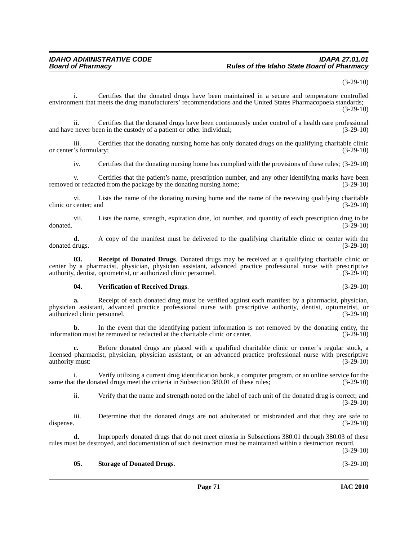(3-29-10)

i. Certifies that the donated drugs have been maintained in a secure and temperature controlled environment that meets the drug manufacturers' recommendations and the United States Pharmacopoeia standards; (3-29-10)

ii. Certifies that the donated drugs have been continuously under control of a health care professional<br>enever been in the custody of a patient or other individual: (3-29-10) and have never been in the custody of a patient or other individual;

iii. Certifies that the donating nursing home has only donated drugs on the qualifying charitable clinic<br>
S formulary; (3-29-10) or center's formulary;

iv. Certifies that the donating nursing home has complied with the provisions of these rules; (3-29-10)

v. Certifies that the patient's name, prescription number, and any other identifying marks have been<br>or redacted from the package by the donating nursing home; (3-29-10) removed or redacted from the package by the donating nursing home;

vi. Lists the name of the donating nursing home and the name of the receiving qualifying charitable clinic or center; and (3-29-10)

vii. Lists the name, strength, expiration date, lot number, and quantity of each prescription drug to be donated. (3-29-10)

**d.** A copy of the manifest must be delivered to the qualifying charitable clinic or center with the drugs.  $(3-29-10)$ donated drugs.

**03. Receipt of Donated Drugs**. Donated drugs may be received at a qualifying charitable clinic or center by a pharmacist, physician, physician assistant, advanced practice professional nurse with prescriptive authority, dentist, optometrist, or authorized clinic personnel. (3-29-10)

#### **04. Verification of Received Drugs**. (3-29-10)

**a.** Receipt of each donated drug must be verified against each manifest by a pharmacist, physician, physician assistant, advanced practice professional nurse with prescriptive authority, dentist, optometrist, or authorized clinic personnel.

**b.** In the event that the identifying patient information is not removed by the donating entity, the information must be removed or redacted at the charitable clinic or center. (3-29-10)

**c.** Before donated drugs are placed with a qualified charitable clinic or center's regular stock, a licensed pharmacist, physician, physician assistant, or an advanced practice professional nurse with prescriptive authority must: (3-29-10)

i. Verify utilizing a current drug identification book, a computer program, or an online service for the same that the donated drugs meet the criteria in Subsection 380.01 of these rules; (3-29-10)

ii. Verify that the name and strength noted on the label of each unit of the donated drug is correct; and (3-29-10)

iii. Determine that the donated drugs are not adulterated or misbranded and that they are safe to dispense. (3-29-10)

**d.** Improperly donated drugs that do not meet criteria in Subsections 380.01 through 380.03 of these rules must be destroyed, and documentation of such destruction must be maintained within a destruction record.

(3-29-10)

#### **05. Storage of Donated Drugs**. (3-29-10)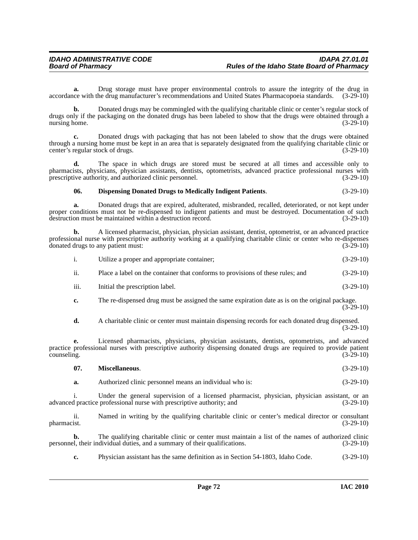**a.** Drug storage must have proper environmental controls to assure the integrity of the drug in accordance with the drug manufacturer's recommendations and United States Pharmacopoeia standards. (3-29-10)

**b.** Donated drugs may be commingled with the qualifying charitable clinic or center's regular stock of drugs only if the packaging on the donated drugs has been labeled to show that the drugs were obtained through a<br>nursing home. (3-29-10) nursing home.

**c.** Donated drugs with packaging that has not been labeled to show that the drugs were obtained through a nursing home must be kept in an area that is separately designated from the qualifying charitable clinic or center's regular stock of drugs. (3-29-10) center's regular stock of drugs.

**d.** The space in which drugs are stored must be secured at all times and accessible only to pharmacists, physicians, physician assistants, dentists, optometrists, advanced practice professional nurses with prescriptive authority, and authorized clinic personnel. (3-29-10)

#### **06. Dispensing Donated Drugs to Medically Indigent Patients**. (3-29-10)

**a.** Donated drugs that are expired, adulterated, misbranded, recalled, deteriorated, or not kept under proper conditions must not be re-dispensed to indigent patients and must be destroyed. Documentation of such destruction must be maintained within a destruction record. (3-29-10)

**b.** A licensed pharmacist, physician, physician assistant, dentist, optometrist, or an advanced practice professional nurse with prescriptive authority working at a qualifying charitable clinic or center who re-dispenses donated drugs to any patient must: (3-29-10)

| 1.            | Utilize a proper and appropriate container;                                    | $(3-29-10)$ |
|---------------|--------------------------------------------------------------------------------|-------------|
| $\mathbf{ii}$ | Place a label on the container that conforms to provisions of these rules; and | $(3-29-10)$ |
| iii.          | Initial the prescription label.                                                | $(3-29-10)$ |

**c.** The re-dispensed drug must be assigned the same expiration date as is on the original package.  $(3-29-10)$ 

**d.** A charitable clinic or center must maintain dispensing records for each donated drug dispensed. (3-29-10)

**e.** Licensed pharmacists, physicians, physician assistants, dentists, optometrists, and advanced practice professional nurses with prescriptive authority dispensing donated drugs are required to provide patient counseling. (3-29-10)  $\alpha$  counseling.  $(3-29-10)$ 

| Miscellaneous. |             |
|----------------|-------------|
|                | $(3-29-10)$ |

**a.** Authorized clinic personnel means an individual who is:  $(3-29-10)$ 

i. Under the general supervision of a licensed pharmacist, physician, physician assistant, or an advanced practice professional nurse with prescriptive authority; and (3-29-10)

ii. Named in writing by the qualifying charitable clinic or center's medical director or consultant pharmacist. (3-29-10)

**b.** The qualifying charitable clinic or center must maintain a list of the names of authorized clinic personnel, their individual duties, and a summary of their qualifications. (3-29-10)

**c.** Physician assistant has the same definition as in Section 54-1803, Idaho Code. (3-29-10)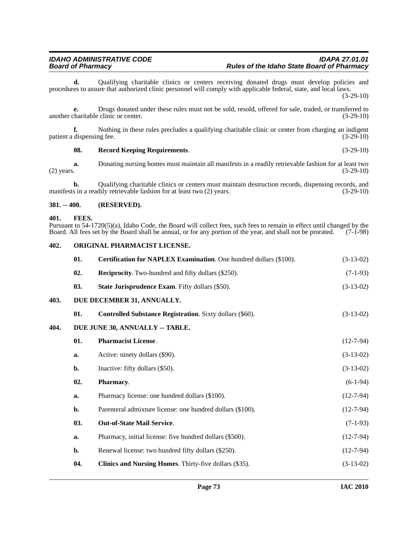**d.** Qualifying charitable clinics or centers receiving donated drugs must develop policies and procedures to assure that authorized clinic personnel will comply with applicable federal, state, and local laws.

(3-29-10)

**e.** Drugs donated under these rules must not be sold, resold, offered for sale, traded, or transferred to another charitable clinic or center. (3-29-10)

**f.** Nothing in these rules precludes a qualifying charitable clinic or center from charging an indigent patient a dispensing fee. (3-29-10)

# <span id="page-72-11"></span>**08. Record Keeping Requirements**. (3-29-10)

**a.** Donating nursing homes must maintain all manifests in a readily retrievable fashion for at least two (2) years. (3-29-10) (2) years.  $(3-29-10)$ 

**b.** Qualifying charitable clinics or centers must maintain destruction records, dispensing records, and s in a readily retrievable fashion for at least two (2) years. (3-29-10) manifests in a readily retrievable fashion for at least two (2) years.

### **381. -- 400. (RESERVED).**

#### <span id="page-72-5"></span>**401. FEES.**

Pursuant to 54-1720(5)(a), Idaho Code, the Board will collect fees, such fees to remain in effect until changed by the Board shall be annual, or for any portion of the year, and shall not be prorated. (7-1-98) Board. All fees set by the Board shall be annual, or for any portion of the year, and shall not be prorated.

#### <span id="page-72-6"></span>**402. ORIGINAL PHARMACIST LICENSE.**

<span id="page-72-12"></span><span id="page-72-10"></span><span id="page-72-9"></span><span id="page-72-8"></span><span id="page-72-7"></span><span id="page-72-4"></span><span id="page-72-3"></span><span id="page-72-2"></span><span id="page-72-1"></span><span id="page-72-0"></span>

|      | 01. | Certification for NAPLEX Examination. One hundred dollars (\$100). | $(3-13-02)$ |
|------|-----|--------------------------------------------------------------------|-------------|
|      | 02. | <b>Reciprocity.</b> Two-hundred and fifty dollars (\$250).         | $(7-1-93)$  |
|      | 03. | <b>State Jurisprudence Exam.</b> Fifty dollars (\$50).             | $(3-13-02)$ |
| 403. |     | DUE DECEMBER 31, ANNUALLY.                                         |             |
|      | 01. | Controlled Substance Registration. Sixty dollars (\$60).           | $(3-13-02)$ |
| 404. |     | DUE JUNE 30, ANNUALLY -- TABLE.                                    |             |
|      | 01. | <b>Pharmacist License.</b>                                         | $(12-7-94)$ |
|      | a.  | Active: ninety dollars (\$90).                                     | $(3-13-02)$ |
|      | b.  | Inactive: fifty dollars (\$50).                                    | $(3-13-02)$ |
|      | 02. | Pharmacy.                                                          | $(6-1-94)$  |
|      | a.  | Pharmacy license: one hundred dollars (\$100).                     | $(12-7-94)$ |
|      | b.  | Parenteral admixture license: one hundred dollars (\$100).         | $(12-7-94)$ |
|      | 03. | Out-of-State Mail Service.                                         | $(7-1-93)$  |
|      | a.  | Pharmacy, initial license: five hundred dollars (\$500).           | $(12-7-94)$ |
|      | b.  | Renewal license: two hundred fifty dollars (\$250).                | $(12-7-94)$ |
|      | 04. | Clinics and Nursing Homes. Thirty-five dollars (\$35).             | $(3-13-02)$ |
|      |     |                                                                    |             |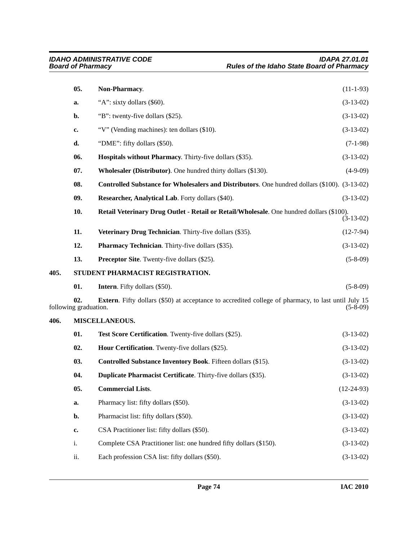<span id="page-73-5"></span><span id="page-73-4"></span>**406.** 

<span id="page-73-6"></span><span id="page-73-3"></span><span id="page-73-2"></span><span id="page-73-1"></span><span id="page-73-0"></span>

|      | 05.                          | Non-Pharmacy.                                                                                              | $(11-1-93)$  |
|------|------------------------------|------------------------------------------------------------------------------------------------------------|--------------|
|      | a.                           | "A": sixty dollars (\$60).                                                                                 | $(3-13-02)$  |
|      | b.                           | "B": twenty-five dollars (\$25).                                                                           | $(3-13-02)$  |
|      | c.                           | "V" (Vending machines): ten dollars (\$10).                                                                | $(3-13-02)$  |
|      | d.                           | "DME": fifty dollars (\$50).                                                                               | $(7-1-98)$   |
|      | 06.                          | Hospitals without Pharmacy. Thirty-five dollars (\$35).                                                    | $(3-13-02)$  |
|      | 07.                          | Wholesaler (Distributor). One hundred thirty dollars (\$130).                                              | $(4-9-09)$   |
|      | 08.                          | Controlled Substance for Wholesalers and Distributors. One hundred dollars (\$100). (3-13-02)              |              |
|      | 09.                          | Researcher, Analytical Lab. Forty dollars (\$40).                                                          | $(3-13-02)$  |
|      | 10.                          | Retail Veterinary Drug Outlet - Retail or Retail/Wholesale. One hundred dollars (\$100).                   | $(3-13-02)$  |
|      | 11.                          | Veterinary Drug Technician. Thirty-five dollars (\$35).                                                    | $(12-7-94)$  |
|      | 12.                          | Pharmacy Technician. Thirty-five dollars (\$35).                                                           | $(3-13-02)$  |
|      | 13.                          | <b>Preceptor Site.</b> Twenty-five dollars (\$25).                                                         | $(5-8-09)$   |
| 405. |                              | STUDENT PHARMACIST REGISTRATION.                                                                           |              |
|      | 01.                          | <b>Intern.</b> Fifty dollars (\$50).                                                                       | $(5-8-09)$   |
|      | 02.<br>following graduation. | <b>Extern.</b> Fifty dollars (\$50) at acceptance to accredited college of pharmacy, to last until July 15 | $(5-8-09)$   |
| 406. |                              | MISCELLANEOUS.                                                                                             |              |
|      | 01.                          | Test Score Certification. Twenty-five dollars (\$25).                                                      | $(3-13-02)$  |
|      | 02.                          | Hour Certification. Twenty-five dollars (\$25).                                                            | $(3-13-02)$  |
|      | 03.                          | Controlled Substance Inventory Book. Fifteen dollars (\$15).                                               | $(3-13-02)$  |
|      | 04.                          | Duplicate Pharmacist Certificate. Thirty-five dollars (\$35).                                              | $(3-13-02)$  |
|      | 05.                          | <b>Commercial Lists.</b>                                                                                   | $(12-24-93)$ |
|      | a.                           | Pharmacy list: fifty dollars (\$50).                                                                       | $(3-13-02)$  |
|      | b.                           | Pharmacist list: fifty dollars (\$50).                                                                     | $(3-13-02)$  |
|      | c.                           | CSA Practitioner list: fifty dollars (\$50).                                                               | $(3-13-02)$  |
|      | i.                           | Complete CSA Practitioner list: one hundred fifty dollars (\$150).                                         | $(3-13-02)$  |
|      | ii.                          | Each profession CSA list: fifty dollars (\$50).                                                            | $(3-13-02)$  |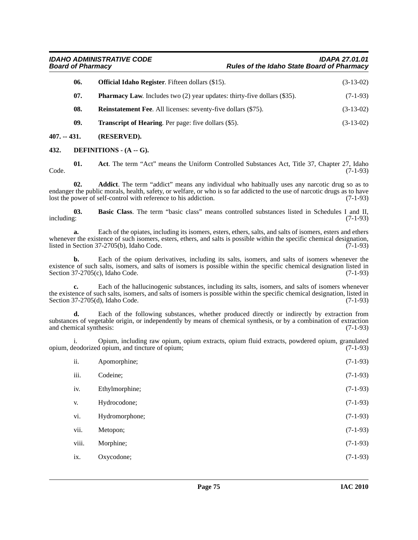| <b>IDAHO ADMINISTRATIVE CODE</b> | <b>IDAPA 27.01.01</b>                             |
|----------------------------------|---------------------------------------------------|
| <b>Board of Pharmacy</b>         | <b>Rules of the Idaho State Board of Pharmacy</b> |
|                                  |                                                   |

| 06. | <b>Official Idaho Register.</b> Fifteen dollars (\$15).                         | $(3-13-02)$ |
|-----|---------------------------------------------------------------------------------|-------------|
| 07. | <b>Pharmacy Law.</b> Includes two (2) year updates: thirty-five dollars (\$35). | $(7-1-93)$  |
| 08. | <b>Reinstatement Fee.</b> All licenses: seventy-five dollars (\$75).            | $(3-13-02)$ |
| 09. | <b>Transcript of Hearing.</b> Per page: five dollars (\$5).                     | $(3-13-02)$ |

**407. -- 431. (RESERVED).**

<span id="page-74-3"></span>**432. DEFINITIONS - (A -- G).**

<span id="page-74-0"></span>**01. Act**. The term "Act" means the Uniform Controlled Substances Act, Title 37, Chapter 27, Idaho Code. (7-1-93)

<span id="page-74-1"></span>**02. Addict**. The term "addict" means any individual who habitually uses any narcotic drug so as to endanger the public morals, health, safety, or welfare, or who is so far addicted to the use of narcotic drugs as to have lost the power of self-control with reference to his addiction. (7-1-93)

<span id="page-74-2"></span>**03. Basic Class**. The term "basic class" means controlled substances listed in Schedules I and II, including: (7-1-93)

**a.** Each of the opiates, including its isomers, esters, ethers, salts, and salts of isomers, esters and ethers whenever the existence of such isomers, esters, ethers, and salts is possible within the specific chemical designation, listed in Section 37-2705(b), Idaho Code. (7-1-93)

**b.** Each of the opium derivatives, including its salts, isomers, and salts of isomers whenever the existence of such salts, isomers, and salts of isomers is possible within the specific chemical designation listed in Section 37-2705(c), Idaho Code. (7-1-93)

**c.** Each of the hallucinogenic substances, including its salts, isomers, and salts of isomers whenever the existence of such salts, isomers, and salts of isomers is possible within the specific chemical designation, listed in Section 37-2705(d), Idaho Code. (7-1-93)

**d.** Each of the following substances, whether produced directly or indirectly by extraction from substances of vegetable origin, or independently by means of chemical synthesis, or by a combination of extraction and chemical synthesis: (7-1-93)

i. Opium, including raw opium, opium extracts, opium fluid extracts, powdered opium, granulated opium, deodorized opium, and tincture of opium;

| ii.   | Apomorphine;   | $(7-1-93)$ |
|-------|----------------|------------|
| iii.  | Codeine;       | $(7-1-93)$ |
| iv.   | Ethylmorphine; | $(7-1-93)$ |
| V.    | Hydrocodone;   | $(7-1-93)$ |
| vi.   | Hydromorphone; | $(7-1-93)$ |
| vii.  | Metopon;       | $(7-1-93)$ |
| viii. | Morphine;      | $(7-1-93)$ |
| ix.   | Oxycodone;     | $(7-1-93)$ |
|       |                |            |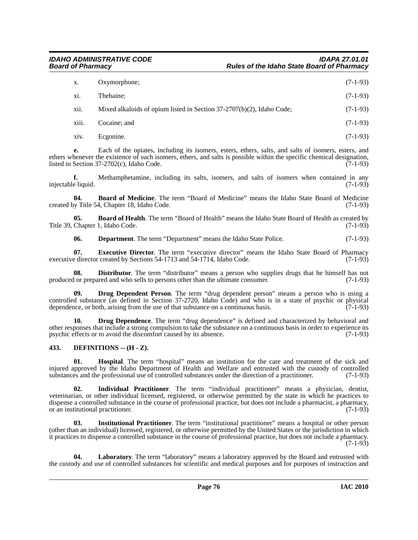| Х.    | Oxymorphone:                                                             | $(7-1-93)$ |
|-------|--------------------------------------------------------------------------|------------|
| xi.   | Thebaine:                                                                | $(7-1-93)$ |
| xii.  | Mixed alkaloids of opium listed in Section $37-2707(b)(2)$ , Idaho Code; | $(7-1-93)$ |
| xiii. | Cocaine; and                                                             | $(7-1-93)$ |
|       |                                                                          |            |

xiv. Ecgonine. (7-1-93)

**e.** Each of the opiates, including its isomers, esters, ethers, salts, and salts of isomers, esters, and ethers whenever the existence of such isomers, ethers, and salts is possible within the specific chemical designation, listed in Section  $37-2702(c)$ . Idaho Code. (7-1-93) listed in Section  $37-2702(c)$ , Idaho Code.

**f.** Methamphetamine, including its salts, isomers, and salts of isomers when contained in any eliquid. (7-1-93) injectable liquid.

<span id="page-75-1"></span>**04. Board of Medicine**. The term "Board of Medicine" means the Idaho State Board of Medicine created by Title 54, Chapter 18, Idaho Code. (7-1-93)

**05. Board of Health**. The term "Board of Health" means the Idaho State Board of Health as created by Chapter 1, Idaho Code. (7-1-93) Title 39, Chapter 1, Idaho Code.

<span id="page-75-6"></span><span id="page-75-3"></span><span id="page-75-0"></span>**06. Department**. The term "Department" means the Idaho State Police. (7-1-93)

**07. Executive Director**. The term "executive director" means the Idaho State Board of Pharmacy executive director created by Sections 54-1713 and 54-1714, Idaho Code. (7-1-93)

**Distributor**. The term "distributor" means a person who supplies drugs that he himself has not produced or prepared and who sells to persons other than the ultimate consumer. (7-1-93)

<span id="page-75-5"></span>**09. Drug Dependent Person**. The term "drug dependent person" means a person who is using a controlled substance (as defined in Section 37-2720, Idaho Code) and who is in a state of psychic or physical dependence, or both, arising from the use of that substance on a continuous basis. (7-1-93)

<span id="page-75-4"></span>**10. Drug Dependence**. The term "drug dependence" is defined and characterized by behavioral and other responses that include a strong compulsion to take the substance on a continuous basis in order to experience its psychic effects or to avoid the discomfort caused by its absence. (7-1-93)

# <span id="page-75-2"></span>**433. DEFINITIONS -- (H - Z).**

<span id="page-75-7"></span>**01. Hospital**. The term "hospital" means an institution for the care and treatment of the sick and injured approved by the Idaho Department of Health and Welfare and entrusted with the custody of controlled substances and the professional use of controlled substances under the direction of a practitioner. (7-1-93) substances and the professional use of controlled substances under the direction of a practitioner.

<span id="page-75-8"></span>**02. Individual Practitioner**. The term "individual practitioner" means a physician, dentist, veterinarian, or other individual licensed, registered, or otherwise permitted by the state in which he practices to dispense a controlled substance in the course of professional practice, but does not include a pharmacist, a pharmacy, or an institutional practitioner. (7-1-93)

<span id="page-75-9"></span>**03. Institutional Practitioner**. The term "institutional practitioner" means a hospital or other person (other than an individual) licensed, registered, or otherwise permitted by the United States or the jurisdiction in which it practices to dispense a controlled substance in the course of professional practice, but does not include a pharmacy. (7-1-93)

<span id="page-75-10"></span>**04. Laboratory**. The term "laboratory" means a laboratory approved by the Board and entrusted with the custody and use of controlled substances for scientific and medical purposes and for purposes of instruction and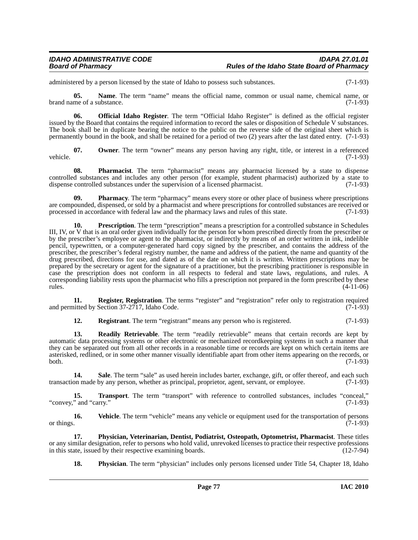administered by a person licensed by the state of Idaho to possess such substances. (7-1-93)

**05. Name**. The term "name" means the official name, common or usual name, chemical name, or brand name of a substance. (7-1-93)

<span id="page-76-0"></span>**06. Official Idaho Register**. The term "Official Idaho Register" is defined as the official register issued by the Board that contains the required information to record the sales or disposition of Schedule V substances. The book shall be in duplicate bearing the notice to the public on the reverse side of the original sheet which is permanently bound in the book, and shall be retained for a period of two (2) years after the last dated entry. (7-1-93)

<span id="page-76-1"></span>**07.** Owner. The term "owner" means any person having any right, title, or interest in a referenced vehicle. (7-1-93)

<span id="page-76-2"></span>**08. Pharmacist**. The term "pharmacist" means any pharmacist licensed by a state to dispense controlled substances and includes any other person (for example, student pharmacist) authorized by a state to dispense controlled substances under the supervision of a licensed pharmacist.

<span id="page-76-3"></span>**09. Pharmacy**. The term "pharmacy" means every store or other place of business where prescriptions are compounded, dispensed, or sold by a pharmacist and where prescriptions for controlled substances are received or processed in accordance with federal law and the pharmacy laws and rules of this state. (7-1-93)

<span id="page-76-6"></span>**10. Prescription**. The term "prescription" means a prescription for a controlled substance in Schedules III, IV, or V that is an oral order given individually for the person for whom prescribed directly from the prescriber or by the prescriber's employee or agent to the pharmacist, or indirectly by means of an order written in ink, indelible pencil, typewritten, or a computer-generated hard copy signed by the prescriber, and contains the address of the prescriber, the prescriber's federal registry number, the name and address of the patient, the name and quantity of the drug prescribed, directions for use, and dated as of the date on which it is written. Written prescriptions may be prepared by the secretary or agent for the signature of a practitioner, but the prescribing practitioner is responsible in case the prescription does not conform in all respects to federal and state laws, regulations, and rules. A corresponding liability rests upon the pharmacist who fills a prescription not prepared in the form prescribed by these  $r = (4-11-06)$ 

**11.** Register, Registration. The terms "register" and "registration" refer only to registration required and permitted by Section 37-2717, Idaho Code. (7-1-93)

<span id="page-76-9"></span><span id="page-76-8"></span><span id="page-76-7"></span>**12. Registrant**. The term "registrant" means any person who is registered. (7-1-93)

**13. Readily Retrievable**. The term "readily retrievable" means that certain records are kept by automatic data processing systems or other electronic or mechanized recordkeeping systems in such a manner that they can be separated out from all other records in a reasonable time or records are kept on which certain items are asterisked, redlined, or in some other manner visually identifiable apart from other items appearing on the records, or both. (7-1-93)

<span id="page-76-10"></span>14. Sale. The term "sale" as used herein includes barter, exchange, gift, or offer thereof, and each such transaction made by any person, whether as principal, proprietor, agent, servant, or employee. (7-1-93)

<span id="page-76-11"></span>**15. Transport**. The term "transport" with reference to controlled substances, includes "conceal," "convey," and "carry." (7-1-93)

<span id="page-76-12"></span>**16. Vehicle**. The term "vehicle" means any vehicle or equipment used for the transportation of persons or things.  $(7-1-93)$ 

**17. Physician, Veterinarian, Dentist, Podiatrist, Osteopath, Optometrist, Pharmacist**. These titles or any similar designation, refer to persons who hold valid, unrevoked licenses to practice their respective professions in this state, issued by their respective examining boards. (12-7-94) in this state, issued by their respective examining boards.

<span id="page-76-5"></span><span id="page-76-4"></span>**18.** Physician. The term "physician" includes only persons licensed under Title 54, Chapter 18, Idaho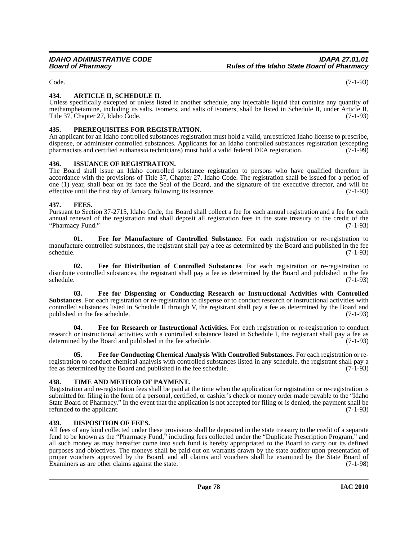# **434. ARTICLE II, SCHEDULE II.**

Unless specifically excepted or unless listed in another schedule, any injectable liquid that contains any quantity of methamphetamine, including its salts, isomers, and salts of isomers, shall be listed in Schedule II, under Article II, Title 37, Chapter 27, Idaho Code. (7-1-93)

# <span id="page-77-9"></span>**435. PREREQUISITES FOR REGISTRATION.**

An applicant for an Idaho controlled substances registration must hold a valid, unrestricted Idaho license to prescribe, dispense, or administer controlled substances. Applicants for an Idaho controlled substances registration (excepting pharmacists and certified euthanasia technicians) must hold a valid federal DEA registration. (7-1-99) pharmacists and certified euthanasia technicians) must hold a valid federal DEA registration.

### <span id="page-77-8"></span>**436. ISSUANCE OF REGISTRATION.**

The Board shall issue an Idaho controlled substance registration to persons who have qualified therefore in accordance with the provisions of Title 37, Chapter 27, Idaho Code. The registration shall be issued for a period of one (1) year, shall bear on its face the Seal of the Board, and the signature of the executive director, and will be effective until the first day of January following its issuance.

### <span id="page-77-7"></span>**437. FEES.**

Pursuant to Section 37-2715, Idaho Code, the Board shall collect a fee for each annual registration and a fee for each annual renewal of the registration and shall deposit all registration fees in the state treasury to the credit of the "Pharmacy Fund." (7-1-93) "Pharmacy Fund."

<span id="page-77-5"></span>**01. Fee for Manufacture of Controlled Substance**. For each registration or re-registration to manufacture controlled substances, the registrant shall pay a fee as determined by the Board and published in the fee<br>(7-1-93)  $s$ chedule.  $(7-1-93)$ 

<span id="page-77-4"></span>**02. Fee for Distribution of Controlled Substances**. For each registration or re-registration to distribute controlled substances, the registrant shall pay a fee as determined by the Board and published in the fee schedule. (7-1-93)

<span id="page-77-3"></span>**03. Fee for Dispensing or Conducting Research or Instructional Activities with Controlled Substances**. For each registration or re-registration to dispense or to conduct research or instructional activities with controlled substances listed in Schedule II through V, the registrant shall pay a fee as determined by the Board and published in the fee schedule.  $(7-1-93)$ published in the fee schedule.

<span id="page-77-6"></span>**04. Fee for Research or Instructional Activities**. For each registration or re-registration to conduct research or instructional activities with a controlled substance listed in Schedule I, the registrant shall pay a fee as determined by the Board and published in the fee schedule. (7-1-93)

<span id="page-77-2"></span>**05. Fee for Conducting Chemical Analysis With Controlled Substances**. For each registration or reregistration to conduct chemical analysis with controlled substances listed in any schedule, the registrant shall pay a fee as determined by the Board and published in the fee schedule. (7-1-93)

### <span id="page-77-10"></span>**438. TIME AND METHOD OF PAYMENT.**

Registration and re-registration fees shall be paid at the time when the application for registration or re-registration is submitted for filing in the form of a personal, certified, or cashier's check or money order made payable to the "Idaho State Board of Pharmacy." In the event that the application is not accepted for filing or is denied, the payment shall be refunded to the applicant.

### <span id="page-77-1"></span>**439. DISPOSITION OF FEES.**

All fees of any kind collected under these provisions shall be deposited in the state treasury to the credit of a separate fund to be known as the "Pharmacy Fund," including fees collected under the "Duplicate Prescription Program," and all such money as may hereafter come into such fund is hereby appropriated to the Board to carry out its defined purposes and objectives. The moneys shall be paid out on warrants drawn by the state auditor upon presentation of proper vouchers approved by the Board, and all claims and vouchers shall be examined by the State Board of Examiners as are other claims against the state. (7-1-98)

<span id="page-77-0"></span>Code. (7-1-93)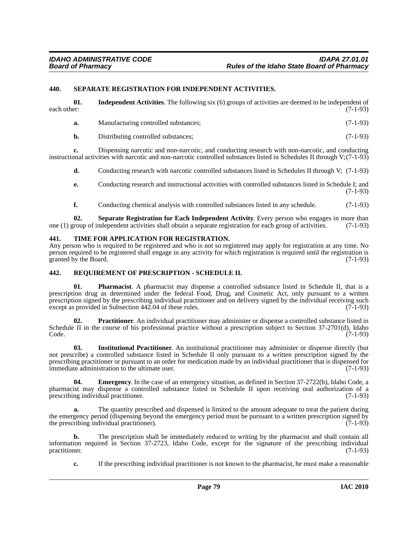#### <span id="page-78-7"></span>**440. SEPARATE REGISTRATION FOR INDEPENDENT ACTIVITIES.**

|             | <b>Independent Activities.</b> The following six (6) groups of activities are deemed to be independent of |
|-------------|-----------------------------------------------------------------------------------------------------------|
| each other: | $(7-1-93)$                                                                                                |

<span id="page-78-1"></span>**a.** Manufacturing controlled substances; (7-1-93)

**b.** Distributing controlled substances; (7-1-93)

**c.** Dispensing narcotic and non-narcotic, and conducting research with non-narcotic, and conducting instructional activities with narcotic and non-narcotic controlled substances listed in Schedules II through V;(7-1-93)

**d.** Conducting research with narcotic controlled substances listed in Schedules II through V; (7-1-93)

- **e.** Conducting research and instructional activities with controlled substances listed in Schedule I; and (7-1-93)
- <span id="page-78-6"></span>**f.** Conducting chemical analysis with controlled substances listed in any schedule.  $(7-1-93)$

**02. Separate Registration for Each Independent Activity**. Every person who engages in more than roup of independent activities shall obtain a separate registration for each group of activities. (7-1-93) one (1) group of independent activities shall obtain a separate registration for each group of activities.

#### <span id="page-78-8"></span>**441. TIME FOR APPLICATION FOR REGISTRATION.**

Any person who is required to be registered and who is not so registered may apply for registration at any time. No person required to be registered shall engage in any activity for which registration is required until the registration is granted by the Board. (7-1-93)

#### <span id="page-78-5"></span>**442. REQUIREMENT OF PRESCRIPTION - SCHEDULE II.**

<span id="page-78-3"></span>**01. Pharmacist**. A pharmacist may dispense a controlled substance listed in Schedule II, that is a prescription drug as determined under the federal Food, Drug, and Cosmetic Act, only pursuant to a written prescription signed by the prescribing individual practitioner and on delivery signed by the individual receiving such except as provided in Subsection  $442.04$  of these rules. (7-1-93)

<span id="page-78-4"></span>**02. Practitioner**. An individual practitioner may administer or dispense a controlled substance listed in Schedule II in the course of his professional practice without a prescription subject to Section 37-2701(d), Idaho Code. (7-1-93)

<span id="page-78-2"></span>**03. Institutional Practitioner**. An institutional practitioner may administer or dispense directly (but not prescribe) a controlled substance listed in Schedule II only pursuant to a written prescription signed by the prescribing practitioner or pursuant to an order for medication made by an individual practitioner that is dispensed for immediate administration to the ultimate user. (7-1-93)

<span id="page-78-0"></span>**04. Emergency**. In the case of an emergency situation, as defined in Section 37-2722(b), Idaho Code, a pharmacist may dispense a controlled substance listed in Schedule II upon receiving oral authorization of a prescribing individual practitioner. (7-1-93)

**a.** The quantity prescribed and dispensed is limited to the amount adequate to treat the patient during the emergency period (dispensing beyond the emergency period must be pursuant to a written prescription signed by the prescribing individual practitioner).  $(7-1-93)$ 

**b.** The prescription shall be immediately reduced to writing by the pharmacist and shall contain all information required in Section 37-2723, Idaho Code, except for the signature of the prescribing individual practitioner. (7-1-93)

**c.** If the prescribing individual practitioner is not known to the pharmacist, he must make a reasonable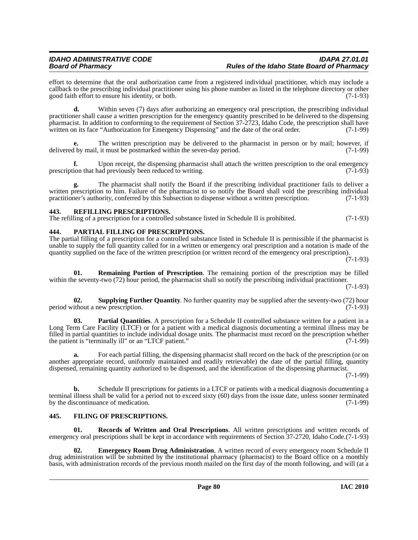effort to determine that the oral authorization came from a registered individual practitioner, which may include a callback to the prescribing individual practitioner using his phone number as listed in the telephone directory or other good faith effort to ensure his identity, or both. (7-1-93)

**d.** Within seven (7) days after authorizing an emergency oral prescription, the prescribing individual practitioner shall cause a written prescription for the emergency quantity prescribed to be delivered to the dispensing pharmacist. In addition to conforming to the requirement of Section 37-2723, Idaho Code, the prescription shall have written on its face "Authorization for Emergency Dispensing" and the date of the oral order. (7-1-99)

**e.** The written prescription may be delivered to the pharmacist in person or by mail; however, if delivered by mail, it must be postmarked within the seven-day period. (7-1-99)

**f.** Upon receipt, the dispensing pharmacist shall attach the written prescription to the oral emergency prescription that had previously been reduced to writing. (7-1-93)

**g.** The pharmacist shall notify the Board if the prescribing individual practitioner fails to deliver a written prescription to him. Failure of the pharmacist to so notify the Board shall void the prescribing individual practitioner's authority, conferred by this Subsection to dispense without a written prescription. (7-1-93)

# <span id="page-79-5"></span>**443. REFILLING PRESCRIPTIONS.**

The refilling of a prescription for a controlled substance listed in Schedule II is prohibited. (7-1-93)

### <span id="page-79-2"></span>**444. PARTIAL FILLING OF PRESCRIPTIONS.**

The partial filling of a prescription for a controlled substance listed in Schedule II is permissible if the pharmacist is unable to supply the full quantity called for in a written or emergency oral prescription and a notation is made of the quantity supplied on the face of the written prescription (or written record of the emergency oral prescription).

(7-1-93)

<span id="page-79-6"></span>**01. Remaining Portion of Prescription**. The remaining portion of the prescription may be filled within the seventy-two (72) hour period, the pharmacist shall so notify the prescribing individual practitioner.

(7-1-93)

<span id="page-79-7"></span>**02. Supplying Further Quantity**. No further quantity may be supplied after the seventy-two (72) hour ithout a new prescription. (7-1-93) period without a new prescription.

<span id="page-79-3"></span>**03. Partial Quantities**. A prescription for a Schedule II controlled substance written for a patient in a Long Term Care Facility (LTCF) or for a patient with a medical diagnosis documenting a terminal illness may be filled in partial quantities to include individual dosage units. The pharmacist must record on the prescription whether the patient is "terminally ill" or an "LTCF patient." (7-1-99)

**a.** For each partial filling, the dispensing pharmacist shall record on the back of the prescription (or on another appropriate record, uniformly maintained and readily retrievable) the date of the partial filling, quantity dispensed, remaining quantity authorized to be dispensed, and the identification of the dispensing pharmacist.

(7-1-99)

**b.** Schedule II prescriptions for patients in a LTCF or patients with a medical diagnosis documenting a terminal illness shall be valid for a period not to exceed sixty (60) days from the issue date, unless sooner terminated by the discontinuance of medication. (7-1-99)

# <span id="page-79-1"></span>**445. FILING OF PRESCRIPTIONS.**

<span id="page-79-4"></span>**Records of Written and Oral Prescriptions.** All written prescriptions and written records of emergency oral prescriptions shall be kept in accordance with requirements of Section 37-2720, Idaho Code.(7-1-93)

<span id="page-79-0"></span>**02. Emergency Room Drug Administration**. A written record of every emergency room Schedule II drug administration will be submitted by the institutional pharmacy (pharmacist) to the Board office on a monthly basis, with administration records of the previous month mailed on the first day of the month following, and will (at a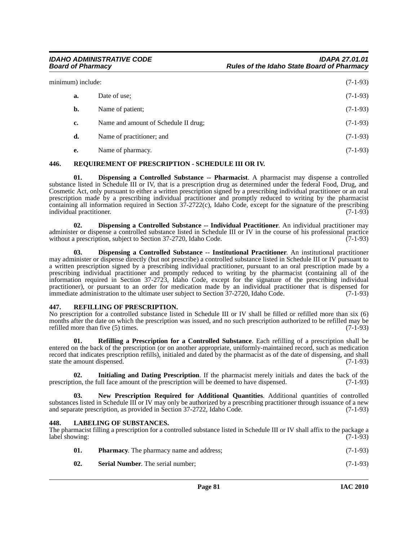| minimum) include: |    | $(7-1-93)$                           |            |
|-------------------|----|--------------------------------------|------------|
|                   | a. | Date of use:                         | $(7-1-93)$ |
|                   | b. | Name of patient;                     | $(7-1-93)$ |
|                   | c. | Name and amount of Schedule II drug; | $(7-1-93)$ |
|                   | d. | Name of practitioner; and            | $(7-1-93)$ |
|                   | e. | Name of pharmacy.                    | $(7-1-93)$ |

#### <span id="page-80-8"></span>**446. REQUIREMENT OF PRESCRIPTION - SCHEDULE III OR IV.**

<span id="page-80-2"></span>**01. Dispensing a Controlled Substance -- Pharmacist**. A pharmacist may dispense a controlled substance listed in Schedule III or IV, that is a prescription drug as determined under the federal Food, Drug, and Cosmetic Act, only pursuant to either a written prescription signed by a prescribing individual practitioner or an oral prescription made by a prescribing individual practitioner and promptly reduced to writing by the pharmacist containing all information required in Section 37-2722(c), Idaho Code, except for the signature of the prescribing individual practitioner. (7-1-93)

<span id="page-80-0"></span>**02. Dispensing a Controlled Substance -- Individual Practitioner**. An individual practitioner may administer or dispense a controlled substance listed in Schedule III or IV in the course of his professional practice without a prescription, subject to Section 37-2720, Idaho Code. (7-1-93)

<span id="page-80-1"></span>**03. Dispensing a Controlled Substance -- Institutional Practitioner**. An institutional practitioner may administer or dispense directly (but not prescribe) a controlled substance listed in Schedule III or IV pursuant to a written prescription signed by a prescribing individual practitioner, pursuant to an oral prescription made by a prescribing individual practitioner and promptly reduced to writing by the pharmacist (containing all of the information required in Section 37-2723, Idaho Code, except for the signature of the prescribing individual practitioner), or pursuant to an order for medication made by an individual practitioner that is dispensed for immediate administration to the ultimate user subject to Section 37-2720, Idaho Code. (7-1-93)

### <span id="page-80-7"></span>**447. REFILLING OF PRESCRIPTION.**

No prescription for a controlled substance listed in Schedule III or IV shall be filled or refilled more than six (6) months after the date on which the prescription was issued, and no such prescription authorized to be refilled may be refilled more than five  $(5)$  times. (7-1-93)

<span id="page-80-6"></span>**01. Refilling a Prescription for a Controlled Substance**. Each refilling of a prescription shall be entered on the back of the prescription (or on another appropriate, uniformly-maintained record, such as medication record that indicates prescription refills), initialed and dated by the pharmacist as of the date of dispensing, and shall state the amount dispensed. (7-1-93)

<span id="page-80-3"></span>**02. Initialing and Dating Prescription**. If the pharmacist merely initials and dates the back of the prescription, the full face amount of the prescription will be deemed to have dispensed. (7-1-93)

<span id="page-80-5"></span>**03. New Prescription Required for Additional Quantities**. Additional quantities of controlled substances listed in Schedule III or IV may only be authorized by a prescribing practitioner through issuance of a new and separate prescription, as provided in Section 37-2722, Idaho Code. (7-1-93) and separate prescription, as provided in Section 37-2722, Idaho Code.

### <span id="page-80-4"></span>**448. LABELING OF SUBSTANCES.**

The pharmacist filling a prescription for a controlled substance listed in Schedule III or IV shall affix to the package a label showing: (7-1-93)

| 01. | <b>Pharmacy.</b> The pharmacy name and address; | $(7-1-93)$ |
|-----|-------------------------------------------------|------------|
| 02. | <b>Serial Number.</b> The serial number:        | $(7-1-93)$ |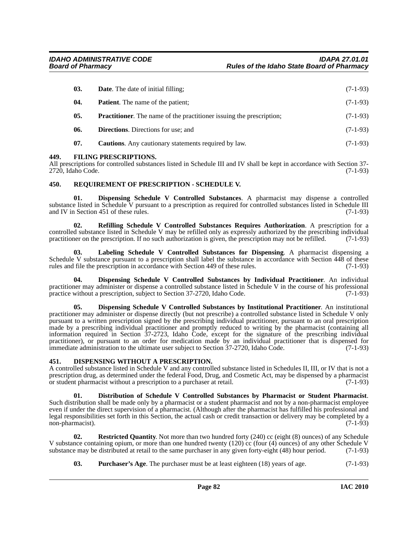| 03. | <b>Date.</b> The date of initial filling;                                   | $(7-1-93)$ |
|-----|-----------------------------------------------------------------------------|------------|
| 04. | <b>Patient.</b> The name of the patient;                                    | $(7-1-93)$ |
| 05. | <b>Practitioner.</b> The name of the practitioner issuing the prescription; | $(7-1-93)$ |
| 06. | <b>Directions.</b> Directions for use; and                                  | $(7-1-93)$ |
| 07. | <b>Cautions.</b> Any cautionary statements required by law.                 | $(7-1-93)$ |

#### <span id="page-81-5"></span>**449. FILING PRESCRIPTIONS.**

All prescriptions for controlled substances listed in Schedule III and IV shall be kept in accordance with Section 37- 2720, Idaho Code. (7-1-93)

#### <span id="page-81-9"></span>**450. REQUIREMENT OF PRESCRIPTION - SCHEDULE V.**

<span id="page-81-0"></span>**01. Dispensing Schedule V Controlled Substances**. A pharmacist may dispense a controlled substance listed in Schedule V pursuant to a prescription as required for controlled substances listed in Schedule III and IV in Section 451 of these rules. (7-1-93)

<span id="page-81-8"></span>**02. Refilling Schedule V Controlled Substances Requires Authorization**. A prescription for a controlled substance listed in Schedule V may be refilled only as expressly authorized by the prescribing individual practitioner on the prescription. If no such authorization is given, the prescription may not be refilled. (7-1-93)

<span id="page-81-6"></span>**03. Labeling Schedule V Controlled Substances for Dispensing**. A pharmacist dispensing a Schedule V substance pursuant to a prescription shall label the substance in accordance with Section 448 of these rules and file the prescription in accordance with Section 449 of these rules. (7-1-93) rules and file the prescription in accordance with Section 449 of these rules.

<span id="page-81-1"></span>**04. Dispensing Schedule V Controlled Substances by Individual Practitioner**. An individual practitioner may administer or dispense a controlled substance listed in Schedule V in the course of his professional practice without a prescription, subject to Section 37-2720, Idaho Code. (7-1-93)

<span id="page-81-2"></span>**05. Dispensing Schedule V Controlled Substances by Institutional Practitioner**. An institutional practitioner may administer or dispense directly (but not prescribe) a controlled substance listed in Schedule V only pursuant to a written prescription signed by the prescribing individual practitioner, pursuant to an oral prescription made by a prescribing individual practitioner and promptly reduced to writing by the pharmacist (containing all information required in Section 37-2723, Idaho Code, except for the signature of the prescribing individual practitioner), or pursuant to an order for medication made by an individual practitioner that is dispensed for<br>immediate administration to the ultimate user subject to Section 37-2720. Idaho Code. (7-1-93) immediate administration to the ultimate user subject to Section  $37-2720$ , Idaho Code.

#### <span id="page-81-3"></span>**451. DISPENSING WITHOUT A PRESCRIPTION.**

A controlled substance listed in Schedule V and any controlled substance listed in Schedules II, III, or IV that is not a prescription drug, as determined under the federal Food, Drug, and Cosmetic Act, may be dispensed by a pharmacist or student pharmacist without a prescription to a purchaser at retail. (7-1-93)

<span id="page-81-4"></span>**01. Distribution of Schedule V Controlled Substances by Pharmacist or Student Pharmacist**. Such distribution shall be made only by a pharmacist or a student pharmacist and not by a non-pharmacist employee even if under the direct supervision of a pharmacist. (Although after the pharmacist has fulfilled his professional and legal responsibilities set forth in this Section, the actual cash or credit transaction or delivery may be completed by a non-pharmacist).  $(7-1-93)$ 

**02. Restricted Quantity**. Not more than two hundred forty (240) cc (eight (8) ounces) of any Schedule V substance containing opium, or more than one hundred twenty (120) cc (four (4) ounces) of any other Schedule V substance may be distributed at retail to the same purchaser in any given forty-eight (48) hour period.  $(7$ substance may be distributed at retail to the same purchaser in any given forty-eight (48) hour period.

<span id="page-81-10"></span><span id="page-81-7"></span>**03. Purchaser's Age**. The purchaser must be at least eighteen (18) years of age. (7-1-93)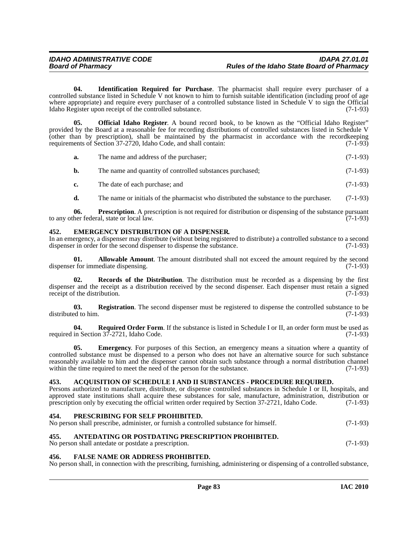<span id="page-82-6"></span>**04. Identification Required for Purchase**. The pharmacist shall require every purchaser of a controlled substance listed in Schedule V not known to him to furnish suitable identification (including proof of age where appropriate) and require every purchaser of a controlled substance listed in Schedule V to sign the Official Idaho Register upon receipt of the controlled substance. (7-1-93)

**05. Official Idaho Register**. A bound record book, to be known as the "Official Idaho Register" provided by the Board at a reasonable fee for recording distributions of controlled substances listed in Schedule V (other than by prescription), shall be maintained by the pharmacist in accordance with the recordkeeping requirements of Section 37-2720, Idaho Code, and shall contain: (7-1-93)

<span id="page-82-7"></span>

| a. | The name and address of the purchaser; | $(7-1-93)$ |
|----|----------------------------------------|------------|
|----|----------------------------------------|------------|

| b. | The name and quantity of controlled substances purchased; |  | $(7-1-93)$ |
|----|-----------------------------------------------------------|--|------------|
|----|-----------------------------------------------------------|--|------------|

- **c.** The date of each purchase; and (7-1-93)
- <span id="page-82-9"></span>**d.** The name or initials of the pharmacist who distributed the substance to the purchaser. (7-1-93)

**06. Prescription**. A prescription is not required for distribution or dispensing of the substance pursuant to any other federal, state or local law. (7-1-93)

### <span id="page-82-3"></span>**452. EMERGENCY DISTRIBUTION OF A DISPENSER.**

In an emergency, a dispenser may distribute (without being registered to distribute) a controlled substance to a second dispenser in order for the second dispenser to dispense the substance. (7-1-93)

<span id="page-82-1"></span>**01. Allowable Amount**. The amount distributed shall not exceed the amount required by the second dispenser for immediate dispensing. (7-1-93)

<span id="page-82-10"></span>**02. Records of the Distribution**. The distribution must be recorded as a dispensing by the first dispenser and the receipt as a distribution received by the second dispenser. Each dispenser must retain a signed receipt of the distribution. (7-1-93) receipt of the distribution.

**03.** Registration. The second dispenser must be registered to dispense the controlled substance to be ed to him. (7-1-93) distributed to him.

<span id="page-82-11"></span>**04.** Required Order Form. If the substance is listed in Schedule I or II, an order form must be used as required in Section 37-2721, Idaho Code. (7-1-93)

<span id="page-82-4"></span>**05.** Emergency. For purposes of this Section, an emergency means a situation where a quantity of controlled substance must be dispensed to a person who does not have an alternative source for such substance reasonably available to him and the dispenser cannot obtain such substance through a normal distribution channel within the time required to meet the need of the person for the substance. (7-1-93)

### <span id="page-82-0"></span>**453. ACQUISITION OF SCHEDULE I AND II SUBSTANCES - PROCEDURE REQUIRED.**

Persons authorized to manufacture, distribute, or dispense controlled substances in Schedule I or II, hospitals, and approved state institutions shall acquire these substances for sale, manufacture, administration, distribution or prescription only by executing the official written order required by Section 37-2721, Idaho Code. (7-1-93)

#### <span id="page-82-8"></span>**454. PRESCRIBING FOR SELF PROHIBITED.**

| No person shall prescribe, administer, or furnish a controlled substance for himself. | $(7-1-93)$ |
|---------------------------------------------------------------------------------------|------------|
|---------------------------------------------------------------------------------------|------------|

#### <span id="page-82-2"></span>**455. ANTEDATING OR POSTDATING PRESCRIPTION PROHIBITED.**

No person shall antedate or postdate a prescription. (7-1-93)

### <span id="page-82-5"></span>**456. FALSE NAME OR ADDRESS PROHIBITED.**

No person shall, in connection with the prescribing, furnishing, administering or dispensing of a controlled substance,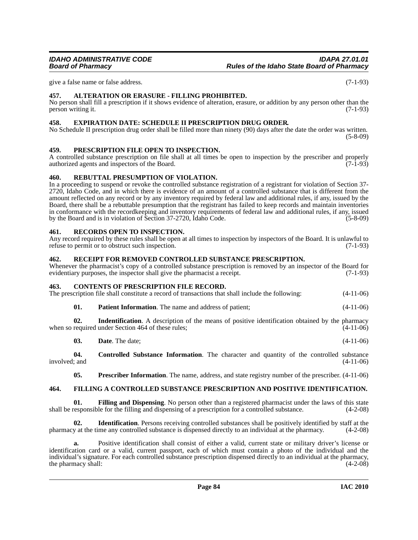give a false name or false address. (7-1-93)

## <span id="page-83-0"></span>**457. ALTERATION OR ERASURE - FILLING PROHIBITED.**

No person shall fill a prescription if it shows evidence of alteration, erasure, or addition by any person other than the person writing it. (7-1-93)

#### <span id="page-83-2"></span>**458. EXPIRATION DATE: SCHEDULE II PRESCRIPTION DRUG ORDER.**

No Schedule II prescription drug order shall be filled more than ninety (90) days after the date the order was written.  $(5-8-09)$ 

# <span id="page-83-6"></span>**459. PRESCRIPTION FILE OPEN TO INSPECTION.**

A controlled substance prescription on file shall at all times be open to inspection by the prescriber and properly authorized agents and inspectors of the Board. (7-1-93) authorized agents and inspectors of the Board.

#### <span id="page-83-7"></span>**460. REBUTTAL PRESUMPTION OF VIOLATION.**

In a proceeding to suspend or revoke the controlled substance registration of a registrant for violation of Section 37- 2720, Idaho Code, and in which there is evidence of an amount of a controlled substance that is different from the amount reflected on any record or by any inventory required by federal law and additional rules, if any, issued by the Board, there shall be a rebuttable presumption that the registrant has failed to keep records and maintain inventories in conformance with the recordkeeping and inventory requirements of federal law and additional rules, if any, issued by the Board and is in violation of Section 37-2720, Idaho Code. (5-8-09)

#### <span id="page-83-9"></span>**461. RECORDS OPEN TO INSPECTION.**

Any record required by these rules shall be open at all times to inspection by inspectors of the Board. It is unlawful to refuse to permit or to obstruct such inspection. (7-1-93)

#### <span id="page-83-8"></span>**462. RECEIPT FOR REMOVED CONTROLLED SUBSTANCE PRESCRIPTION.**

Whenever the pharmacist's copy of a controlled substance prescription is removed by an inspector of the Board for evidentiary purposes, the inspector shall give the pharmacist a receipt. (7-1-93)

#### <span id="page-83-1"></span>**463. CONTENTS OF PRESCRIPTION FILE RECORD.**

The prescription file shall constitute a record of transactions that shall include the following: (4-11-06)

**01. Patient Information**. The name and address of patient; (4-11-06)

**02.** Indentification. A description of the means of positive identification obtained by the pharmacy required under Section 464 of these rules:  $(4-11-06)$ when so required under Section 464 of these rules;

**03. Date**. The date; (4-11-06)

**04. Controlled Substance Information**. The character and quantity of the controlled substance  $involved$ ; and  $(4-11-06)$ 

<span id="page-83-5"></span><span id="page-83-4"></span><span id="page-83-3"></span>**05. Prescriber Information**. The name, address, and state registry number of the prescriber. (4-11-06)

#### **464. FILLING A CONTROLLED SUBSTANCE PRESCRIPTION AND POSITIVE IDENTIFICATION.**

**01.** Filling and Dispensing. No person other than a registered pharmacist under the laws of this state responsible for the filling and dispensing of a prescription for a controlled substance. (4-2-08) shall be responsible for the filling and dispensing of a prescription for a controlled substance.

**02. Identification**. Persons receiving controlled substances shall be positively identified by staff at the pharmacy at the time any controlled substance is dispensed directly to an individual at the pharmacy. (4-2-08)

Positive identification shall consist of either a valid, current state or military driver's license or identification card or a valid, current passport, each of which must contain a photo of the individual and the individual's signature. For each controlled substance prescription dispensed directly to an individual at the pharmacy, the pharmacy shall: (4-2-08)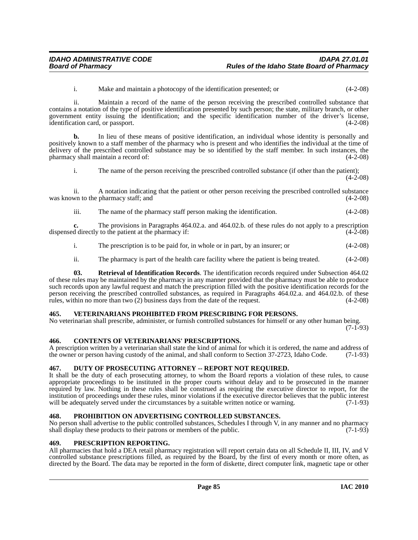i. Make and maintain a photocopy of the identification presented; or (4-2-08)

ii. Maintain a record of the name of the person receiving the prescribed controlled substance that contains a notation of the type of positive identification presented by such person; the state, military branch, or other government entity issuing the identification; and the specific identification number of the driver's license, identification card, or passport.

**b.** In lieu of these means of positive identification, an individual whose identity is personally and positively known to a staff member of the pharmacy who is present and who identifies the individual at the time of delivery of the prescribed controlled substance may be so identified by the staff member. In such instances, the pharmacy shall maintain a record of: (4-2-08)

i. The name of the person receiving the prescribed controlled substance (if other than the patient);  $(4-2-08)$ 

ii. A notation indicating that the patient or other person receiving the prescribed controlled substance was known to the pharmacy staff; and  $(4-2-08)$ 

iii. The name of the pharmacy staff person making the identification. (4-2-08)

**c.** The provisions in Paragraphs 464.02.a. and 464.02.b. of these rules do not apply to a prescription d directly to the patient at the pharmacy if: dispensed directly to the patient at the pharmacy if:

- i. The prescription is to be paid for, in whole or in part, by an insurer; or (4-2-08)
- <span id="page-84-4"></span>ii. The pharmacy is part of the health care facility where the patient is being treated. (4-2-08)

**03. Retrieval of Identification Records**. The identification records required under Subsection 464.02 of these rules may be maintained by the pharmacy in any manner provided that the pharmacy must be able to produce such records upon any lawful request and match the prescription filled with the positive identification records for the person receiving the prescribed controlled substances, as required in Paragraphs 464.02.a. and 464.02.b. of these rules, within no more than two (2) business days from the date of the request. (4-2-08)

#### <span id="page-84-5"></span>**465. VETERINARIANS PROHIBITED FROM PRESCRIBING FOR PERSONS.**

No veterinarian shall prescribe, administer, or furnish controlled substances for himself or any other human being.  $(7-1-93)$ 

#### <span id="page-84-0"></span>**466. CONTENTS OF VETERINARIANS' PRESCRIPTIONS.**

A prescription written by a veterinarian shall state the kind of animal for which it is ordered, the name and address of the owner or person having custody of the animal, and shall conform to Section 37-2723, Idaho Code. (7-1-93)

#### <span id="page-84-1"></span>**467. DUTY OF PROSECUTING ATTORNEY -- REPORT NOT REQUIRED.**

It shall be the duty of each prosecuting attorney, to whom the Board reports a violation of these rules, to cause appropriate proceedings to be instituted in the proper courts without delay and to be prosecuted in the manner required by law. Nothing in these rules shall be construed as requiring the executive director to report, for the institution of proceedings under these rules, minor violations if the executive director believes that the public interest will be adequately served under the circumstances by a suitable written notice or warning. (7-1-93)

#### <span id="page-84-3"></span>**468. PROHIBITION ON ADVERTISING CONTROLLED SUBSTANCES.**

No person shall advertise to the public controlled substances, Schedules I through V, in any manner and no pharmacy shall display these products to their patrons or members of the public. (7-1-93)

# <span id="page-84-2"></span>**469. PRESCRIPTION REPORTING.**

All pharmacies that hold a DEA retail pharmacy registration will report certain data on all Schedule II, III, IV, and V controlled substance prescriptions filled, as required by the Board, by the first of every month or more often, as directed by the Board. The data may be reported in the form of diskette, direct computer link, magnetic tape or other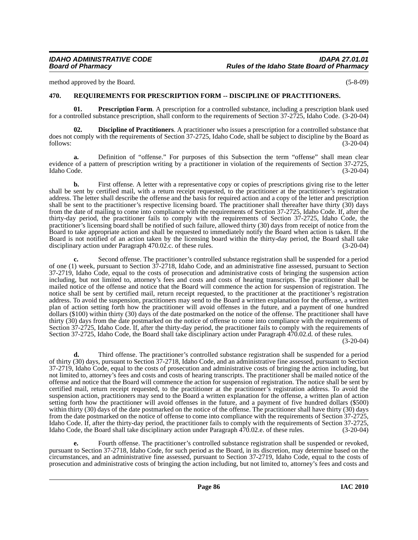method approved by the Board. (5-8-09)

# <span id="page-85-2"></span>**470. REQUIREMENTS FOR PRESCRIPTION FORM -- DISCIPLINE OF PRACTITIONERS.**

<span id="page-85-1"></span>**01. Prescription Form**. A prescription for a controlled substance, including a prescription blank used for a controlled substance prescription, shall conform to the requirements of Section 37-2725, Idaho Code. (3-20-04)

<span id="page-85-0"></span>**02. Discipline of Practitioners**. A practitioner who issues a prescription for a controlled substance that does not comply with the requirements of Section 37-2725, Idaho Code, shall be subject to discipline by the Board as follows: (3-20-04)

**a.** Definition of "offense." For purposes of this Subsection the term "offense" shall mean clear evidence of a pattern of prescription writing by a practitioner in violation of the requirements of Section 37-2725, Idaho Code. (3-20-04)

**b.** First offense. A letter with a representative copy or copies of prescriptions giving rise to the letter shall be sent by certified mail, with a return receipt requested, to the practitioner at the practitioner's registration address. The letter shall describe the offense and the basis for required action and a copy of the letter and prescription shall be sent to the practitioner's respective licensing board. The practitioner shall thereafter have thirty (30) days from the date of mailing to come into compliance with the requirements of Section 37-2725, Idaho Code. If, after the thirty-day period, the practitioner fails to comply with the requirements of Section 37-2725, Idaho Code, the practitioner's licensing board shall be notified of such failure, allowed thirty (30) days from receipt of notice from the Board to take appropriate action and shall be requested to immediately notify the Board when action is taken. If the Board is not notified of an action taken by the licensing board within the thirty-day period, the Board shall take disciplinary action under Paragraph 470.02.c. of these rules. (3-20-04)

**c.** Second offense. The practitioner's controlled substance registration shall be suspended for a period of one (1) week, pursuant to Section 37-2718, Idaho Code, and an administrative fine assessed, pursuant to Section 37-2719, Idaho Code, equal to the costs of prosecution and administrative costs of bringing the suspension action including, but not limited to, attorney's fees and costs and costs of hearing transcripts. The practitioner shall be mailed notice of the offense and notice that the Board will commence the action for suspension of registration. The notice shall be sent by certified mail, return receipt requested, to the practitioner at the practitioner's registration address. To avoid the suspension, practitioners may send to the Board a written explanation for the offense, a written plan of action setting forth how the practitioner will avoid offenses in the future, and a payment of one hundred dollars (\$100) within thirty (30) days of the date postmarked on the notice of the offense. The practitioner shall have thirty (30) days from the date postmarked on the notice of offense to come into compliance with the requirements of Section 37-2725, Idaho Code. If, after the thirty-day period, the practitioner fails to comply with the requirements of Section 37-2725, Idaho Code, the Board shall take disciplinary action under Paragraph 470.02.d. of these rules.

(3-20-04)

**d.** Third offense. The practitioner's controlled substance registration shall be suspended for a period of thirty (30) days, pursuant to Section 37-2718, Idaho Code, and an administrative fine assessed, pursuant to Section 37-2719, Idaho Code, equal to the costs of prosecution and administrative costs of bringing the action including, but not limited to, attorney's fees and costs and costs of hearing transcripts. The practitioner shall be mailed notice of the offense and notice that the Board will commence the action for suspension of registration. The notice shall be sent by certified mail, return receipt requested, to the practitioner at the practitioner's registration address. To avoid the suspension action, practitioners may send to the Board a written explanation for the offense, a written plan of action setting forth how the practitioner will avoid offenses in the future, and a payment of five hundred dollars (\$500) within thirty (30) days of the date postmarked on the notice of the offense. The practitioner shall have thirty (30) days from the date postmarked on the notice of offense to come into compliance with the requirements of Section 37-2725, Idaho Code. If, after the thirty-day period, the practitioner fails to comply with the requirements of Section 37-2725, Idaho Code, the Board shall take disciplinary action under Paragraph 470.02.e. of these rules. (3-20-04)

**e.** Fourth offense. The practitioner's controlled substance registration shall be suspended or revoked, pursuant to Section 37-2718, Idaho Code, for such period as the Board, in its discretion, may determine based on the circumstances, and an administrative fine assessed, pursuant to Section 37-2719, Idaho Code, equal to the costs of prosecution and administrative costs of bringing the action including, but not limited to, attorney's fees and costs and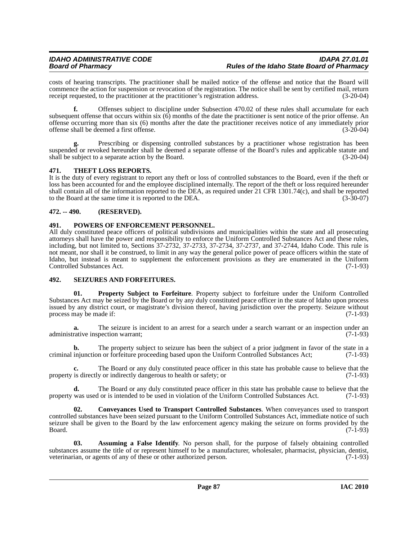costs of hearing transcripts. The practitioner shall be mailed notice of the offense and notice that the Board will commence the action for suspension or revocation of the registration. The notice shall be sent by certified mail, return receipt requested, to the practitioner at the practitioner's registration address. (3-20-04)

**f.** Offenses subject to discipline under Subsection 470.02 of these rules shall accumulate for each subsequent offense that occurs within six  $(6)$  months of the date the practitioner is sent notice of the prior offense. An offense occurring more than six (6) months after the date the practitioner receives notice of any immediately prior offense shall be deemed a first offense. (3-20-04)

Prescribing or dispensing controlled substances by a practitioner whose registration has been suspended or revoked hereunder shall be deemed a separate offense of the Board's rules and applicable statute and shall be subject to a separate action by the Board. (3-20-04)

# <span id="page-86-5"></span>**471. THEFT LOSS REPORTS.**

It is the duty of every registrant to report any theft or loss of controlled substances to the Board, even if the theft or loss has been accounted for and the employee disciplined internally. The report of the theft or loss required hereunder shall contain all of the information reported to the DEA, as required under 21 CFR 1301.74(c), and shall be reported to the Board at the same time it is reported to the DEA. (3-30-07)

# **472. -- 490. (RESERVED).**

# <span id="page-86-2"></span>**491. POWERS OF ENFORCEMENT PERSONNEL.**

All duly constituted peace officers of political subdivisions and municipalities within the state and all prosecuting attorneys shall have the power and responsibility to enforce the Uniform Controlled Substances Act and these rules, including, but not limited to, Sections 37-2732, 37-2733, 37-2734, 37-2737, and 37-2744, Idaho Code. This rule is not meant, nor shall it be construed, to limit in any way the general police power of peace officers within the state of Idaho, but instead is meant to supplement the enforcement provisions as they are enumerated in the Uniform Controlled Substances Act. (7-1-93)

# <span id="page-86-4"></span>**492. SEIZURES AND FORFEITURES.**

<span id="page-86-3"></span>**01. Property Subject to Forfeiture**. Property subject to forfeiture under the Uniform Controlled Substances Act may be seized by the Board or by any duly constituted peace officer in the state of Idaho upon process issued by any district court, or magistrate's division thereof, having jurisdiction over the property. Seizure without process may be made if:

**a.** The seizure is incident to an arrest for a search under a search warrant or an inspection under an administrative inspection warrant; (7-1-93)

**b.** The property subject to seizure has been the subject of a prior judgment in favor of the state in a criminal injunction or forfeiture proceeding based upon the Uniform Controlled Substances Act; (7-1-93)

The Board or any duly constituted peace officer in this state has probable cause to believe that the y or indirectly dangerous to health or safety; or  $(7-1-93)$ property is directly or indirectly dangerous to health or safety; or

**d.** The Board or any duly constituted peace officer in this state has probable cause to believe that the property was used or is intended to be used in violation of the Uniform Controlled Substances Act. (7-1-93)

<span id="page-86-1"></span>**02. Conveyances Used to Transport Controlled Substances**. When conveyances used to transport controlled substances have been seized pursuant to the Uniform Controlled Substances Act, immediate notice of such seizure shall be given to the Board by the law enforcement agency making the seizure on forms provided by the  $Board.$  (7-1-93)

<span id="page-86-0"></span>**03. Assuming a False Identify**. No person shall, for the purpose of falsely obtaining controlled substances assume the title of or represent himself to be a manufacturer, wholesaler, pharmacist, physician, dentist, veterinarian, or agents of any of these or other authorized person. (7-1-93)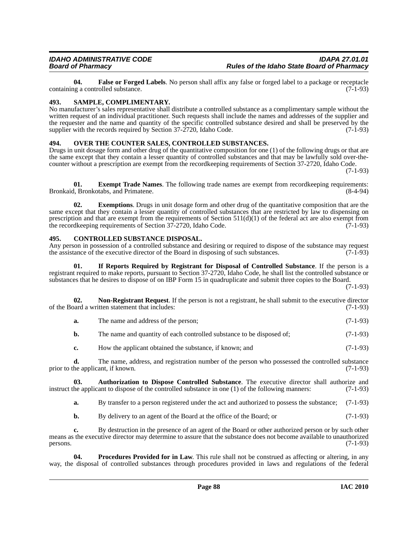<span id="page-87-3"></span>**04. False or Forged Labels**. No person shall affix any false or forged label to a package or receptacle is a controlled substance. containing a controlled substance.

### <span id="page-87-8"></span>**493. SAMPLE, COMPLIMENTARY.**

No manufacturer's sales representative shall distribute a controlled substance as a complimentary sample without the written request of an individual practitioner. Such requests shall include the names and addresses of the supplier and the requester and the name and quantity of the specific controlled substance desired and shall be preserved by the supplier with the records required by Section 37-2720, Idaho Code. (7-1-93)

# <span id="page-87-5"></span>**494. OVER THE COUNTER SALES, CONTROLLED SUBSTANCES.**

Drugs in unit dosage form and other drug of the quantitative composition for one (1) of the following drugs or that are the same except that they contain a lesser quantity of controlled substances and that may be lawfully sold over-thecounter without a prescription are exempt from the recordkeeping requirements of Section 37-2720, Idaho Code.

(7-1-93)

<span id="page-87-2"></span>**01. Exempt Trade Names**. The following trade names are exempt from recordkeeping requirements: Bronkaid, Bronkotabs, and Primatene.

**02. Exemptions**. Drugs in unit dosage form and other drug of the quantitative composition that are the same except that they contain a lesser quantity of controlled substances that are restricted by law to dispensing on prescription and that are exempt from the requirements of Section  $511(d)(1)$  of the federal act are also exempt from the record keeping requirements of Section 37-2720. Idaho Code. (7-1-93) the recordkeeping requirements of Section  $37$ -2720, Idaho Code.

### <span id="page-87-1"></span>**495. CONTROLLED SUBSTANCE DISPOSAL.**

Any person in possession of a controlled substance and desiring or required to dispose of the substance may request<br>the assistance of the executive director of the Board in disposing of such substances. (7-1-93) the assistance of the executive director of the Board in disposing of such substances.

<span id="page-87-7"></span>**01. If Reports Required by Registrant for Disposal of Controlled Substance**. If the person is a registrant required to make reports, pursuant to Section 37-2720, Idaho Code, he shall list the controlled substance or substances that he desires to dispose of on IBP Form 15 in quadruplicate and submit three copies to the Board.

(7-1-93)

**02. Non-Registrant Request**. If the person is not a registrant, he shall submit to the executive director of the Board a written statement that includes: (7-1-93)

<span id="page-87-4"></span>

| а. | The name and address of the person; | $(7-1-93)$ |
|----|-------------------------------------|------------|
|    |                                     |            |

**b.** The name and quantity of each controlled substance to be disposed of; (7-1-93)

**c.** How the applicant obtained the substance, if known; and  $(7-1-93)$ 

**d.** The name, address, and registration number of the person who possessed the controlled substance prior to the applicant, if known. (7-1-93)

**03.** Authorization to Dispose Controlled Substance. The executive director shall authorize and he applicant to dispose of the controlled substance in one (1) of the following manners: (7-1-93) instruct the applicant to dispose of the controlled substance in one  $(1)$  of the following manners:

<span id="page-87-0"></span>**a.** By transfer to a person registered under the act and authorized to possess the substance; (7-1-93)

<span id="page-87-6"></span>**b.** By delivery to an agent of the Board at the office of the Board; or (7-1-93)

**c.** By destruction in the presence of an agent of the Board or other authorized person or by such other means as the executive director may determine to assure that the substance does not become available to unauthorized  $p$ ersons. (7-1-93)

**04. Procedures Provided for in Law**. This rule shall not be construed as affecting or altering, in any way, the disposal of controlled substances through procedures provided in laws and regulations of the federal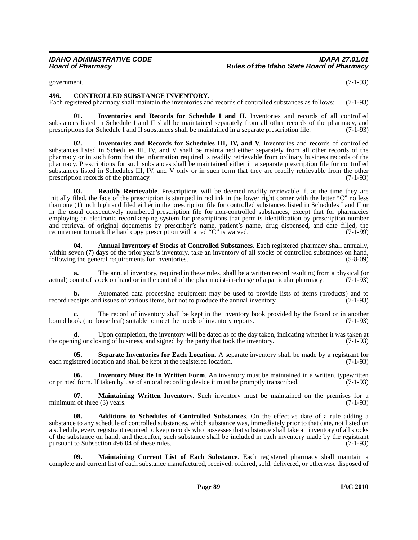<span id="page-88-2"></span>government. (7-1-93)

#### **496. CONTROLLED SUBSTANCE INVENTORY.**

Each registered pharmacy shall maintain the inventories and records of controlled substances as follows: (7-1-93)

<span id="page-88-3"></span>**01. Inventories and Records for Schedule I and II**. Inventories and records of all controlled substances listed in Schedule I and II shall be maintained separately from all other records of the pharmacy, and prescriptions for Schedule I and II substances shall be maintained in a separate prescription file. (7-1-93)

<span id="page-88-4"></span>**02. Inventories and Records for Schedules III, IV, and V**. Inventories and records of controlled substances listed in Schedules III, IV, and V shall be maintained either separately from all other records of the pharmacy or in such form that the information required is readily retrievable from ordinary business records of the pharmacy. Prescriptions for such substances shall be maintained either in a separate prescription file for controlled substances listed in Schedules III, IV, and V only or in such form that they are readily retrievable from the other prescription records of the pharmacy. (7-1-93)

<span id="page-88-8"></span>**03. Readily Retrievable**. Prescriptions will be deemed readily retrievable if, at the time they are initially filed, the face of the prescription is stamped in red ink in the lower right corner with the letter "C" no less than one (1) inch high and filed either in the prescription file for controlled substances listed in Schedules I and II or in the usual consecutively numbered prescription file for non-controlled substances, except that for pharmacies employing an electronic recordkeeping system for prescriptions that permits identification by prescription number and retrieval of original documents by prescriber's name, patient's name, drug dispensed, and date filled, the requirement to mark the hard copy prescription with a red "C" is waived.  $(7-1-99)$ requirement to mark the hard copy prescription with a red " $C$ " is waived.

<span id="page-88-1"></span>**04. Annual Inventory of Stocks of Controlled Substances**. Each registered pharmacy shall annually, within seven (7) days of the prior year's inventory, take an inventory of all stocks of controlled substances on hand, following the general requirements for inventories. (5-8-09)

The annual inventory, required in these rules, shall be a written record resulting from a physical (or actual) count of stock on hand or in the control of the pharmacist-in-charge of a particular pharmacy. (7-1-93)

**b.** Automated data processing equipment may be used to provide lists of items (products) and to record receipts and issues of various items, but not to produce the annual inventory. (7-1-93)

**c.** The record of inventory shall be kept in the inventory book provided by the Board or in another bound book (not loose leaf) suitable to meet the needs of inventory reports. (7-1-93)

**d.** Upon completion, the inventory will be dated as of the day taken, indicating whether it was taken at the opening or closing of business, and signed by the party that took the inventory. (7-1-93)

<span id="page-88-9"></span>**05. Separate Inventories for Each Location**. A separate inventory shall be made by a registrant for each registered location and shall be kept at the registered location. (7-1-93)

<span id="page-88-5"></span>**06.** Inventory Must Be In Written Form. An inventory must be maintained in a written, typewritten or printed form. If taken by use of an oral recording device it must be promptly transcribed. (7-1-93)

<span id="page-88-7"></span>**07. Maintaining Written Inventory**. Such inventory must be maintained on the premises for a minimum of three  $(3)$  years.  $(7-1-93)$ 

<span id="page-88-0"></span>**08. Additions to Schedules of Controlled Substances**. On the effective date of a rule adding a substance to any schedule of controlled substances, which substance was, immediately prior to that date, not listed on a schedule, every registrant required to keep records who possesses that substance shall take an inventory of all stocks of the substance on hand, and thereafter, such substance shall be included in each inventory made by the registrant pursuant to Subsection 496.04 of these rules. (7-1-93)

<span id="page-88-6"></span>**09. Maintaining Current List of Each Substance**. Each registered pharmacy shall maintain a complete and current list of each substance manufactured, received, ordered, sold, delivered, or otherwise disposed of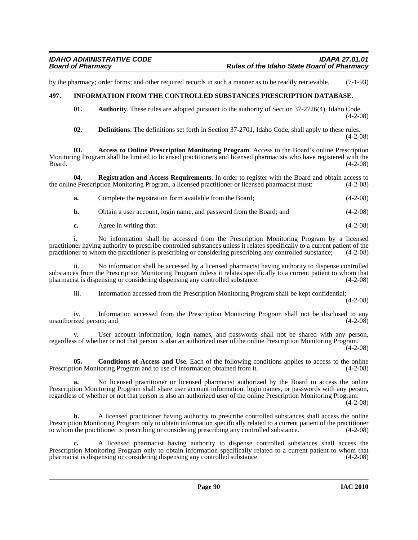by the pharmacy; order forms; and other required records in such a manner as to be readily retrievable. (7-1-93)

### **497. INFORMATION FROM THE CONTROLLED SUBSTANCES PRESCRIPTION DATABASE.**

<span id="page-89-4"></span><span id="page-89-1"></span>**01.** Authority. These rules are adopted pursuant to the authority of Section 37-2726(4), Idaho Code. (4-2-08)

<span id="page-89-3"></span><span id="page-89-0"></span>**02. Definitions**. The definitions set forth in Section 37-2701, Idaho Code, shall apply to these rules.  $(4-2-08)$ 

**03. Access to Online Prescription Monitoring Program**. Access to the Board's online Prescription Monitoring Program shall be limited to licensed practitioners and licensed pharmacists who have registered with the  $Board.$  (4-2-08)

**04. Registration and Access Requirements**. In order to register with the Board and obtain access to e Prescription Monitoring Program, a licensed practitioner or licensed pharmacist must: (4-2-08) the online Prescription Monitoring Program, a licensed practitioner or licensed pharmacist must:

<span id="page-89-5"></span>

| а. | Complete the registration form available from the Board; | $(4-2-08)$ |
|----|----------------------------------------------------------|------------|
|    |                                                          |            |

**b.** Obtain a user account, login name, and password from the Board; and (4-2-08)

| c. | Agree in writing that: | $(4-2-08)$ |
|----|------------------------|------------|
|    |                        |            |

i. No information shall be accessed from the Prescription Monitoring Program by a licensed practitioner having authority to prescribe controlled substances unless it relates specifically to a current patient of the practitioner to whom the practitioner is prescribing or considering prescribing any controlled sub practitioner to whom the practitioner is prescribing or considering prescribing any controlled substance;

ii. No information shall be accessed by a licensed pharmacist having authority to dispense controlled substances from the Prescription Monitoring Program unless it relates specifically to a current patient to whom that pharmacist is dispensing or considering dispensing any controlled substance; (4-2-08)

iii. Information accessed from the Prescription Monitoring Program shall be kept confidential;

(4-2-08)

iv. Information accessed from the Prescription Monitoring Program shall not be disclosed to any unauthorized person; and (4-2-08)

v. User account information, login names, and passwords shall not be shared with any person, regardless of whether or not that person is also an authorized user of the online Prescription Monitoring Program.  $(4-2-08)$ 

<span id="page-89-2"></span>**05. Conditions of Access and Use**. Each of the following conditions applies to access to the online Prescription Monitoring Program and to use of information obtained from it. (4-2-08)

**a.** No licensed practitioner or licensed pharmacist authorized by the Board to access the online Prescription Monitoring Program shall share user account information, login names, or passwords with any person, regardless of whether or not that person is also an authorized user of the online Prescription Monitoring Program.

 $(4-2-08)$ 

**b.** A licensed practitioner having authority to prescribe controlled substances shall access the online Prescription Monitoring Program only to obtain information specifically related to a current patient of the practitioner to whom the practitioner is prescribing or considering prescribing any controlled substance. (4-2-08)

**c.** A licensed pharmacist having authority to dispense controlled substances shall access the Prescription Monitoring Program only to obtain information specifically related to a current patient to whom that pharmacist is dispensing or considering dispensing any controlled substance. (4-2-08) pharmacist is dispensing or considering dispensing any controlled substance.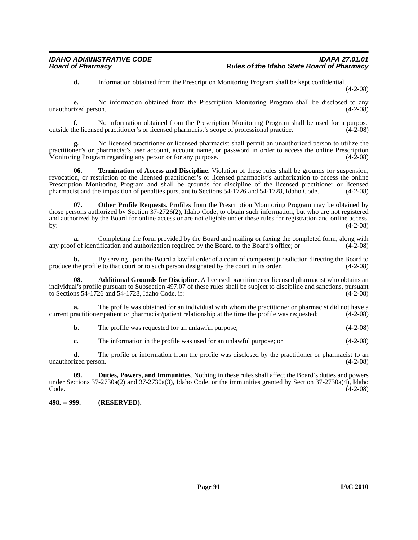**d.** Information obtained from the Prescription Monitoring Program shall be kept confidential.

(4-2-08)

**e.** No information obtained from the Prescription Monitoring Program shall be disclosed to any unauthorized person.  $(4-2-08)$ 

**f.** No information obtained from the Prescription Monitoring Program shall be used for a purpose he licensed practitioner's or licensed pharmacist's scope of professional practice. (4-2-08) outside the licensed practitioner's or licensed pharmacist's scope of professional practice.

**g.** No licensed practitioner or licensed pharmacist shall permit an unauthorized person to utilize the practitioner's or pharmacist's user account, account name, or password in order to access the online Prescription Monitoring Program regarding any person or for any purpose. (4-2-08) Monitoring Program regarding any person or for any purpose.

<span id="page-90-3"></span>**06. Termination of Access and Discipline**. Violation of these rules shall be grounds for suspension, revocation, or restriction of the licensed practitioner's or licensed pharmacist's authorization to access the online Prescription Monitoring Program and shall be grounds for discipline of the licensed practitioner or licensed pharmacist and the imposition of penalties pursuant to Sections 54-1726 and 54-1728, Idaho Code. (4-2-08) pharmacist and the imposition of penalties pursuant to Sections 54-1726 and 54-1728, Idaho Code.

<span id="page-90-2"></span>**07. Other Profile Requests**. Profiles from the Prescription Monitoring Program may be obtained by those persons authorized by Section 37-2726(2), Idaho Code, to obtain such information, but who are not registered and authorized by the Board for online access or are not eligible under these rules for registration and online access, by: (4-2-08) by:  $(4-2-08)$ 

**a.** Completing the form provided by the Board and mailing or faxing the completed form, along with any proof of identification and authorization required by the Board, to the Board's office; or (4-2-08)

**b.** By serving upon the Board a lawful order of a court of competent jurisdiction directing the Board to the profile to that court or to such person designated by the court in its order. (4-2-08) produce the profile to that court or to such person designated by the court in its order.

<span id="page-90-0"></span>**08. Additional Grounds for Discipline**. A licensed practitioner or licensed pharmacist who obtains an individual's profile pursuant to Subsection 497.07 of these rules shall be subject to discipline and sanctions, pursuant to Sections  $\overline{54}$ -1726 and  $\overline{54}$ -1728, Idaho Code, if: (4-2-08)

**a.** The profile was obtained for an individual with whom the practitioner or pharmacist did not have a ractitioner/patient or pharmacist/patient relationship at the time the profile was requested; (4-2-08) current practitioner/patient or pharmacist/patient relationship at the time the profile was requested;

**b.** The profile was requested for an unlawful purpose; (4-2-08)

<span id="page-90-1"></span>**c.** The information in the profile was used for an unlawful purpose; or  $(4-2-08)$ 

**d.** The profile or information from the profile was disclosed by the practitioner or pharmacist to an unauthorized person. (4-2-08)

**09. Duties, Powers, and Immunities**. Nothing in these rules shall affect the Board's duties and powers under Sections 37-2730a(2) and 37-2730a(3), Idaho Code, or the immunities granted by Section 37-2730a(4), Idaho<br>Code. (4-2-08)  $\text{Code.} \tag{4-2-08}$ 

**498. -- 999. (RESERVED).**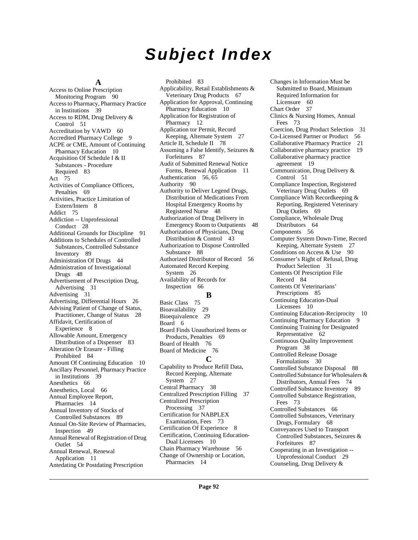# *Subject Index*

#### **A**

[Access to Online Prescription](#page-89-0)  Monitoring Program 90 [Access to Pharmacy, Pharmacy Practice](#page-38-0)  in Institutions 39 [Access to RDM, Drug Delivery &](#page-50-0)  Control 51 [Accreditation by VAWD](#page-59-0) 60 [Accredited Pharmacy College](#page-8-0) 9 [ACPE or CME, Amount of Continuing](#page-9-0)  Pharmacy Education 10 [Acquisition Of Schedule I & II](#page-82-0)  Substances - Procedure Required 83 [Act](#page-74-0) 75 [Activities of Compliance Officers,](#page-68-0)  Penalties 69 [Activities, Practice Limitation of](#page-7-0)  Extern/Intern 8 [Addict](#page-74-1) 75 [Addiction -- Unprofessional](#page-27-0)  Conduct 28 [Additional Grounds for Discipline](#page-90-0) 91 [Additions to Schedules of Controlled](#page-88-0)  Substances, Controlled Substance Inventory 89 [Administration Of Drugs](#page-43-0) 44 [Administration of Investigational](#page-47-0)  Drugs 48 [Advertisement of Prescription Drug,](#page-30-0)  Advertising 31 [Advertising](#page-30-1) 31 [Advertising, Differential Hours](#page-25-0) 26 [Advising Patient of Change of Status,](#page-27-1)  Practitioner, Change of Status 28 [Affidavit, Certification of](#page-7-1)  Experience 8 [Allowable Amount, Emergency](#page-82-1)  Distribution of a Dispenser 83 [Alteration Or Erasure - Filling](#page-83-0)  Prohibited 84 [Amount Of Continuing Education](#page-9-1) 10 [Ancillary Personnel, Pharmacy Practice](#page-38-1)  in Institutions 39 [Anesthetics](#page-65-0) 66 [Anesthetics, Local](#page-65-1) 66 [Annual Employee Report,](#page-13-0)  Pharmacies 14 [Annual Inventory of Stocks of](#page-88-1)  Controlled Substances 89 [Annual On-Site Review of Pharmacies,](#page-48-0)  Inspection 49 [Annual Renewal of Registration of Drug](#page-53-0)  Outlet 54 [Annual Renewal, Renewal](#page-10-0)  Application 11 [Antedating Or Postdating Prescription](#page-82-2) 

[Prohibited](#page-82-2) 83 [Applicability, Retail Establishments &](#page-66-0)  Veterinary Drug Products 67 [Application for Approval, Continuing](#page-9-2)  Pharmacy Education 10 [Application for Registration of](#page-11-0)  Pharmacy 12 [Application tor Permit, Record](#page-26-0)  Keeping, Alternate System 27 [Article II, Schedule II](#page-77-0) 78 [Assuming a False Identify, Seizures &](#page-86-0)  Forfeitures 87 [Audit of Submitted Renewal Notice](#page-10-1)  Forms, Renewal Application 11 [Authentication](#page-55-0) 56, [65](#page-64-0) [Authority](#page-89-1) 90 [Authority to Deliver Legend Drugs,](#page-47-1)  Distribution of Medications From Hospital Emergency Rooms by Registered Nurse 48 [Authorization of Drug Delivery in](#page-47-2)  Emergency Room to Outpatients 48 [Authorization of Physicians, Drug](#page-42-0)  Distribution & Control 43 [Authorization to Dispose Controlled](#page-87-0)  Substance 88 [Authorized Distributor of Record](#page-55-1) 56 [Automated Record Keeping](#page-25-1)  System 26 [Availability of Records for](#page-65-2)  Inspection 66 **B** [Basic Class](#page-74-2) 75 [Bioavailability](#page-28-0) 29 [Bioequivalence](#page-28-1) 29 [Board](#page-5-0) 6 [Board Finds Unauthorized Items or](#page-68-1)  Products, Penalties 69 [Board of Health](#page-75-0) 76 [Board of Medicine](#page-75-1) 76 **C** [Capability to Produce Refill Data,](#page-26-1)  Record Keeping, Alternate System 27 [Central Pharmacy](#page-37-0) 38 [Centralized Prescription Filling](#page-36-0) 37 [Centralized Prescription](#page-36-1)  Processing 37 [Certification for NABPLEX](#page-72-0)  Examination, Fees 73 [Certification Of Experience](#page-7-2) 8 [Certification, Continuing Education-](#page-9-3)Dual Licensees 10 [Chain Pharmacy Warehouse](#page-55-2) 56 [Change of Ownership or Location,](#page-13-1) 

Licensure 60 [Chart Order](#page-36-2) 37 [Clinics & Nursing Homes, Annual](#page-72-1)  Fees 73 [Coercion, Drug Product Selection](#page-30-2) 31 [Co-Licensed Partner or Product](#page-55-3) 56 [Collaborative Pharmacy Practice](#page-20-0) 21 [Collaborative pharmacy practice](#page-18-0) 19 [Collaborative pharmacy practice](#page-18-1)  agreement 19 [Communication, Drug Delivery &](#page-50-1)  Control 51 [Compliance Inspection, Registered](#page-68-2)  Veterinary Drug Outlets 69 [Compliance With Recordkeeping &](#page-68-3)  Reporting, Registered Veterinary Drug Outlets 69 [Compliance, Wholesale Drug](#page-63-0)  Distributors 64 [Components](#page-55-4) 56 [Computer System Down-Time, Record](#page-26-2)  Keeping, Alternate System 27 [Conditions on Access & Use](#page-89-2) 90 [Consumer's Right of Refusal, Drug](#page-30-3)  Product Selection 31 [Contents Of Prescription File](#page-83-1)  Record 84 [Contents Of Veterinarians'](#page-84-0)  Prescriptions 85 [Continuing Education-Dual](#page-9-4)  Licensees 10 [Continuing Education-Reciprocity](#page-9-5) 10 [Continuing Pharmacy Education](#page-8-1) 9 [Continuing Training for Designated](#page-61-0)  Representative 62 [Continuous Quality Improvement](#page-37-1)  Program 38 [Controlled Release Dosage](#page-29-0)  Formulations 30 [Controlled Substance Disposal](#page-87-1) 88 [Controlled Substance for Wholesalers &](#page-73-0)  Distributors, Annual Fees 74 [Controlled Substance Inventory](#page-88-2) 89 [Controlled Substance Registration,](#page-72-2)  Fees 73 [Controlled Substances](#page-65-3) 66 [Controlled Substances, Veterinary](#page-67-0)  Drugs, Formulary 68 Conveyances Used to Transport [Controlled Substances, Seizures &](#page-86-1)  Forfeitures 87 [Cooperating in an Investigation --](#page-28-2)  Unprofessional Conduct 29 [Counseling, Drug Delivery &](#page-50-2)

[Changes in Information Must be](#page-59-1)  Submitted to Board, Minimum Required Information for

Pharmacies 14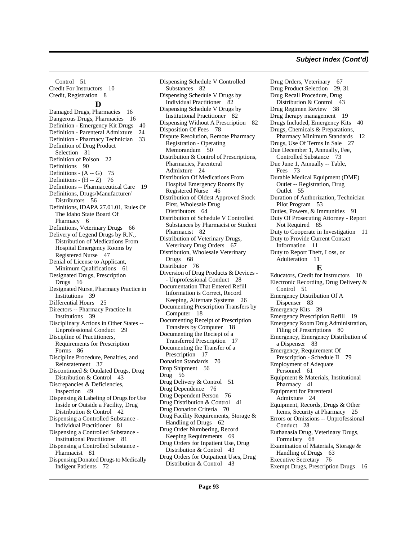[Drug Orders, Veterinary](#page-66-2) 67

[Control](#page-50-2) 51 [Credit For Instructors](#page-9-6) 10 [Credit, Registration](#page-7-3) 8 **D** [Damaged Drugs, Pharmacies](#page-15-0) 16 [Dangerous Drugs, Pharmacies](#page-15-1) 16 [Definition - Emergency Kit Drugs](#page-39-0) 40 [Definition - Parenteral Admixture](#page-23-0) 24 [Definition - Pharmacy Technician](#page-32-0) 33 [Definition of Drug Product](#page-30-4)  Selection 31 [Definition of Poison](#page-21-0) 22 [Definitions](#page-89-3) 90 Definitions -  $(A - G)$  75 Definitions -  $(H - Z)$  76 [Definitions -- Pharmaceutical Care](#page-18-2) 19 [Definitions, Drugs/Manufacturer/](#page-55-5) Distributors 56 [Definitions, IDAPA 27.01.01, Rules Of](#page-5-1)  The Idaho State Board Of Pharmacy 6 [Definitions, Veterinary Drugs](#page-65-4) 66 [Delivery of Legend Drugs by R.N.,](#page-46-0)  Distribution of Medications From Hospital Emergency Rooms by Registered Nurse 47 [Denial of License to Applicant,](#page-60-0)  Minimum Qualifications 61 [Designated Drugs, Prescription](#page-15-2)  Drugs 16 [Designated Nurse, Pharmacy Practice in](#page-38-2)  Institutions 39 [Differential Hours](#page-24-0) 25 [Directors -- Pharmacy Practice In](#page-38-3)  Institutions 39 [Disciplinary Actions in Other States --](#page-28-3)  Unprofessional Conduct 29 Discipline of Practitioners, [Requirements for Prescription](#page-85-0)  Forms 86 [Discipline Procedure, Penalties, and](#page-36-3)  Reinstatement 37 [Discontinued & Outdated Drugs, Drug](#page-42-1)  Distribution & Control 43 [Discrepancies & Deficiencies,](#page-48-1)  Inspection 49 [Dispensing & Labeling of Drugs for Use](#page-41-0)  Inside or Outside a Facility, Drug Distribution & Control 42 [Dispensing a Controlled Substance -](#page-80-0)  Individual Practitioner 81 [Dispensing a Controlled Substance -](#page-80-1)  Institutional Practitioner 81 [Dispensing a Controlled Substance -](#page-80-2)  Pharmacist 81 [Dispensing Donated Drugs to Medically](#page-71-0)  Indigent Patients 72

[Dispensing Schedule V Controlled](#page-81-0)  Substances 82 [Dispensing Schedule V Drugs by](#page-81-1)  Individual Practitioner 82 [Dispensing Schedule V Drugs by](#page-81-2)  Institutional Practitioner 82 [Dispensing Without A Prescription](#page-81-3) 82 [Disposition Of Fees](#page-77-1) 78 [Dispute Resolution, Remote Pharmacy](#page-49-0)  Registration - Operating Memorandum 50 [Distribution & Control of Prescriptions,](#page-23-1)  Pharmacies, Parenteral Admixture 24 [Distribution Of Medications From](#page-45-0)  Hospital Emergency Rooms By Registered Nurse 46 [Distribution of Oldest Approved Stock](#page-63-1)  First, Wholesale Drug Distributors 64 [Distribution of Schedule V Controlled](#page-81-4)  Substances by Pharmacist or Student Pharmacist 82 [Distribution of Veterinary Drugs,](#page-66-1)  Veterinary Drug Orders 67 [Distribution, Wholesale Veterinary](#page-67-1)  Drugs 68 [Distributor](#page-75-3) 76 [Diversion of Drug Products & Devices -](#page-27-2) - Unprofessional Conduct 28 [Documentation That Entered Refill](#page-25-2)  Information is Correct, Record Keeping, Alternate Systems 26 [Documenting Prescription Transfers by](#page-17-0)  Computer 18 [Documenting Receipt of Prescription](#page-17-1)  Transfers by Computer 18 [Documenting the Reciept of a](#page-16-0)  Transferred Prescription 17 [Documenting the Transfer of a](#page-16-1)  Prescription 17 [Donation Standards](#page-69-0) 70 [Drop Shipment](#page-55-6) 56 [Drug](#page-55-7) 56 [Drug Delivery & Control](#page-50-3) 51 [Drug Dependence](#page-75-4) 76 [Drug Dependent Person](#page-75-5) 76 [Drug Distribution & Control](#page-40-0) 41 [Drug Donation Criteria](#page-69-1) 70 [Drug Facility Requirements, Storage &](#page-61-1)  Handling of Drugs 62 [Drug Order Numbering, Record](#page-68-4)  Keeping Requirements 69 [Drug Orders for Inpatient Use, Drug](#page-42-2)  Distribution & Control 43 [Drug Orders for Outpatient Uses, Drug](#page-42-3)  Distribution & Control 43

[Drug Product Selection](#page-28-4) 29, [31](#page-30-5) [Drug Recall Procedure, Drug](#page-42-4)  Distribution & Control 43 [Drug Regimen Review](#page-37-2) 38 [Drug therapy management](#page-18-3) 19 [Drugs Included, Emergency Kits](#page-39-1) 40 [Drugs, Chemicals & Preparations,](#page-11-1)  Pharmacy Minimum Standards 12 [Drugs, Use Of Terms In Sale](#page-26-3) 27 [Due December 1, Annually, Fee,](#page-72-3)  Controlled Substance 73 [Due June 1, Annually -- Table,](#page-72-4)  Fees 73 [Durable Medical Equipment \(DME\)](#page-54-0)  Outlet -- Registration, Drug Outlet 55 [Duration of Authorization, Technician](#page-52-0)  Pilot Program 53 [Duties, Powers, & Immunities](#page-90-1) 91 [Duty Of Prosecuting Attorney - Report](#page-84-1)  Not Required 85 [Duty to Cooperate in Investigation](#page-10-2) 11 [Duty to Provide Current Contact](#page-10-3)  Information 11 [Duty to Report Theft, Loss, or](#page-10-4)  Adulteration 11 **E** [Educators, Credit for Instructors](#page-9-7) 10 [Electronic Recording, Drug Delivery &](#page-50-4)  Control 51 [Emergency Distribution Of A](#page-82-3)  Dispenser 83 [Emergency Kits](#page-38-4) 39 [Emergency Prescription Refill](#page-18-4) 19 [Emergency Room Drug Administration,](#page-79-0)  Filing of Prescriptions 80 [Emergency, Emergency Distribution of](#page-82-4)  a Dispenser 83 [Emergency, Requirement Of](#page-78-0)  Prescription - Schedule II 79 [Employment of Adequate](#page-60-1)  Personnel 61 [Equipment & Materials, Institutional](#page-40-1)  Pharmacy 41 [Equipment for Parenteral](#page-23-2)  Admixture 24 [Equipment, Records, Drugs & Other](#page-24-1)  Items, Security at Pharmacy 25 [Errors or Omissions -- Unprofessional](#page-27-3)  Conduct 28 [Euthanasia Drug, Veterinary Drugs,](#page-67-2)  Formulary 68 [Examination of Materials, Storage &](#page-62-0)  Handling of Drugs 63 [Executive Secretary](#page-75-6) 76 [Exempt Drugs, Prescription Drugs](#page-15-3) 16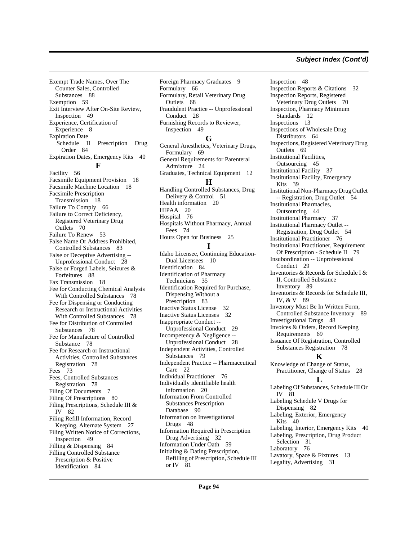[Exempt Trade Names, Over The](#page-87-2)  Counter Sales, Controlled Substances 88 [Exemption](#page-58-0) 59 [Exit Interview After On-Site Review,](#page-48-2)  Inspection 49 [Experience, Certification of](#page-7-4)  Experience 8 Expiration Date [Schedule II Prescription Drug](#page-83-2) Order 84 [Expiration Dates, Emergency Kits](#page-39-2) 40 **F** [Facility](#page-55-8) 56 [Facsimile Equipment Provision](#page-17-2) 18 [Facsimile Machine Location](#page-17-3) 18 [Facsimile Prescription](#page-17-4)  Transmission 18 [Failure To Comply](#page-65-5) 66 [Failure to Correct Deficiency,](#page-69-2)  Registered Veterinary Drug Outlets 70 [Failure To Renew](#page-52-1) 53 [False Name Or Address Prohibited,](#page-82-5)  Controlled Substances 83 [False or Deceptive Advertising --](#page-27-4)  Unprofessional Conduct 28 [False or Forged Labels, Seizures &](#page-87-3)  Forfeitures 88 [Fax Transmission](#page-17-5) 18 [Fee for Conducting Chemical Analysis](#page-77-2)  With Controlled Substances 78 Fee for Dispensing or Conducting [Research or Instructional Activities](#page-77-3)  With Controlled Substances 78 [Fee for Distribution of Controlled](#page-77-4)  Substances 78 [Fee for Manufacture of Controlled](#page-77-5)  Substance 78 Fee for Research or Instructional [Activities, Controlled Substances](#page-77-6)  Registration 78 [Fees](#page-72-5) 73 [Fees, Controlled Substances](#page-77-7)  Registration 78 [Filing Of Documents](#page-6-0) 7 [Filing Of Prescriptions](#page-79-1) 80 [Filing Prescriptions, Schedule III &](#page-81-5)  IV 82 [Filing Refill Information, Record](#page-26-4)  Keeping, Alternate System 27 [Filing Written Notice of Corrections,](#page-48-3)  Inspection 49 [Filling & Dispensing](#page-83-3) 84 [Filling Controlled Substance](#page-83-4)  Prescription & Positive Identification 84

[Foreign Pharmacy Graduates](#page-8-2) 9 [Formulary](#page-65-6) 66 [Formulary, Retail Veterinary Drug](#page-67-3)  Outlets 68 [Fraudulent Practice -- Unprofessional](#page-27-5)  Conduct 28 [Furnishing Records to Reviewer,](#page-48-4)  Inspection 49 **G** [General Anesthetics, Veterinary Drugs,](#page-68-5)  Formulary 69 [General Requirements for Parenteral](#page-23-3)  Admixture 24 [Graduates, Technical Equipment](#page-11-2) 12 **H** [Handling Controlled Substances, Drug](#page-50-5)  Delivery & Control 51 [Health information](#page-19-0) 20 [HIPAA](#page-19-1) 20 [Hospital](#page-75-7) 76 [Hospitals Without Pharmacy, Annual](#page-73-1)  Fees 74 [Hours Open for Business](#page-24-2) 25 **I** [Idaho Licensee, Continuing Education-](#page-9-8)Dual Licensees 10 [Identification](#page-83-5) 84 [Identification of Pharmacy](#page-34-0)  Technicians 35 [Identification Required for Purchase,](#page-82-6)  Dispensing Without a Prescription 83 [Inactive Status License](#page-31-0) 32 [Inactive Status Licenses](#page-31-1) 32 [Inappropriate Conduct --](#page-28-5)  Unprofessional Conduct 29 [Incompetency & Negligence --](#page-27-6)  Unprofessional Conduct 28 [Independent Activities, Controlled](#page-78-1)  Substances 79 [Independent Practice -- Pharmaceutical](#page-21-1)  Care 22 [Individual Practitioner](#page-75-8) 76 [Individually identifiable health](#page-19-2)  information 20 [Information From Controlled](#page-89-4)  Substances Prescription Database 90 [Information on Investigational](#page-47-3)  Drugs 48 [Information Required in Prescription](#page-31-2)  Drug Advertising 32 [Information Under Oath](#page-58-1) 59 Initialing & Dating Prescription, [Refilling of Prescription, Schedule III](#page-80-3)  or IV 81

[Inspection](#page-47-4) 48 [Inspection Reports & Citations](#page-31-3) 32 [Inspection Reports, Registered](#page-69-3)  Veterinary Drug Outlets 70 [Inspection, Pharmacy Minimum](#page-11-3)  Standards 12 [Inspections](#page-12-0) 13 [Inspections of Wholesale Drug](#page-63-2)  Distributors 64 [Inspections, Registered Veterinary Drug](#page-68-6)  Outlets 69 [Institutional Facilities,](#page-44-0)  Outsourcing 45 [Institutional Facility](#page-36-4) 37 [Institutional Facility, Emergency](#page-38-5)  Kits 39 [Institutional Non-Pharmacy Drug Outlet](#page-53-1)  -- Registration, Drug Outlet 54 [Institutional Pharmacies,](#page-43-1)  Outsourcing 44 [Institutional Pharmacy](#page-36-5) 37 [Institutional Pharmacy Outlet --](#page-53-2)  Registration, Drug Outlet 54 [Institutional Practitioner](#page-75-9) 76 [Institutional Practitioner, Requirement](#page-78-2)  Of Prescription - Schedule II 79 [Insubordination -- Unprofessional](#page-28-6)  Conduct 29 [Inventories & Records for Schedule I &](#page-88-3)  II, Controlled Substance Inventory 89 [Inventories & Records for Schedule III,](#page-88-4)  IV, & V 89 [Inventory Must Be In Written Form,](#page-88-5)  Controlled Substance Inventory 89 [Investigational Drugs](#page-47-5) 48 [Invoices & Orders, Record Keeping](#page-68-7)  Requirements 69 [Issuance Of Registration, Controlled](#page-77-8)  Substances Registration 78 **K** [Knowledge of Change of Status,](#page-27-7)  Practitioner, Change of Status 28 **L** [Labeling Of Substances, Schedule III Or](#page-80-4)  IV 81 [Labeling Schedule V Drugs for](#page-81-6)  Dispensing 82 [Labeling, Exterior, Emergency](#page-39-3)  Kits 40 [Labeling, Interior, Emergency Kits](#page-39-4) 40 [Labeling, Prescription, Drug Product](#page-30-6)  Selection 31 [Laboratory](#page-75-10) 76 [Lavatory, Space & Fixtures](#page-12-1) 13 [Legality, Advertising](#page-30-7) 31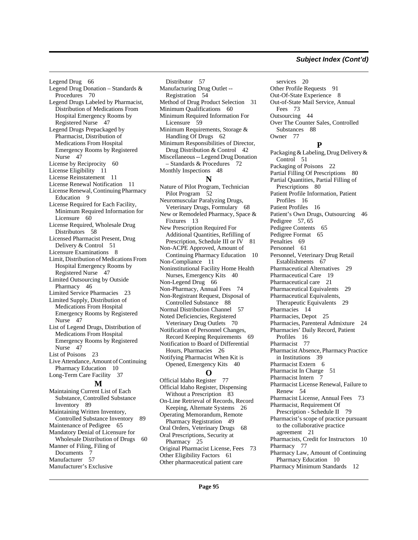[Legend Drug 66](#page-65-7) [Legend Drug Donation – Standards &](#page-69-4)  Procedures 70 [Legend Drugs Labeled by Pharmacist,](#page-46-1)  Distribution of Medications From Hospital Emergency Rooms by Registered Nurse 47 Legend Drugs Prepackaged by Pharmacist, Distribution of Medications From Hospital [Emergency Rooms by Registered](#page-46-2)  Nurse 47 [License by Reciprocity](#page-59-2) 60 [License Eligibility](#page-10-5) 11 [License Reinstatement](#page-10-6) 11 [License Renewal Notification](#page-10-7) 11 [License Renewal, Continuing Pharmacy](#page-8-3)  Education 9 License Required for Each Facility, [Minimum Required Information for](#page-59-3)  Licensure 60 [License Required, Wholesale Drug](#page-57-0)  Distributors 58 [Licensed Pharmacist Present, Drug](#page-50-6)  Delivery & Control 51 [Licensure Examinations](#page-7-5) 8 [Limit, Distribution of Medications From](#page-46-3)  Hospital Emergency Rooms by Registered Nurse 47 [Limited Outsourcing by Outside](#page-45-1)  Pharmacy 46 [Limited Service Pharmacies](#page-22-0) 23 Limited Supply, Distribution of Medications From Hospital [Emergency Rooms by Registered](#page-46-4)  Nurse 47 [List of Legend Drugs, Distribution of](#page-46-5)  Medications From Hospital Emergency Rooms by Registered Nurse 47 [List of Poisons](#page-22-1) 23 [Live Attendance, Amount of Continuing](#page-9-9)  Pharmacy Education 10 [Long-Term Care Facility](#page-36-6) 37 **M** [Maintaining Current List of Each](#page-88-6)  Substance, Controlled Substance Inventory 89 [Maintaining Written Inventory,](#page-88-7)  Controlled Substance Inventory 89 [Maintenance of Pedigree](#page-64-1) 65 [Mandatory Denial of Licensure for](#page-59-4) 

Wholesale Distribution of Drugs 60 [Manner of Filing, Filing of](#page-6-1)  Documents 7 [Manufacturer](#page-56-0) 57 [Manufacturer's Exclusive](#page-56-1) 

[Distributor](#page-56-1) 57 [Manufacturing Drug Outlet --](#page-53-3)  Registration 54 [Method of Drug Product Selection](#page-30-8) 31 [Minimum Qualifications](#page-59-5) 60 [Minimum Required Information For](#page-58-2)  Licensure 59 [Minimum Requirements, Storage &](#page-61-2)  Handling Of Drugs 62 [Minimum Responsibilities of Director,](#page-41-1)  Drug Distribution & Control 42 [Miscellaneous -- Legend Drug Donation](#page-71-1)  – Standards & Procedures 72 [Monthly Inspections](#page-47-6) 48 **N** [Nature of Pilot Program, Technician](#page-51-0)  Pilot Program 52 [Neuromuscular Paralyzing Drugs,](#page-67-4)  Veterinary Drugs, Formulary 68 [New or Remodeled Pharmacy, Space &](#page-12-2)  Fixtures 13 New Prescription Required For [Additional Quantities, Refilling of](#page-80-5)  Prescription, Schedule III or IV 81 [Non-ACPE Approved, Amount of](#page-9-10)  Continuing Pharmacy Education 10 [Non-Compliance](#page-10-8) 11 [Noninstitutional Facility Home Health](#page-39-5)  Nurses, Emergency Kits 40 [Non-Legend Drug](#page-65-8) 66 [Non-Pharmacy, Annual Fees](#page-73-2) 74 [Non-Registrant Request, Disposal of](#page-87-4)  Controlled Substance 88 [Normal Distribution Channel](#page-56-2) 57 [Noted Deficiencies, Registered](#page-69-5)  Veterinary Drug Outlets 70 [Notification of Personnel Changes,](#page-68-8)  Record Keeping Requirements 69 [Notification to Board of Differential](#page-25-3)  Hours, Pharmacies 26 [Notifying Pharmacist When Kit is](#page-39-6)  Opened, Emergency Kits 40 **O** [Official Idaho Register](#page-76-0) 77 [Official Idaho Register, Dispensing](#page-82-7)  Without a Prescription 83

[On-Line Retrieval of Records, Record](#page-25-4)  Keeping, Alternate Systems 26 [Operating Memorandum, Remote](#page-48-5)  Pharmacy Registration 49 [Oral Orders, Veterinary Drugs](#page-67-5) 68 [Oral Prescriptions, Security at](#page-24-3)  Pharmacy 25 [Original Pharmacist License, Fees](#page-72-6) 73 [Other Eligibility Factors](#page-60-2) 61 [Other pharmaceutical patient care](#page-19-3) 

[services](#page-19-3) 20 [Other Profile Requests](#page-90-2) 91 [Out-Of-State Experience](#page-7-6) 8 [Out-of-State Mail Service, Annual](#page-72-7)  Fees 73 [Outsourcing](#page-43-2) 44 [Over The Counter Sales, Controlled](#page-87-5)  Substances 88 [Owner](#page-76-1) 77 **P** [Packaging & Labeling, Drug Delivery &](#page-50-7)  Control 51 [Packaging of Poisons](#page-21-2) 22 [Partial Filling Of Prescriptions](#page-79-2) 80 [Partial Quantities, Partial Filling of](#page-79-3)  Prescriptions 80 [Patient Profile Information, Patient](#page-15-4)  Profiles 16 [Patient Profiles](#page-15-5) 16 [Patient's Own Drugs, Outsourcing](#page-45-2) 46 [Pedigree](#page-56-3) 57, [65](#page-64-2) [Pedigree Contents](#page-64-3) 65 [Pedigree Format](#page-64-4) 65 [Penalties](#page-68-9) 69 [Personnel](#page-60-3) 61 [Personnel, Veterinary Drug Retail](#page-66-3)  Establishments 67 [Pharmaceutical Alternatives](#page-28-7) 29 [Pharmaceutical Care](#page-18-5) 19 [Pharmaceutical care](#page-20-1) 21 [Pharmaceutical Equivalents](#page-28-8) 29 [Pharmaceutical Equivalents,](#page-28-9)  Therapeutic Equivalents 29 [Pharmacies](#page-13-2) 14 [Pharmacies, Depot](#page-24-4) 25 [Pharmacies, Parenteral Admixture](#page-23-4) 24 [Pharmacies' Daily Record, Patient](#page-15-6)  Profiles 16 [Pharmacist](#page-76-2) 77 [Pharmacist Absence, Pharmacy Practice](#page-38-6)  in Institutions 39 [Pharmacist Extern](#page-5-2) 6 [Pharmacist In Charge](#page-50-8) 51 [Pharmacist Intern](#page-6-2) 7 [Pharmacist License Renewal, Failure to](#page-53-4)  Renew 54 [Pharmacist License, Annual Fees](#page-72-8) 73 [Pharmacist, Requirement Of](#page-78-3)  Prescription - Schedule II 79 [Pharmacist's scope of practice pursuant](#page-20-2)  to the collaborative practice agreement 21 [Pharmacists, Credit for Instructors](#page-9-11) 10 [Pharmacy](#page-76-3) 77 [Pharmacy Law, Amount of Continuing](#page-9-12)  Pharmacy Education 10 [Pharmacy Minimum Standards](#page-11-4) 12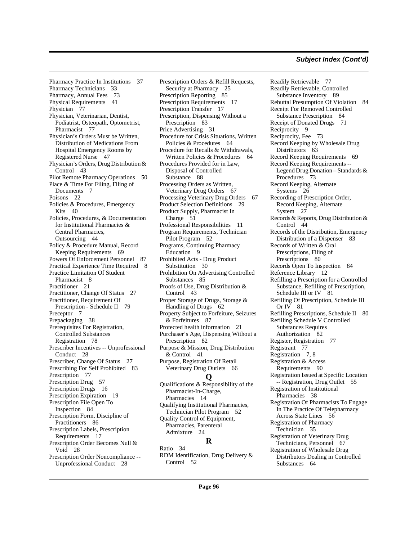[Pharmacy Practice In Institutions 37](#page-36-7) [Pharmacy Technicians](#page-32-1) 33 [Pharmacy, Annual Fees](#page-72-9) 73 [Physical Requirements](#page-40-2) 41 [Physician](#page-76-4) 77 Physician, Veterinarian, Dentist, [Podiatrist, Osteopath, Optometrist,](#page-76-5)  Pharmacist 77 [Physician's Orders Must be Written,](#page-46-6)  Distribution of Medications From Hospital Emergency Rooms by Registered Nurse 47 [Physician's Orders, Drug Distribution &](#page-42-5)  Control 43 [Pilot Remote Pharmacy Operations](#page-49-1) 50 [Place & Time For Filing, Filing of](#page-6-3)  Documents 7 [Poisons](#page-21-3) 22 [Policies & Procedures, Emergency](#page-39-7)  Kits 40 [Policies, Procedures, & Documentation](#page-43-3)  for Institutional Pharmacies & Central Pharmacies, Outsourcing 44 [Policy & Procedure Manual, Record](#page-68-10)  Keeping Requirements 69 [Powers Of Enforcement Personnel](#page-86-2) 87 [Practical Experience Time Required](#page-7-7) 8 [Practice Limitation Of Student](#page-7-8)  Pharmacist 8 [Practitioner](#page-20-3) 21 [Practitioner, Change Of Status](#page-26-5) 27 [Practitioner, Requirement Of](#page-78-4)  Prescription - Schedule II 79 [Preceptor](#page-6-4) 7 [Prepackaging](#page-37-3) 38 [Prerequisites For Registration,](#page-77-9)  Controlled Substances Registration 78 [Prescriber Incentives -- Unprofessional](#page-27-8)  Conduct 28 [Prescriber, Change Of Status](#page-26-5) 27 [Prescribing For Self Prohibited](#page-82-8) 83 [Prescription](#page-76-6) 77 [Prescription Drug](#page-56-4) 57 [Prescription Drugs](#page-15-7) 16 [Prescription Expiration](#page-18-6) 19 [Prescription File Open To](#page-83-6)  Inspection 84 [Prescription Form, Discipline of](#page-85-1)  Practitioners 86 [Prescription Labels, Prescription](#page-16-2)  Requirements 17 [Prescription Order Becomes Null &](#page-27-9)  Void 28 [Prescription Order Noncompliance --](#page-27-10)  Unprofessional Conduct 28

[Prescription Orders & Refill Requests,](#page-24-5)  Security at Pharmacy 25 [Prescription Reporting](#page-84-2) 85 [Prescription Requirements](#page-16-3) 17 [Prescription Transfer](#page-16-4) 17 [Prescription, Dispensing Without a](#page-82-9)  Prescription 83 [Price Advertising](#page-30-9) 31 [Procedure for Crisis Situations, Written](#page-63-3)  Policies & Procedures 64 [Procedure for Recalls & Withdrawals,](#page-63-4)  Written Policies & Procedures 64 [Procedures Provided for in Law,](#page-87-6)  Disposal of Controlled Substance 88 [Processing Orders as Written,](#page-66-4)  Veterinary Drug Orders 67 [Processing Veterinary Drug Orders](#page-66-5) 67 [Product Selection Definitions](#page-28-10) 29 [Product Supply, Pharmacist In](#page-50-9)  Charge 51 [Professional Responsibilities](#page-10-9) 11 [Program Requirements, Technician](#page-51-1)  Pilot Program 52 [Programs, Continuing Pharmacy](#page-8-4)  Education 9 [Prohibited Acts - Drug Product](#page-29-1)  Substitution 30 [Prohibition On Advertising Controlled](#page-84-3)  Substances 85 [Proofs of Use, Drug Distribution &](#page-42-6)  Control 43 [Proper Storage of Drugs, Storage &](#page-61-3)  Handling of Drugs 62 [Property Subject to Forfeiture, Seizures](#page-86-3)  & Forfeitures 87 [Protected health information](#page-20-4) 21 [Purchaser's Age, Dispensing Without a](#page-81-7)  Prescription 82 [Purpose & Mission, Drug Distribution](#page-40-3)  & Control 41 [Purpose, Registration Of Retail](#page-65-9)  Veterinary Drug Outlets 66 **Q** [Qualifications & Responsibility of the](#page-13-3)  Pharmacist-In-Charge, Pharmacies 14 [Qualifying Institutional Pharmacies,](#page-51-2) 

Technician Pilot Program 52 [Quality Control of Equipment,](#page-23-5)  Pharmacies, Parenteral Admixture 24

# **R**

[Ratio](#page-33-0) 34 [RDM Identification, Drug Delivery &](#page-51-3)  Control 52

[Readily Retrievable](#page-76-7) 77 [Readily Retrievable, Controlled](#page-88-8)  Substance Inventory 89 [Rebuttal Presumption Of Violation](#page-83-7) 84 [Receipt For Removed Controlled](#page-83-8)  Substance Prescription 84 [Receipt of Donated Drugs](#page-70-0) 71 [Reciprocity](#page-8-5) 9 [Reciprocity, Fee](#page-72-10) 73 [Record Keeping by Wholesale Drug](#page-62-1)  Distributors 63 [Record Keeping Requirements](#page-68-11) 69 Record Keeping Requirements -- [Legend Drug Donation – Standards &](#page-72-11)  Procedures 73 [Record Keeping, Alternate](#page-25-5)  Systems 26 [Recording of Prescription Order,](#page-26-6)  Record Keeping, Alternate System 27 [Records & Reports, Drug Distribution &](#page-43-4)  Control 44 [Records of the Distribution, Emergency](#page-82-10)  Distribution of a Dispenser 83 [Records of Written & Oral](#page-79-4)  Prescriptions, Filing of Prescriptions 80 [Records Open To Inspection](#page-83-9) 84 [Reference Library](#page-11-5) 12 [Refilling a Prescription for a Controlled](#page-80-6)  Substance, Refilling of Prescription, Schedule III or IV 81 [Refilling Of Prescription, Schedule III](#page-80-7)  Or IV 81 [Refilling Prescriptions, Schedule II](#page-79-5) 80 [Refilling Schedule V Controlled](#page-81-8)  Substances Requires Authorization 82 [Register, Registration](#page-76-8) 77 [Registrant](#page-76-9) 77 [Registration](#page-6-5) 7, [8](#page-7-9) [Registration & Access](#page-89-5)  Requirements 90 [Registration Issued at Specific Location](#page-54-1)  -- Registration, Drug Outlet 55 [Registration of Institutional](#page-37-4)  Pharmacies 38 [Registration Of Pharmacists To Engage](#page-55-9)  In The Practice Of Telepharmacy Across State Lines 56 [Registration of Pharmacy](#page-34-1)  Technician 35 [Registration of Veterinary Drug](#page-66-6)  Technicians, Personnel 67 Registration of Wholesale Drug [Distributors Dealing in Controlled](#page-63-5)  [Substances](#page-63-5) 64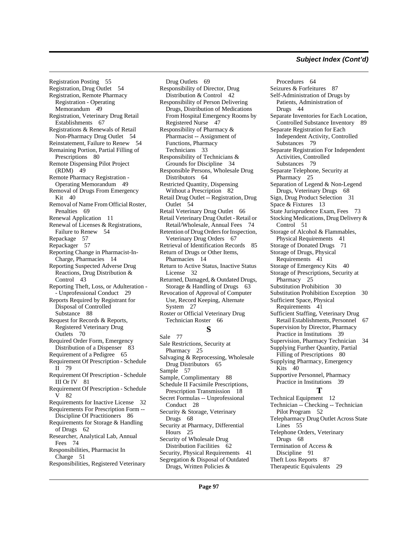[Registration Posting 55](#page-54-2) [Registration, Drug Outlet](#page-53-5) 54 [Registration, Remote Pharmacy](#page-48-6)  Registration - Operating Memorandum 49 [Registration, Veterinary Drug Retail](#page-66-7)  Establishments 67 [Registrations & Renewals of Retail](#page-53-6)  Non-Pharmacy Drug Outlet 54 [Reinstatement, Failure to Renew](#page-53-7) 54 [Remaining Portion, Partial Filling of](#page-79-6)  Prescriptions 80 [Remote Dispensing Pilot Project](#page-48-7)  (RDM) 49 [Remote Pharmacy Registration -](#page-48-8)  Operating Memorandum 49 [Removal of Drugs From Emergency](#page-39-8)   $Kit$  40 [Removal of Name From Official Roster,](#page-68-12)  Penalties 69 [Renewal Application](#page-10-10) 11 [Renewal of Licenses & Registrations,](#page-53-8)  Failure to Renew 54 [Repackage](#page-56-5) 57 [Repackager](#page-56-6) 57 [Reporting Change in Pharmacist-In-](#page-13-4)Charge, Pharmacies 14 [Reporting Suspected Adverse Drug](#page-42-7)  Reactions, Drug Distribution & Control 43 [Reporting Theft, Loss, or Adulteration -](#page-28-11) - Unprofessional Conduct 29 [Reports Required by Registrant for](#page-87-7)  Disposal of Controlled Substance 88 [Request for Records & Reports,](#page-69-6)  Registered Veterinary Drug Outlets 70 [Required Order Form, Emergency](#page-82-11)  Distribution of a Dispenser 83 [Requirement of a Pedigree](#page-64-5) 65 [Requirement Of Prescription - Schedule](#page-78-5)  II 79 [Requirement Of Prescription - Schedule](#page-80-8)  III Or IV 81 [Requirement Of Prescription - Schedule](#page-81-9)  V 82 [Requirements for Inactive License](#page-31-4) 32 [Requirements For Prescription Form --](#page-85-2)  Discipline Of Practitioners 86 [Requirements for Storage & Handling](#page-61-4)  of Drugs 62 [Researcher, Analytical Lab, Annual](#page-73-3)  Fees 74 [Responsibilities, Pharmacist In](#page-50-10)  Charge 51 [Responsibilities, Registered Veterinary](#page-68-13) 

[Drug Outlets](#page-68-13) 69 [Responsibility of Director, Drug](#page-41-2)  Distribution & Control 42 Responsibility of Person Delivering Drugs, Distribution of Medications [From Hospital Emergency Rooms by](#page-46-7)  Registered Nurse 47 [Responsibility of Pharmacy &](#page-32-2)  Pharmacist -- Assignment of Functions, Pharmacy Technicians 33 [Responsibility of Technicians &](#page-33-1)  Grounds for Discipline 34 [Responsible Persons, Wholesale Drug](#page-63-6)  Distributors 64 [Restricted Quantity, Dispensing](#page-81-10)  Without a Prescription 82 [Retail Drug Outlet -- Registration, Drug](#page-53-9)  Outlet 54 [Retail Veterinary Drug Outlet](#page-65-10) 66 [Retail Veterinary Drug Outlet - Retail or](#page-73-4)  Retail/Wholesale, Annual Fees 74 [Retention of Drug Orders for Inspection,](#page-66-8)  Veterinary Drug Orders 67 [Retrieval of Identification Records](#page-84-4) 85 [Return of Drugs or Other Items,](#page-13-5)  Pharmacies 14 [Return to Active Status, Inactive Status](#page-31-5)  License 32 [Returned, Damaged, & Outdated Drugs,](#page-62-2)  Storage & Handling of Drugs 63 [Revocation of Approval of Computer](#page-26-7)  Use, Record Keeping, Alternate System 27 [Roster or Official Veterinary Drug](#page-65-11)  Technician Roster 66 **S** [Sale](#page-76-10) 77 [Sale Restrictions, Security at](#page-24-6)  Pharmacy 25 [Salvaging & Reprocessing, Wholesale](#page-64-6)  Drug Distributors 65 [Sample](#page-56-7) 57 [Sample, Complimentary](#page-87-8) 88 [Schedule II Facsimile Prescriptions,](#page-17-6)  Prescription Transmission 18 [Secret Formulas -- Unprofessional](#page-27-11)  Conduct 28 [Security & Storage, Veterinary](#page-67-6)  Drugs 68 [Security at Pharmacy, Differential](#page-24-7)  Hours 25 [Security of Wholesale Drug](#page-61-5)  Distribution Facilities 62 [Security, Physical Requirements](#page-40-4) 41 [Segregation & Disposal of Outdated](#page-63-7)  Drugs, Written Policies &

[Procedures](#page-63-7) 64 [Seizures & Forfeitures](#page-86-4) 87 [Self-Administration of Drugs by](#page-43-5)  Patients, Administration of Drugs 44 [Separate Inventories for Each Location,](#page-88-9)  Controlled Substance Inventory 89 Separate Registration for Each [Independent Activity, Controlled](#page-78-6)  Substances 79 [Separate Registration For Independent](#page-78-7)  Activities, Controlled Substances 79 [Separate Telephone, Security at](#page-24-8)  Pharmacy 25 [Separation of Legend & Non-Legend](#page-67-7)  Drugs, Veterinary Drugs 68 [Sign, Drug Product Selection](#page-30-10) 31 [Space & Fixtures](#page-12-3) 13 [State Jurisprudence Exam, Fees](#page-72-12) 73 [Stocking Medications, Drug Delivery &](#page-50-11)  Control 51 [Storage of Alcohol & Flammables,](#page-40-5)  Physical Requirements 41 [Storage of Donated Drugs](#page-70-1) 71 [Storage of Drugs, Physical](#page-40-6)  Requirements 41 [Storage of Emergency Kits](#page-39-9) 40 [Storage of Prescriptions, Security at](#page-24-9)  Pharmacy 25 [Substitution Prohibition](#page-29-2) 30 [Substitution Prohibition Exception](#page-29-3) 30 [Sufficient Space, Physical](#page-40-7)  Requirements 41 [Sufficient Staffing, Veterinary Drug](#page-66-9)  Retail Establishments, Personnel 67 [Supervision by Director, Pharmacy](#page-38-7)  Practice in Institutions 39 [Supervision, Pharmacy Technician](#page-33-2) 34 [Supplying Further Quantity, Partial](#page-79-7)  Filling of Prescriptions 80 [Supplying Pharmacy, Emergency](#page-39-10)  Kits 40 [Supportive Personnel, Pharmacy](#page-38-8)  Practice in Institutions 39 **T** [Technical Equipment](#page-11-6) 12 [Technician -- Checking -- Technician](#page-51-4)  Pilot Program 52 [Telepharmacy Drug Outlet Across State](#page-54-3)  Lines 55 [Telephone Orders, Veterinary](#page-67-8)  Drugs 68 [Termination of Access &](#page-90-3)  Discipline 91 [Theft Loss Reports](#page-86-5) 87 [Therapeutic Equivalents](#page-28-12) 29